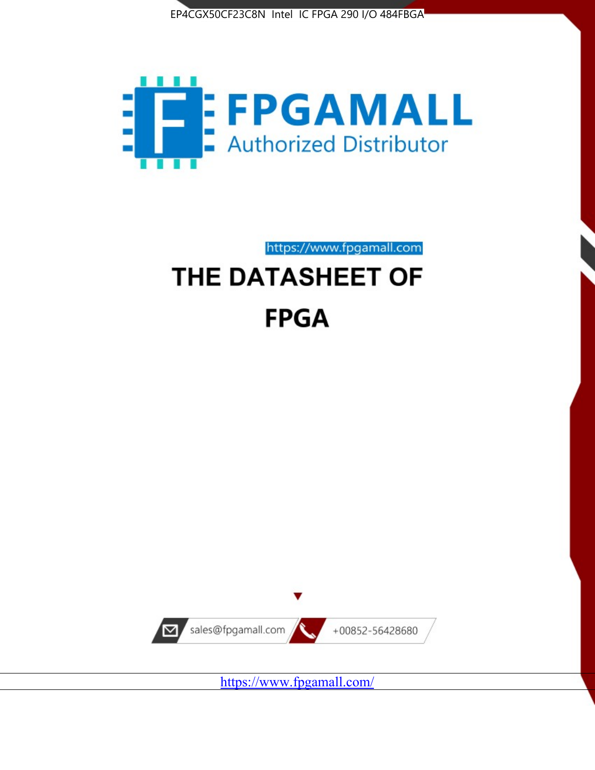



https://www.fpgamall.com THE DATASHEET OF

# **FPGA**



<https://www.fpgamall.com/>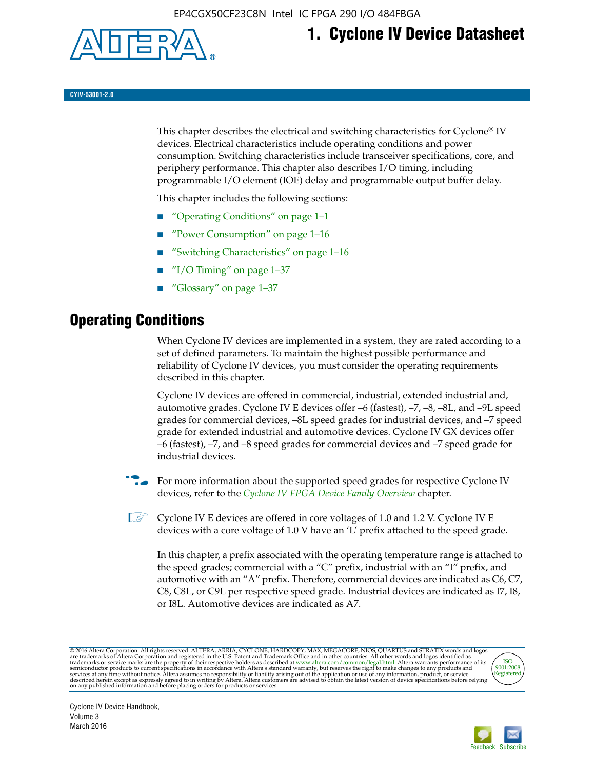

## **1. Cyclone IV Device Datasheet**

**CYIV-53001-2.0**

This chapter describes the electrical and switching characteristics for Cyclone<sup>®</sup> IV devices. Electrical characteristics include operating conditions and power consumption. Switching characteristics include transceiver specifications, core, and periphery performance. This chapter also describes I/O timing, including programmable I/O element (IOE) delay and programmable output buffer delay.

This chapter includes the following sections:

- "Operating Conditions" on page 1–1
- "Power Consumption" on page 1–16
- "Switching Characteristics" on page 1–16
- " $I/O$  Timing" on page  $1-37$
- "Glossary" on page 1–37

## **Operating Conditions**

When Cyclone IV devices are implemented in a system, they are rated according to a set of defined parameters. To maintain the highest possible performance and reliability of Cyclone IV devices, you must consider the operating requirements described in this chapter.

Cyclone IV devices are offered in commercial, industrial, extended industrial and, automotive grades. Cyclone IV E devices offer –6 (fastest), –7, –8, –8L, and –9L speed grades for commercial devices, –8L speed grades for industrial devices, and –7 speed grade for extended industrial and automotive devices. Cyclone IV GX devices offer –6 (fastest), –7, and –8 speed grades for commercial devices and –7 speed grade for industrial devices.

**For more information about the supported speed grades for respective Cyclone IV** devices, refer to the *[Cyclone IV FPGA Device Family Overview](http://www.altera.com/literature/hb/cyclone-iv/cyiv-51001.pdf)* chapter.

**1** Cyclone IV E devices are offered in core voltages of 1.0 and 1.2 V. Cyclone IV E devices with a core voltage of 1.0 V have an 'L' prefix attached to the speed grade.

In this chapter, a prefix associated with the operating temperature range is attached to the speed grades; commercial with a "C" prefix, industrial with an "I" prefix, and automotive with an "A" prefix. Therefore, commercial devices are indicated as C6, C7, C8, C8L, or C9L per respective speed grade. Industrial devices are indicated as I7, I8, or I8L. Automotive devices are indicated as A7.

@2016 Altera Corporation. All rights reserved. ALTERA, ARRIA, CYCLONE, HARDCOPY, MAX, MEGACORE, NIOS, QUARTUS and STRATIX words and logos are trademarks of Altera Corporation and registered in the U.S. Patent and Trademark



Cyclone IV Device Handbook, Volume 3 March 2016

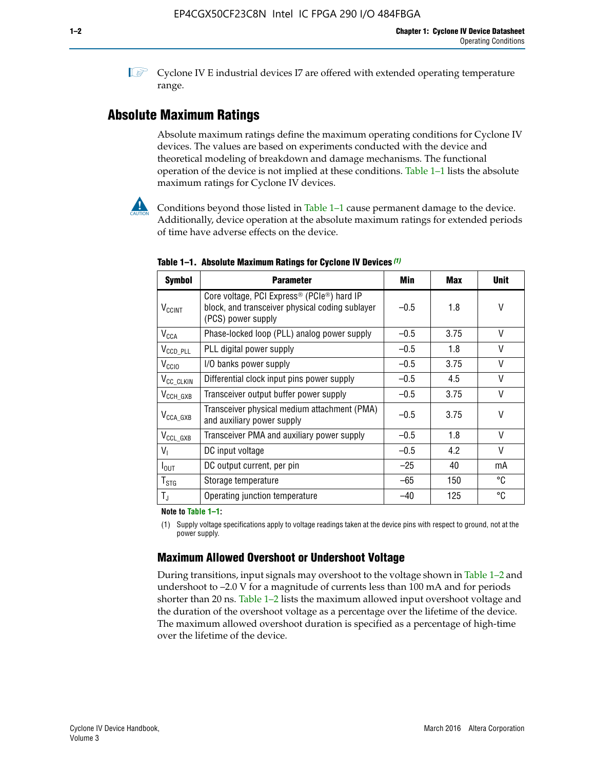**1 Cyclone IV E industrial devices I7 are offered with extended operating temperature** range.

## **Absolute Maximum Ratings**

Absolute maximum ratings define the maximum operating conditions for Cyclone IV devices. The values are based on experiments conducted with the device and theoretical modeling of breakdown and damage mechanisms. The functional operation of the device is not implied at these conditions. Table 1–1 lists the absolute maximum ratings for Cyclone IV devices.



Conditions beyond those listed in Table  $1-1$  cause permanent damage to the device. Additionally, device operation at the absolute maximum ratings for extended periods of time have adverse effects on the device.

| <b>Symbol</b>            | <b>Parameter</b>                                                                                                                             | Min    | <b>Max</b> | <b>Unit</b> |
|--------------------------|----------------------------------------------------------------------------------------------------------------------------------------------|--------|------------|-------------|
| <b>V<sub>CCINT</sub></b> | Core voltage, PCI Express <sup>®</sup> (PCIe <sup>®</sup> ) hard IP<br>block, and transceiver physical coding sublayer<br>(PCS) power supply | $-0.5$ | 1.8        | V           |
| $V_{CCA}$                | Phase-locked loop (PLL) analog power supply                                                                                                  | $-0.5$ | 3.75       | V           |
| $V_{CCD\_PLL}$           | PLL digital power supply                                                                                                                     | $-0.5$ | 1.8        | V           |
| V <sub>CCIO</sub>        | I/O banks power supply                                                                                                                       | $-0.5$ | 3.75       | V           |
| V <sub>CC_CLKIN</sub>    | Differential clock input pins power supply                                                                                                   | $-0.5$ | 4.5        | V           |
| $V_{\text{CCH_GXB}}$     | Transceiver output buffer power supply                                                                                                       | $-0.5$ | 3.75       | V           |
| $V_{\text{CCA\_GXB}}$    | Transceiver physical medium attachment (PMA)<br>and auxiliary power supply                                                                   | $-0.5$ | 3.75       | V           |
| $V_{CCL_GXB}$            | Transceiver PMA and auxiliary power supply                                                                                                   | $-0.5$ | 1.8        | V           |
| $V_{1}$                  | DC input voltage                                                                                                                             | $-0.5$ | 4.2        | V           |
| $I_{\text{OUT}}$         | DC output current, per pin                                                                                                                   | $-25$  | 40         | mA          |
| $T_{\mathtt{STG}}$       | Storage temperature                                                                                                                          | -65    | 150        | °C          |
| $T_{\rm J}$              | Operating junction temperature                                                                                                               | $-40$  | 125        | °C          |

**Table 1–1. Absolute Maximum Ratings for Cyclone IV Devices** *(1)*

**Note to Table 1–1:**

(1) Supply voltage specifications apply to voltage readings taken at the device pins with respect to ground, not at the power supply.

## **Maximum Allowed Overshoot or Undershoot Voltage**

During transitions, input signals may overshoot to the voltage shown in Table 1–2 and undershoot to –2.0 V for a magnitude of currents less than 100 mA and for periods shorter than 20 ns. Table 1–2 lists the maximum allowed input overshoot voltage and the duration of the overshoot voltage as a percentage over the lifetime of the device. The maximum allowed overshoot duration is specified as a percentage of high-time over the lifetime of the device.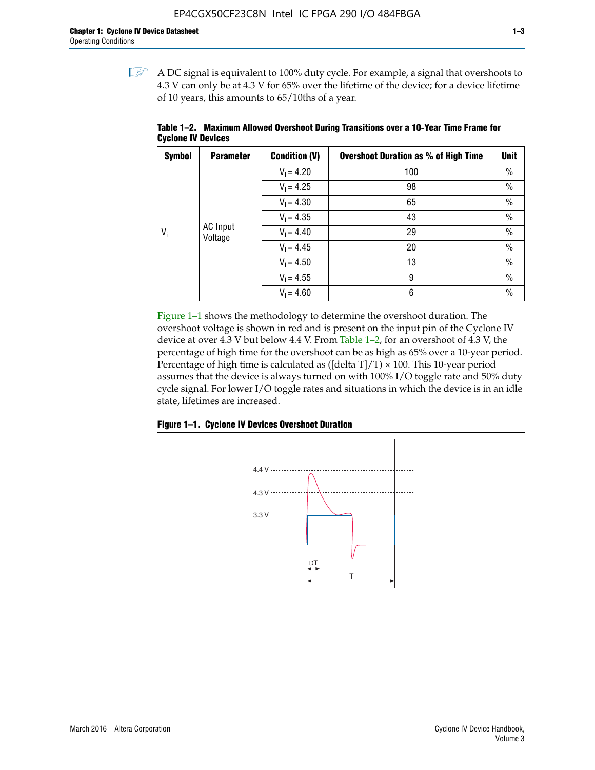$\mathbb{I}$  A DC signal is equivalent to 100% duty cycle. For example, a signal that overshoots to 4.3 V can only be at 4.3 V for 65% over the lifetime of the device; for a device lifetime of 10 years, this amounts to 65/10ths of a year.

| <b>Symbol</b> | <b>Parameter</b>           | <b>Condition (V)</b> | <b>Overshoot Duration as % of High Time</b> | <b>Unit</b>   |    |               |
|---------------|----------------------------|----------------------|---------------------------------------------|---------------|----|---------------|
|               |                            | $V_1 = 4.20$         | 100                                         | $\%$          |    |               |
|               |                            | $V_1 = 4.25$         | 98                                          | $\%$          |    |               |
|               | <b>AC</b> Input<br>Voltage | $V_1 = 4.30$         | 65                                          | $\%$          |    |               |
|               |                            | $V_1 = 4.35$         | 43                                          | $\frac{0}{0}$ |    |               |
| $V_i$         |                            |                      |                                             | $V_1 = 4.40$  | 29 | $\frac{0}{0}$ |
|               |                            | $V_1 = 4.45$         | 20                                          | $\%$          |    |               |
|               |                            | $V_1 = 4.50$         | 13                                          | $\%$          |    |               |
|               |                            | $V_1 = 4.55$         | 9                                           | $\%$          |    |               |
|               |                            | $V_1 = 4.60$         | 6                                           | $\%$          |    |               |

**Table 1–2. Maximum Allowed Overshoot During Transitions over a 10**-**Year Time Frame for Cyclone IV Devices**

Figure 1–1 shows the methodology to determine the overshoot duration. The overshoot voltage is shown in red and is present on the input pin of the Cyclone IV device at over 4.3 V but below 4.4 V. From Table 1–2, for an overshoot of 4.3 V, the percentage of high time for the overshoot can be as high as 65% over a 10-year period. Percentage of high time is calculated as ([delta  $T$ ]/T)  $\times$  100. This 10-year period assumes that the device is always turned on with 100% I/O toggle rate and 50% duty cycle signal. For lower I/O toggle rates and situations in which the device is in an idle state, lifetimes are increased.



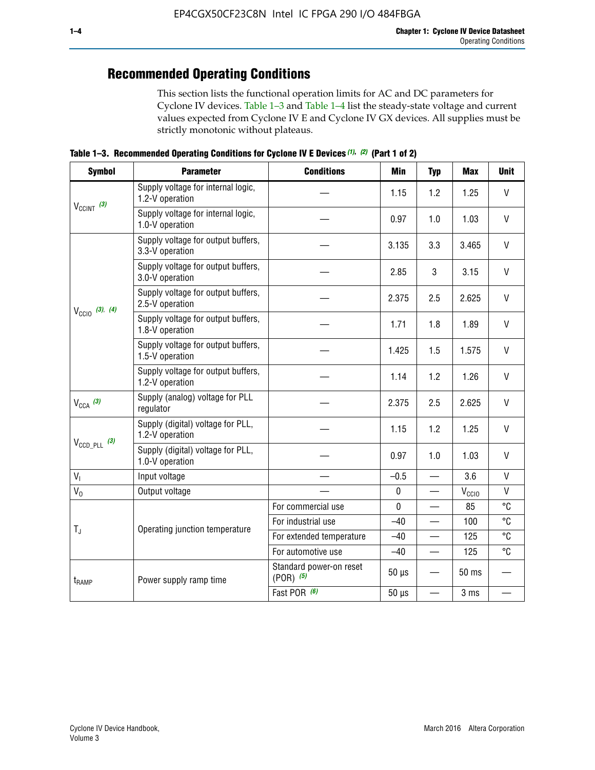## **Recommended Operating Conditions**

This section lists the functional operation limits for AC and DC parameters for Cyclone IV devices. Table 1–3 and Table 1–4 list the steady-state voltage and current values expected from Cyclone IV E and Cyclone IV GX devices. All supplies must be strictly monotonic without plateaus.

**Table 1–3. Recommended Operating Conditions for Cyclone IV E Devices** *(1)***,** *(2)* **(Part 1 of 2)**

| <b>Symbol</b>              | <b>Parameter</b>                                      | <b>Conditions</b>                        | Min                                                                                                                                                                                                                                                                                   | <b>Typ</b> | <b>Max</b>                                                                                                                                                                                                                                                                                                                             | <b>Unit</b> |  |  |  |
|----------------------------|-------------------------------------------------------|------------------------------------------|---------------------------------------------------------------------------------------------------------------------------------------------------------------------------------------------------------------------------------------------------------------------------------------|------------|----------------------------------------------------------------------------------------------------------------------------------------------------------------------------------------------------------------------------------------------------------------------------------------------------------------------------------------|-------------|--|--|--|
|                            | Supply voltage for internal logic,<br>1.2-V operation |                                          | 1.15                                                                                                                                                                                                                                                                                  | 1.2        | $\mathsf{V}$<br>1.25<br>$\mathsf{V}$<br>1.03<br>$\vee$<br>3.465<br>V<br>3.15<br>$\vee$<br>2.625<br>V<br>1.89<br>$\vee$<br>1.575<br>$\mathsf{V}$<br>1.26<br>$\vee$<br>2.625<br>V<br>1.25<br>$\vee$<br>1.03<br>$\mathsf{V}$<br>3.6<br>$\mathsf{V}$<br>$V_{\rm CClO}$<br>°C<br>85<br>°C<br>100<br>°C<br>125<br>°C<br>125<br>50 ms<br>3 ms |             |  |  |  |
| $V_{CClNT}$ (3)            | Supply voltage for internal logic,<br>1.0-V operation |                                          | 0.97                                                                                                                                                                                                                                                                                  | 1.0        |                                                                                                                                                                                                                                                                                                                                        |             |  |  |  |
|                            | Supply voltage for output buffers,<br>3.3-V operation |                                          | 3.135                                                                                                                                                                                                                                                                                 | 3.3        |                                                                                                                                                                                                                                                                                                                                        |             |  |  |  |
|                            | Supply voltage for output buffers,<br>3.0-V operation |                                          | 2.85                                                                                                                                                                                                                                                                                  | 3          |                                                                                                                                                                                                                                                                                                                                        |             |  |  |  |
| $V_{\text{CC10}}$ (3), (4) | Supply voltage for output buffers,<br>2.5-V operation |                                          | 2.375<br>2.5<br>1.8<br>1.71<br>1.425<br>1.5<br>1.2<br>1.14<br>2.375<br>2.5<br>1.15<br>1.2<br>0.97<br>1.0<br>$-0.5$<br>$\overline{\phantom{0}}$<br>$\pmb{0}$<br>—<br>$\mathbf 0$<br>$-40$<br>$-40$<br>$-40$<br>$\qquad \qquad$<br>$50 \mu s$<br>$50 \mu s$<br>$\overline{\phantom{0}}$ |            |                                                                                                                                                                                                                                                                                                                                        |             |  |  |  |
|                            | Supply voltage for output buffers,<br>1.8-V operation |                                          |                                                                                                                                                                                                                                                                                       |            |                                                                                                                                                                                                                                                                                                                                        |             |  |  |  |
|                            | Supply voltage for output buffers,<br>1.5-V operation |                                          |                                                                                                                                                                                                                                                                                       |            |                                                                                                                                                                                                                                                                                                                                        |             |  |  |  |
|                            | Supply voltage for output buffers,<br>1.2-V operation |                                          |                                                                                                                                                                                                                                                                                       |            |                                                                                                                                                                                                                                                                                                                                        |             |  |  |  |
| $V_{CCA}$ (3)              | Supply (analog) voltage for PLL<br>regulator          |                                          |                                                                                                                                                                                                                                                                                       |            |                                                                                                                                                                                                                                                                                                                                        |             |  |  |  |
|                            | Supply (digital) voltage for PLL,<br>1.2-V operation  |                                          |                                                                                                                                                                                                                                                                                       |            |                                                                                                                                                                                                                                                                                                                                        |             |  |  |  |
| $V_{\text{CCD\_PLL}}$ (3)  | Supply (digital) voltage for PLL,<br>1.0-V operation  |                                          |                                                                                                                                                                                                                                                                                       |            |                                                                                                                                                                                                                                                                                                                                        |             |  |  |  |
| V <sub>1</sub>             | Input voltage                                         |                                          |                                                                                                                                                                                                                                                                                       |            |                                                                                                                                                                                                                                                                                                                                        |             |  |  |  |
| $V_0$                      | Output voltage                                        |                                          |                                                                                                                                                                                                                                                                                       |            |                                                                                                                                                                                                                                                                                                                                        |             |  |  |  |
|                            |                                                       | For commercial use                       |                                                                                                                                                                                                                                                                                       |            |                                                                                                                                                                                                                                                                                                                                        |             |  |  |  |
| $T_{\rm J}$                | Operating junction temperature                        | For industrial use                       |                                                                                                                                                                                                                                                                                       |            |                                                                                                                                                                                                                                                                                                                                        |             |  |  |  |
|                            |                                                       | For extended temperature                 |                                                                                                                                                                                                                                                                                       |            |                                                                                                                                                                                                                                                                                                                                        |             |  |  |  |
|                            |                                                       | For automotive use                       |                                                                                                                                                                                                                                                                                       |            |                                                                                                                                                                                                                                                                                                                                        |             |  |  |  |
| t <sub>RAMP</sub>          | Power supply ramp time                                | Standard power-on reset<br>$(POR)$ $(5)$ |                                                                                                                                                                                                                                                                                       |            |                                                                                                                                                                                                                                                                                                                                        |             |  |  |  |
|                            |                                                       | Fast POR (6)                             |                                                                                                                                                                                                                                                                                       |            |                                                                                                                                                                                                                                                                                                                                        |             |  |  |  |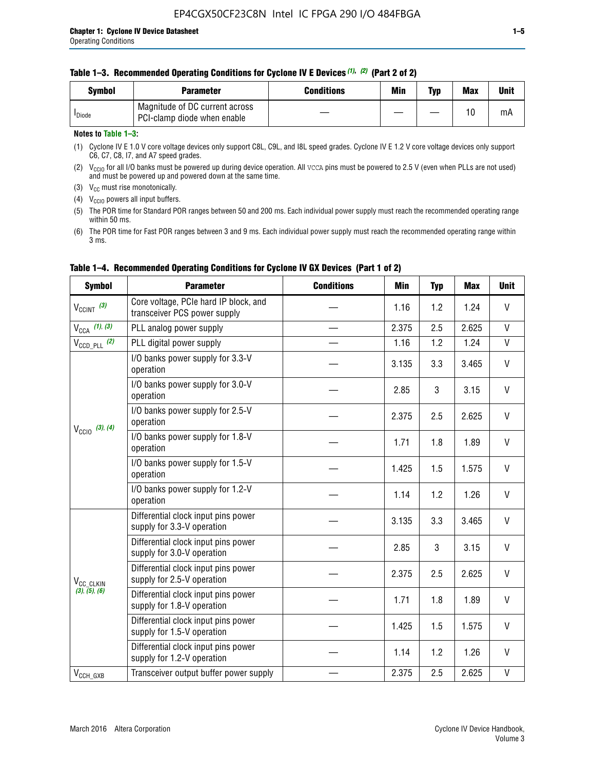#### **Table 1–3. Recommended Operating Conditions for Cyclone IV E Devices** *(1)***,** *(2)* **(Part 2 of 2)**

| Svmbol             | <b>Parameter</b>                                              | <b>Conditions</b> | Min | Typ | <b>Max</b> | Unit |
|--------------------|---------------------------------------------------------------|-------------------|-----|-----|------------|------|
| <sup>I</sup> Diode | Magnitude of DC current across<br>PCI-clamp diode when enable |                   |     |     | 10         | mA   |

#### **Notes to Table 1–3:**

(1) Cyclone IV E 1.0 V core voltage devices only support C8L, C9L, and I8L speed grades. Cyclone IV E 1.2 V core voltage devices only support C6, C7, C8, I7, and A7 speed grades.

(2)  $V_{CCIO}$  for all I/O banks must be powered up during device operation. All vcca pins must be powered to 2.5 V (even when PLLs are not used) and must be powered up and powered down at the same time.

(3)  $V_{CC}$  must rise monotonically.

(4)  $V_{\text{CCIO}}$  powers all input buffers.

(5) The POR time for Standard POR ranges between 50 and 200 ms. Each individual power supply must reach the recommended operating range within 50 ms.

(6) The POR time for Fast POR ranges between 3 and 9 ms. Each individual power supply must reach the recommended operating range within 3 ms.

| <b>Symbol</b>                                                                                                                                                                                                                  | <b>Parameter</b>                                                      | <b>Conditions</b> | Min   | <b>Typ</b> | <b>Max</b>                                                                                   | <b>Unit</b>  |
|--------------------------------------------------------------------------------------------------------------------------------------------------------------------------------------------------------------------------------|-----------------------------------------------------------------------|-------------------|-------|------------|----------------------------------------------------------------------------------------------|--------------|
| $V_{\text{CCINT}}$ (3)                                                                                                                                                                                                         | Core voltage, PCIe hard IP block, and<br>transceiver PCS power supply |                   | 1.16  | 1.2        | 1.24                                                                                         | V            |
| $V_{CCA}$ (1), (3)                                                                                                                                                                                                             | PLL analog power supply                                               |                   | 2.375 | 2.5        | 2.625                                                                                        | V            |
| $V_{\text{CCD\_PLL}}$ (2)                                                                                                                                                                                                      | PLL digital power supply                                              |                   | 1.16  | 1.2        | 1.24                                                                                         | $\mathsf{V}$ |
|                                                                                                                                                                                                                                | I/O banks power supply for 3.3-V<br>operation                         |                   | 3.135 | 3.3        | 3.465                                                                                        | V            |
|                                                                                                                                                                                                                                | I/O banks power supply for 3.0-V<br>operation                         |                   | 2.85  | 3          | 3.15                                                                                         | V            |
| I/O banks power supply for 2.5-V<br>operation<br>$V_{\text{CC10}}$ (3), (4)<br>I/O banks power supply for 1.8-V<br>operation<br>I/O banks power supply for 1.5-V<br>operation<br>I/O banks power supply for 1.2-V<br>operation |                                                                       | 2.375             | 2.5   | 2.625      | V                                                                                            |              |
|                                                                                                                                                                                                                                |                                                                       |                   | 1.71  | 1.8        | 1.89                                                                                         | V            |
|                                                                                                                                                                                                                                |                                                                       |                   | 1.425 | 1.5        | 1.575                                                                                        | V            |
|                                                                                                                                                                                                                                |                                                                       |                   | 1.14  | 1.2        | 1.26                                                                                         | V            |
|                                                                                                                                                                                                                                | Differential clock input pins power<br>supply for 3.3-V operation     |                   | 3.135 | 3.3        | 3.465                                                                                        | V            |
|                                                                                                                                                                                                                                | Differential clock input pins power<br>supply for 3.0-V operation     |                   | 2.85  | 3          | 3.15                                                                                         | V            |
| V <sub>CC_CLKIN</sub>                                                                                                                                                                                                          | Differential clock input pins power<br>supply for 2.5-V operation     |                   | 2.375 | 2.5        | V<br>2.625<br>V<br>1.8<br>1.89<br>V<br>1.5<br>1.575<br>V<br>1.2<br>1.26<br>2.625<br>V<br>2.5 |              |
| (3), (5), (6)                                                                                                                                                                                                                  | Differential clock input pins power<br>supply for 1.8-V operation     |                   | 1.71  |            |                                                                                              |              |
|                                                                                                                                                                                                                                | Differential clock input pins power<br>supply for 1.5-V operation     |                   | 1.425 |            |                                                                                              |              |
|                                                                                                                                                                                                                                | Differential clock input pins power<br>supply for 1.2-V operation     |                   | 1.14  |            |                                                                                              |              |
| $V_{CCH_GXB}$                                                                                                                                                                                                                  | Transceiver output buffer power supply                                |                   | 2.375 |            |                                                                                              |              |

### **Table 1–4. Recommended Operating Conditions for Cyclone IV GX Devices (Part 1 of 2)**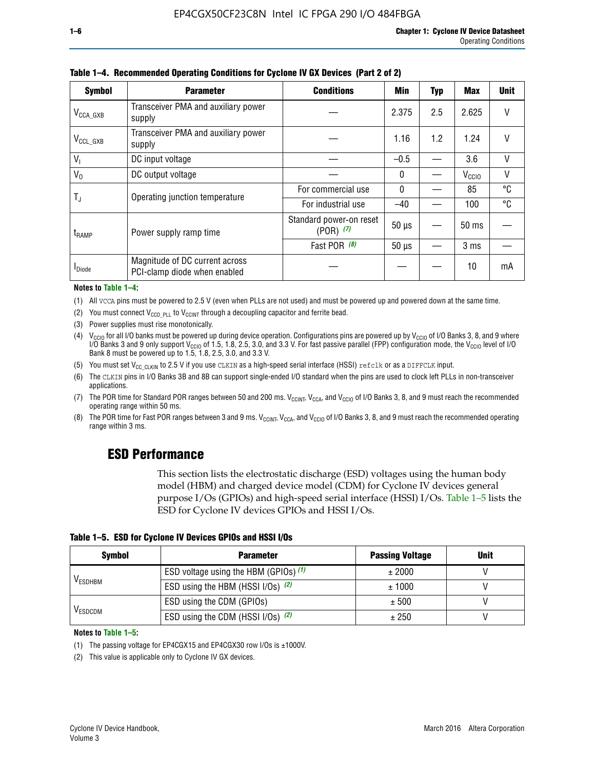| <b>Symbol</b>         | <b>Parameter</b>                                               | <b>Conditions</b>                        | Min          | <b>Typ</b> | Max               | <b>Unit</b> |
|-----------------------|----------------------------------------------------------------|------------------------------------------|--------------|------------|-------------------|-------------|
| $V_{\text{CCA\_GXB}}$ | Transceiver PMA and auxiliary power<br>supply                  |                                          | 2.375        | 2.5        | 2.625             | $\vee$      |
| $V_{\rm CCL\_GXB}$    | Transceiver PMA and auxiliary power<br>supply                  |                                          | 1.16         | 1.2        | 1.24              | V           |
| V <sub>1</sub>        | DC input voltage                                               |                                          | $-0.5$       |            | 3.6               | V           |
| $V_0$                 | DC output voltage                                              |                                          | $\mathbf{0}$ |            | V <sub>CCIO</sub> | V           |
|                       | Operating junction temperature                                 | For commercial use                       | 0            |            | 85                | °C          |
| $T_{\rm J}$           |                                                                | For industrial use                       | $-40$        |            | 100               | °C          |
| t <sub>RAMP</sub>     | Power supply ramp time                                         | Standard power-on reset<br>$(POR)$ $(7)$ | $50 \mu s$   |            | $50 \text{ ms}$   |             |
|                       |                                                                | Fast POR (8)                             | $50 \mu s$   |            | 3 <sub>ms</sub>   |             |
| <b>I</b> Diode        | Magnitude of DC current across<br>PCI-clamp diode when enabled |                                          |              |            | 10                | mA          |

**Table 1–4. Recommended Operating Conditions for Cyclone IV GX Devices (Part 2 of 2)**

#### **Notes to Table 1–4:**

- (1) All VCCA pins must be powered to 2.5 V (even when PLLs are not used) and must be powered up and powered down at the same time.
- (2) You must connect  $V_{CCD-PLL}$  to  $V_{CCINT}$  through a decoupling capacitor and ferrite bead.
- (3) Power supplies must rise monotonically.
- (4)  $V_{\text{CCIO}}$  for all I/O banks must be powered up during device operation. Configurations pins are powered up by V<sub>CCIO</sub> of I/O Banks 3, 8, and 9 where I/O Banks 3 and 9 only support V<sub>CCIO</sub> of 1.5, 1.8, 2.5, 3.0, and 3.3 V. For fast passive parallel (FPP) configuration mode, the V<sub>CCIO</sub> level of I/O<br>Bank 8 must be powered up to 1.5, 1.8, 2.5, 3.0, and 3.3 V.
- (5) You must set  $V_{CC_CCLKIN}$  to 2.5 V if you use CLKIN as a high-speed serial interface (HSSI) refclk or as a DIFFCLK input.
- (6) The CLKIN pins in I/O Banks 3B and 8B can support single-ended I/O standard when the pins are used to clock left PLLs in non-transceiver applications.
- (7) The POR time for Standard POR ranges between 50 and 200 ms.  $V_{\text{CCIA}}$ ,  $V_{\text{CCIA}}$ , and  $V_{\text{CCIO}}$  of I/O Banks 3, 8, and 9 must reach the recommended operating range within 50 ms.
- (8) The POR time for Fast POR ranges between 3 and 9 ms.  $V_{\text{CCH},T}$ ,  $V_{\text{CCA}}$ , and  $V_{\text{CCI}}$  of I/O Banks 3, 8, and 9 must reach the recommended operating range within 3 ms.

## **ESD Performance**

This section lists the electrostatic discharge (ESD) voltages using the human body model (HBM) and charged device model (CDM) for Cyclone IV devices general purpose I/Os (GPIOs) and high-speed serial interface (HSSI) I/Os. Table 1–5 lists the ESD for Cyclone IV devices GPIOs and HSSI I/Os.

|  |  |  |  | Table 1–5. ESD for Cyclone IV Devices GPIOs and HSSI I/Os |  |
|--|--|--|--|-----------------------------------------------------------|--|
|--|--|--|--|-----------------------------------------------------------|--|

| <b>Symbol</b>  | <b>Parameter</b>                      | <b>Passing Voltage</b> | <b>Unit</b> |
|----------------|---------------------------------------|------------------------|-------------|
|                | ESD voltage using the HBM (GPIOs) (1) | ± 2000                 |             |
| <b>VESDHBM</b> | ESD using the HBM (HSSI I/Os) (2)     | ± 1000                 |             |
|                | ESD using the CDM (GPIOs)             | ± 500                  |             |
| <b>VESDCDM</b> | ESD using the CDM (HSSI I/Os) (2)     | ± 250                  |             |

#### **Notes to Table 1–5:**

(1) The passing voltage for EP4CGX15 and EP4CGX30 row I/Os is ±1000V.

(2) This value is applicable only to Cyclone IV GX devices.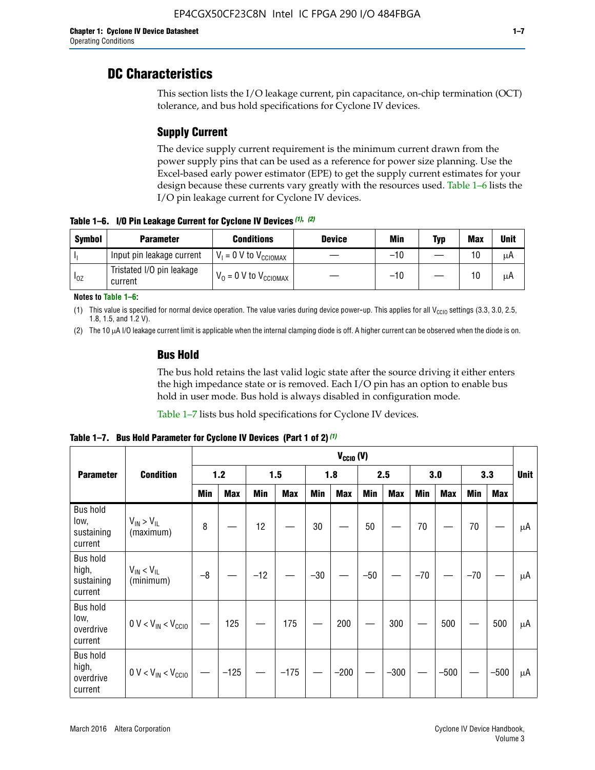## **DC Characteristics**

This section lists the I/O leakage current, pin capacitance, on-chip termination (OCT) tolerance, and bus hold specifications for Cyclone IV devices.

## **Supply Current**

The device supply current requirement is the minimum current drawn from the power supply pins that can be used as a reference for power size planning. Use the Excel-based early power estimator (EPE) to get the supply current estimates for your design because these currents vary greatly with the resources used. Table 1–6 lists the I/O pin leakage current for Cyclone IV devices.

**Table 1–6. I/O Pin Leakage Current for Cyclone IV Devices** *(1)***,** *(2)*

| <b>Symbol</b> | <b>Parameter</b>                     | <b>Conditions</b>                     | <b>Device</b> | Min   | Typ | <b>Max</b> | <b>Unit</b> |
|---------------|--------------------------------------|---------------------------------------|---------------|-------|-----|------------|-------------|
| -lı           | Input pin leakage current            | $V_1 = 0$ V to $V_{\text{CCIOMAX}}$   |               | $-10$ |     | 10         | μA          |
| $I_{0Z}$      | Tristated I/O pin leakage<br>current | $V_0 = 0 V$ to $V_{\text{CCIOMAX}}$ I |               | $-10$ |     | 10         | μA          |

**Notes to Table 1–6:**

(1) This value is specified for normal device operation. The value varies during device power-up. This applies for all V<sub>CCIO</sub> settings (3.3, 3.0, 2.5, 1.8, 1.5, and 1.2 V).

(2) The 10 µA I/O leakage current limit is applicable when the internal clamping diode is off. A higher current can be observed when the diode is on.

### **Bus Hold**

The bus hold retains the last valid logic state after the source driving it either enters the high impedance state or is removed. Each I/O pin has an option to enable bus hold in user mode. Bus hold is always disabled in configuration mode.

Table 1–7 lists bus hold specifications for Cyclone IV devices.

|                                                   |                                  |            | $V_{CClO}$ (V) |       |            |            |            |            |            |       |            |       |            |             |
|---------------------------------------------------|----------------------------------|------------|----------------|-------|------------|------------|------------|------------|------------|-------|------------|-------|------------|-------------|
| <b>Parameter</b>                                  | <b>Condition</b>                 | 1.2        |                | 1.5   |            | 1.8        |            | 2.5        |            | 3.0   |            |       | 3.3        | <b>Unit</b> |
|                                                   |                                  | <b>Min</b> | <b>Max</b>     | Min   | <b>Max</b> | <b>Min</b> | <b>Max</b> | <b>Min</b> | <b>Max</b> | Min   | <b>Max</b> | Min   | <b>Max</b> |             |
| <b>Bus hold</b><br>low,<br>sustaining<br>current  | $V_{IN}$ > $V_{IL}$<br>(maximum) | 8          |                | 12    |            | $30\,$     |            | 50         |            | 70    |            | 70    |            | μA          |
| <b>Bus hold</b><br>high,<br>sustaining<br>current | $V_{IN}$ < $V_{IL}$<br>(minimum) | $-8$       |                | $-12$ |            | $-30$      |            | $-50$      |            | $-70$ |            | $-70$ |            | μA          |
| <b>Bus hold</b><br>low,<br>overdrive<br>current   | $0 V < V_{IN} < V_{CG10}$        |            | 125            |       | 175        |            | 200        |            | 300        |       | 500        |       | 500        | μA          |
| <b>Bus hold</b><br>high,<br>overdrive<br>current  | $0 V < V_{IN} < V_{CG10}$        |            | $-125$         |       | $-175$     |            | $-200$     |            | $-300$     |       | $-500$     |       | $-500$     | μA          |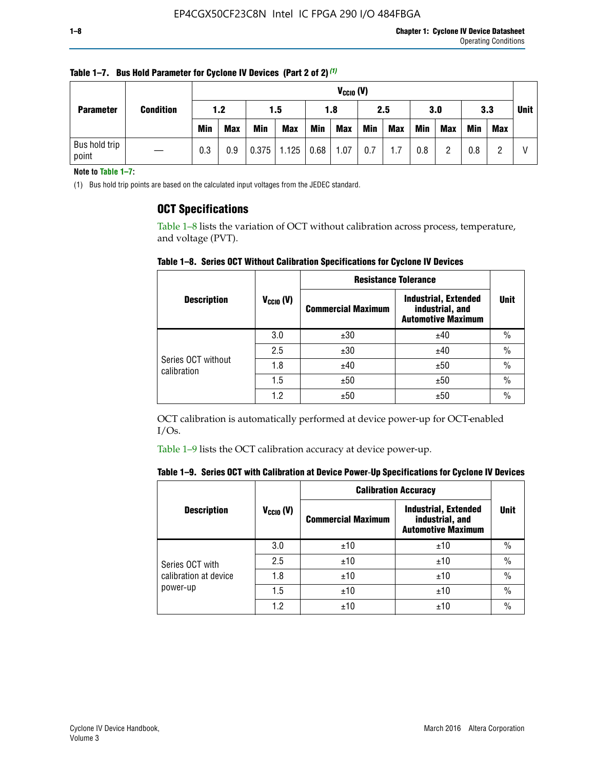|                  |                        |     |            | $V_{CGI0} (V)$ |            |            |            |            |     |            |            |            |            |             |  |
|------------------|------------------------|-----|------------|----------------|------------|------------|------------|------------|-----|------------|------------|------------|------------|-------------|--|
| <b>Parameter</b> | <b>Condition</b>       | 1.2 |            |                | 1.5        |            | 2.5<br>1.8 |            |     | 3.0        |            | 3.3        |            | <b>Unit</b> |  |
|                  |                        |     | <b>Min</b> | <b>Max</b>     | <b>Min</b> | <b>Max</b> | Min        | <b>Max</b> | Min | <b>Max</b> | <b>Min</b> | <b>Max</b> | <b>Min</b> | <b>Max</b>  |  |
|                  | Bus hold trip<br>point |     | 0.3        | 0.9            | 0.375      | 1.125      | 0.68       | 1.07       | 0.7 | 1.7        | 0.8        |            | 0.8        |             |  |

**Table 1–7. Bus Hold Parameter for Cyclone IV Devices (Part 2 of 2)** *(1)*

**Note to Table 1–7:**

(1) Bus hold trip points are based on the calculated input voltages from the JEDEC standard.

### **OCT Specifications**

Table 1–8 lists the variation of OCT without calibration across process, temperature, and voltage (PVT).

**Table 1–8. Series OCT Without Calibration Specifications for Cyclone IV Devices**

|                                   |                      | <b>Resistance Tolerance</b> |                                                                             |               |
|-----------------------------------|----------------------|-----------------------------|-----------------------------------------------------------------------------|---------------|
| <b>Description</b>                | $V_{\text{CCIO}}(V)$ | <b>Commercial Maximum</b>   | <b>Industrial, Extended</b><br>industrial, and<br><b>Automotive Maximum</b> | <b>Unit</b>   |
|                                   | 3.0                  | ±30                         | ±40                                                                         | $\%$          |
|                                   | 2.5                  | ±30                         | ±40                                                                         | $\frac{0}{0}$ |
| Series OCT without<br>calibration | 1.8                  | ±40                         | ±50                                                                         | $\frac{0}{0}$ |
|                                   | 1.5                  | ±50                         | ±50                                                                         | $\frac{0}{0}$ |
|                                   | 1.2                  | ±50                         | ±50                                                                         | $\frac{0}{0}$ |

OCT calibration is automatically performed at device power-up for OCT-enabled I/Os.

Table 1–9 lists the OCT calibration accuracy at device power-up.

|  | Table 1–9.  Series OCT with Calibration at Device Power-Up Specifications for Cyclone IV Devices |  |  |  |
|--|--------------------------------------------------------------------------------------------------|--|--|--|
|--|--------------------------------------------------------------------------------------------------|--|--|--|

|                                   |                | <b>Calibration Accuracy</b> |                                                                             |               |
|-----------------------------------|----------------|-----------------------------|-----------------------------------------------------------------------------|---------------|
| <b>Description</b>                | $V_{CGI0} (V)$ | <b>Commercial Maximum</b>   | <b>Industrial, Extended</b><br>industrial, and<br><b>Automotive Maximum</b> | Unit          |
|                                   | 3.0            | ±10                         | ±10                                                                         | $\%$          |
| Series OCT with                   | 2.5            | ±10                         | ±10                                                                         | $\%$          |
| calibration at device<br>power-up | 1.8            | ±10                         | ±10                                                                         | $\frac{0}{0}$ |
|                                   | 1.5            | ±10                         | ±10                                                                         | $\frac{0}{0}$ |
|                                   | 1.2            | ±10                         | ±10                                                                         | $\frac{0}{0}$ |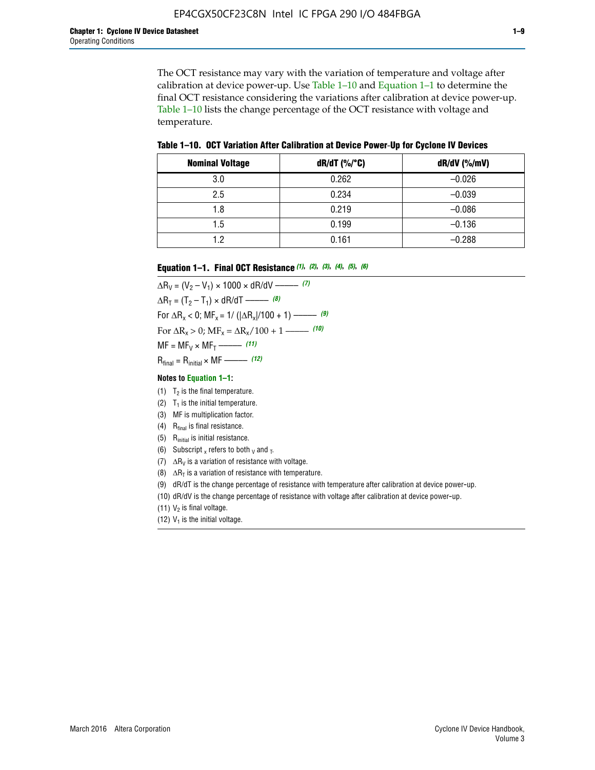The OCT resistance may vary with the variation of temperature and voltage after calibration at device power-up. Use Table 1–10 and Equation 1–1 to determine the final OCT resistance considering the variations after calibration at device power-up. Table 1–10 lists the change percentage of the OCT resistance with voltage and temperature.

**Table 1–10. OCT Variation After Calibration at Device Power**-**Up for Cyclone IV Devices**

| <b>Nominal Voltage</b> | dR/dT (%/°C) | $dR/dV$ (%/mV) |
|------------------------|--------------|----------------|
| 3.0                    | 0.262        | $-0.026$       |
| 2.5                    | 0.234        | $-0.039$       |
| 1.8                    | 0.219        | $-0.086$       |
| 1.5                    | 0.199        | $-0.136$       |
| 1.2                    | 0.161        | $-0.288$       |

#### **Equation 1–1. Final OCT Resistance** *(1)***,** *(2)***,** *(3)***,** *(4)***,** *(5)***,** *(6)*

 $\Delta R_V = (V_2 - V_1) \times 1000 \times dR/dV$  ––––––––––––(7)  $\Delta R_T = (T_2 - T_1) \times dR/dT$  –––––––– *(8)* For  $\Delta R_x < 0$ ; MF<sub>x</sub> = 1/ ( $|\Delta R_x|/100 + 1$ ) –––––– (9) For  $\Delta R_x > 0$ ;  $\text{MF}_x = \Delta R_x / 100 + 1$  ——– (10)  $MF = MF_V \times MF_T$  –––––––––––(11) Rfinal = Rinitial × MF ––––– *(12)*

#### **Notes to Equation 1–1:**

- (1)  $T_2$  is the final temperature.
- (2)  $T_1$  is the initial temperature.
- (3) MF is multiplication factor.
- (4)  $R<sub>final</sub>$  is final resistance.
- (5) Rinitial is initial resistance.
- (6) Subscript x refers to both  $\sqrt{v}$  and  $\sqrt{v}$ .
- (7)  $\Delta R_V$  is a variation of resistance with voltage.
- (8)  $\Delta R_T$  is a variation of resistance with temperature.
- (9) dR/dT is the change percentage of resistance with temperature after calibration at device power-up.
- (10) dR/dV is the change percentage of resistance with voltage after calibration at device power-up.
- (11)  $V_2$  is final voltage.
- (12)  $V_1$  is the initial voltage.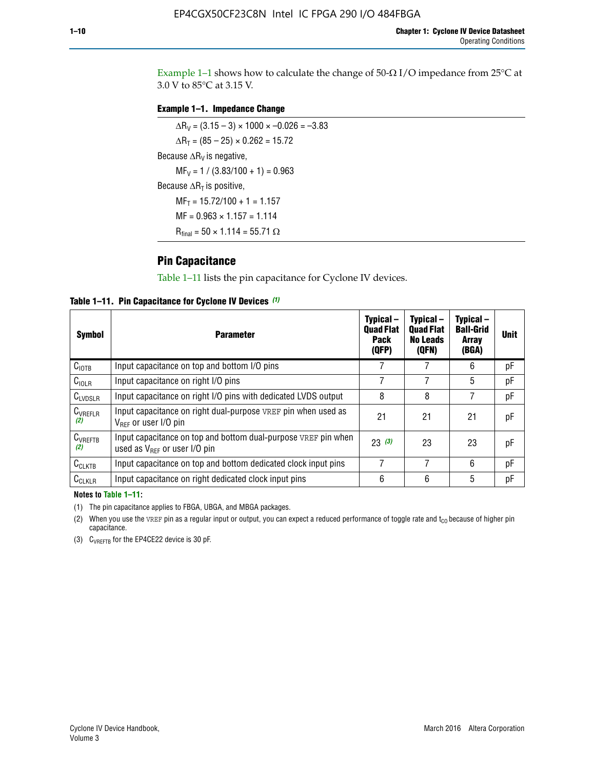Example 1-1 shows how to calculate the change of  $50$ - $\Omega$  I/O impedance from 25°C at 3.0 V to 85°C at 3.15 V.

#### **Example 1–1. Impedance Change**

 $\Delta R_V = (3.15 - 3) \times 1000 \times -0.026 = -3.83$  $\Delta R_T = (85 - 25) \times 0.262 = 15.72$ Because  $\Delta R_V$  is negative,  $MF_V = 1 / (3.83/100 + 1) = 0.963$ Because  $\Delta R_T$  is positive,  $MF_T = 15.72/100 + 1 = 1.157$  $MF = 0.963 \times 1.157 = 1.114$  $R_{final} = 50 \times 1.114 = 55.71 \Omega$ 

### **Pin Capacitance**

Table 1–11 lists the pin capacitance for Cyclone IV devices.

**Table 1–11. Pin Capacitance for Cyclone IV Devices** *(1)*

| Symbol              | <b>Parameter</b>                                                                                           | Typical-<br><b>Quad Flat</b><br><b>Pack</b><br>(QFP) | Typical-<br><b>Quad Flat</b><br><b>No Leads</b><br>(QFN) | Typical-<br><b>Ball-Grid</b><br><b>Array</b><br>(BGA) | <b>Unit</b> |
|---------------------|------------------------------------------------------------------------------------------------------------|------------------------------------------------------|----------------------------------------------------------|-------------------------------------------------------|-------------|
| C <sub>IOTB</sub>   | Input capacitance on top and bottom I/O pins                                                               |                                                      |                                                          | 6                                                     | рF          |
| $C_{IOLR}$          | Input capacitance on right I/O pins                                                                        |                                                      |                                                          | 5                                                     | рF          |
| $C_{LVDSLR}$        | Input capacitance on right I/O pins with dedicated LVDS output                                             | 8                                                    | 8                                                        |                                                       | рF          |
| $C_{VREFLR}$<br>(2) | Input capacitance on right dual-purpose VREF pin when used as<br>$V_{BFE}$ or user I/O pin                 | 21                                                   | 21                                                       | 21                                                    | pF          |
| $C_{VREFTB}$<br>(2) | Input capacitance on top and bottom dual-purpose VREF pin when<br>used as $V_{\text{RFF}}$ or user I/O pin | 23(3)                                                | 23                                                       | 23                                                    | pF          |
| $C_{CLKTB}$         | Input capacitance on top and bottom dedicated clock input pins                                             | 7                                                    | 7                                                        | 6                                                     | pF          |
| $C_{CLKLR}$         | Input capacitance on right dedicated clock input pins                                                      | 6                                                    | 6                                                        | 5                                                     | рF          |

#### **Notes to Table 1–11:**

(1) The pin capacitance applies to FBGA, UBGA, and MBGA packages.

(2) When you use the VREF pin as a regular input or output, you can expect a reduced performance of toggle rate and  $t_{\rm CO}$  because of higher pin capacitance.

(3) CVREFTB for the EP4CE22 device is 30 pF.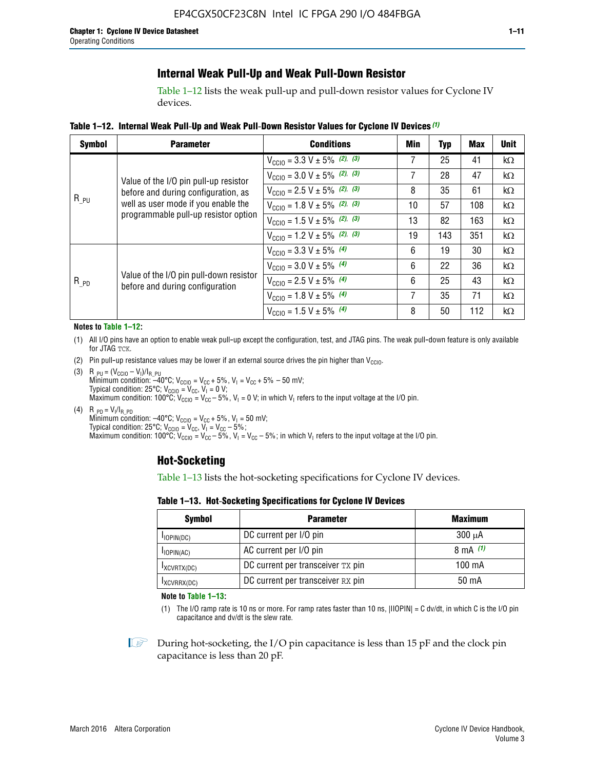## **Internal Weak Pull-Up and Weak Pull-Down Resistor**

Table 1–12 lists the weak pull-up and pull-down resistor values for Cyclone IV devices.

**Table 1–12. Internal Weak Pull**-**Up and Weak Pull**-**Down Resistor Values for Cyclone IV Devices** *(1)*

| <b>Symbol</b> | <b>Parameter</b>                                                            | <b>Conditions</b>                                  | Min | <b>Typ</b> | <b>Max</b> | <b>Unit</b> |
|---------------|-----------------------------------------------------------------------------|----------------------------------------------------|-----|------------|------------|-------------|
|               |                                                                             | $V_{\text{CC10}} = 3.3 \text{ V} \pm 5\%$ (2), (3) | 7   | 25         | 41         | kΩ          |
|               | Value of the I/O pin pull-up resistor                                       | $V_{\text{CC10}} = 3.0 \text{ V} \pm 5\%$ (2), (3) | 7   | 28         | 47         | kΩ          |
|               | before and during configuration, as                                         | $V_{\text{CC10}} = 2.5 V \pm 5\%$ (2), (3)         | 8   | 35         | 61         | $k\Omega$   |
| $R_{PU}$      | well as user mode if you enable the<br>programmable pull-up resistor option | $V_{\text{CGI0}} = 1.8 V \pm 5\%$ (2), (3)         | 10  | 57         | 108        | $k\Omega$   |
|               |                                                                             | $V_{\text{CC10}} = 1.5 V \pm 5\%$ (2), (3)         | 13  | 82         | 163        | $k\Omega$   |
|               |                                                                             | $V_{\text{CC10}} = 1.2 V \pm 5\%$ (2), (3)         | 19  | 143        | 351        | kΩ          |
|               |                                                                             | $V_{\text{CC10}} = 3.3 V \pm 5\%$ (4)              | 6   | 19         | 30         | kΩ          |
|               |                                                                             | $V_{\text{CC10}} = 3.0 V \pm 5\%$ (4)              | 6   | 22         | 36         | kΩ          |
| $R_{PD}$      | Value of the I/O pin pull-down resistor<br>before and during configuration  | $V_{\text{CC10}} = 2.5 V \pm 5\%$ (4)              | 6   | 25         | 43         | $k\Omega$   |
|               |                                                                             | $V_{\text{CC10}} = 1.8 V \pm 5\%$ (4)              | 7   | 35         | 71         | $k\Omega$   |
|               |                                                                             | $V_{\text{CC10}} = 1.5 V \pm 5\%$ (4)              | 8   | 50         | 112        | $k\Omega$   |

#### **Notes to Table 1–12:**

- (1) All I/O pins have an option to enable weak pull-up except the configuration, test, and JTAG pins. The weak pull-down feature is only available for JTAG TCK.
- (2) Pin pull-up resistance values may be lower if an external source drives the pin higher than  $V_{\text{CCIO}}$ .
- (3)  $R_{PU} = (V_{CC10} V_1)/I_{R_PU}$ Minimum condition: –40°C; V<sub>CCIO</sub> = V<sub>CC</sub> + 5%, V<sub>I</sub> = V<sub>CC</sub> + 5% – 50 mV; Typical condition: 25°C; V<sub>CCIO</sub> = V<sub>CC</sub>, V<sub>I</sub> = 0 V; Maximum condition: 100°C;  $V_{\text{CCIO}} = V_{\text{CC}} - 5\%$ ,  $V_1 = 0$  V; in which  $V_1$  refers to the input voltage at the I/O pin.
- (4)  $R_{PD} = V_I/I_{R_PD}$ Minimum condition:  $-40^{\circ}$ C; V<sub>CCIO</sub> = V<sub>CC</sub> + 5%, V<sub>I</sub> = 50 mV; Typical condition: 25°C;  $V_{\text{CCIO}} = V_{\text{CC}}$ ,  $V_{\text{I}} = V_{\text{CC}} - 5\%$ ; Maximum condition: 100°C; V<sub>CClO</sub> = V<sub>CC</sub> – 5%, V<sub>I</sub> = V<sub>CC</sub> – 5%; in which V<sub>I</sub> refers to the input voltage at the I/O pin.

### **Hot-Socketing**

Table 1–13 lists the hot-socketing specifications for Cyclone IV devices.

**Table 1–13. Hot**-**Socketing Specifications for Cyclone IV Devices**

| <b>Symbol</b> | <b>Maximum</b>                    |             |
|---------------|-----------------------------------|-------------|
| $I$ IOPIN(DC) | DC current per I/O pin            | $300 \mu A$ |
| $I$ IOPIN(AC) | AC current per I/O pin            | 8 mA $(1)$  |
| IXCVRTX(DC)   | DC current per transceiver TX pin | 100 mA      |
| IXCVRRX(DC)   | DC current per transceiver RX pin | 50 mA       |

**Note to Table 1–13:**

(1) The I/O ramp rate is 10 ns or more. For ramp rates faster than 10 ns, |IIOPIN| = C dv/dt, in which C is the I/O pin capacitance and dv/dt is the slew rate.

 $\mathbb{I} \rightarrow \mathbb{I}$  During hot-socketing, the I/O pin capacitance is less than 15 pF and the clock pin capacitance is less than 20 pF.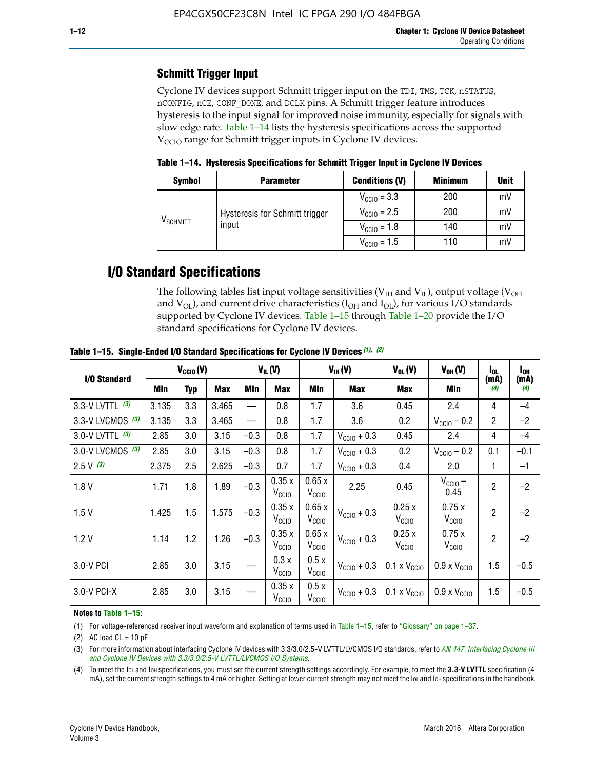## **Schmitt Trigger Input**

Cyclone IV devices support Schmitt trigger input on the TDI, TMS, TCK, nSTATUS, nCONFIG, nCE, CONF\_DONE, and DCLK pins. A Schmitt trigger feature introduces hysteresis to the input signal for improved noise immunity, especially for signals with slow edge rate. Table 1–14 lists the hysteresis specifications across the supported  $V<sub>CCIO</sub>$  range for Schmitt trigger inputs in Cyclone IV devices.

**Table 1–14. Hysteresis Specifications for Schmitt Trigger Input in Cyclone IV Devices**

| <b>Symbol</b>     | <b>Parameter</b>               | <b>Conditions (V)</b>   | <b>Minimum</b> | <b>Unit</b> |
|-------------------|--------------------------------|-------------------------|----------------|-------------|
|                   |                                | $V_{\text{CGI0}} = 3.3$ | 200            | mV          |
|                   | Hysteresis for Schmitt trigger | $V_{\text{CGI0}} = 2.5$ | 200            | mV          |
| $\rm{V_{SCHMIT}}$ | input                          | $V_{\text{CCIO}} = 1.8$ | 140            | mV          |
|                   |                                | $V_{\text{CCIO}} = 1.5$ | 110            | mV          |

## **I/O Standard Specifications**

The following tables list input voltage sensitivities ( $V<sub>IH</sub>$  and  $V<sub>II</sub>$ ), output voltage ( $V<sub>OH</sub>$ and  $V_{OL}$ ), and current drive characteristics ( $I_{OH}$  and  $I_{OL}$ ), for various I/O standards supported by Cyclone IV devices. Table 1–15 through Table 1–20 provide the I/O standard specifications for Cyclone IV devices.

|                   | $V_{CClO}(V)$ |            | $V_{IL}(V)$ |        |                            | $V_{IH} (V)$               | $V_{OL}(V)$             | $V_{OH} (V)$                 | l <sub>OL</sub>              | $I_{0H}$       |             |
|-------------------|---------------|------------|-------------|--------|----------------------------|----------------------------|-------------------------|------------------------------|------------------------------|----------------|-------------|
| I/O Standard      | Min           | <b>Typ</b> | Max         | Min    | Max                        | Min                        | <b>Max</b>              | Max                          | Min                          | (mA)<br>(4)    | (mA)<br>(4) |
| 3.3-V LVTTL (3)   | 3.135         | 3.3        | 3.465       |        | 0.8                        | 1.7                        | 3.6                     | 0.45                         | 2.4                          | 4              | $-4$        |
| 3.3-V LVCMOS (3)  | 3.135         | 3.3        | 3.465       |        | 0.8                        | 1.7                        | 3.6                     | 0.2                          | $V_{\text{CCIO}} - 0.2$      | $\overline{2}$ | $-2$        |
| 3.0-V LVTTL $(3)$ | 2.85          | 3.0        | 3.15        | $-0.3$ | 0.8                        | 1.7                        | $V_{\text{CC}10}$ + 0.3 | 0.45                         | 2.4                          | $\overline{4}$ | $-4$        |
| 3.0-V LVCMOS (3)  | 2.85          | 3.0        | 3.15        | $-0.3$ | 0.8                        | 1.7                        | $V_{\text{CCI}0}$ + 0.3 | 0.2                          | $V_{\text{CC10}} - 0.2$      | 0.1            | $-0.1$      |
| $2.5 V$ (3)       | 2.375         | 2.5        | 2.625       | $-0.3$ | 0.7                        | 1.7                        | $V_{\text{CCI}0}$ + 0.3 | 0.4                          | 2.0                          | 1              | $-1$        |
| 1.8V              | 1.71          | 1.8        | 1.89        | $-0.3$ | 0.35x<br>V <sub>CCIO</sub> | 0.65x<br>V <sub>CCIO</sub> | 2.25                    | 0.45                         | $V_{\text{CCIO}}$ –<br>0.45  | $\overline{2}$ | $-2$        |
| 1.5V              | 1.425         | 1.5        | 1.575       | $-0.3$ | 0.35x<br>V <sub>CCIO</sub> | 0.65x<br>V <sub>CCIO</sub> | $V_{\text{CGI0}} + 0.3$ | 0.25x<br>V <sub>CCIO</sub>   | 0.75x<br>V <sub>CCIO</sub>   | $\overline{2}$ | $-2$        |
| 1.2V              | 1.14          | 1.2        | 1.26        | $-0.3$ | 0.35x<br>V <sub>CCIO</sub> | 0.65x<br>V <sub>CCIO</sub> | $V_{\text{CGI0}} + 0.3$ | 0.25x<br>V <sub>CCIO</sub>   | 0.75x<br>V <sub>CCIO</sub>   | $\overline{2}$ | $-2$        |
| 3.0-V PCI         | 2.85          | 3.0        | 3.15        |        | 0.3x<br>V <sub>CCIO</sub>  | 0.5x<br>V <sub>CCIO</sub>  | $V_{\text{CC}10}$ + 0.3 | $0.1 \times V_{CC10}$        | $0.9 \times V_{\text{CC10}}$ | 1.5            | $-0.5$      |
| 3.0-V PCI-X       | 2.85          | 3.0        | 3.15        |        | 0.35x<br>V <sub>CCIO</sub> | 0.5x<br>V <sub>CCIO</sub>  | $V_{\text{CC10}} + 0.3$ | $0.1 \times V_{\text{CCIO}}$ | $0.9 \times V_{\text{CC10}}$ | 1.5            | $-0.5$      |

**Table 1–15. Single**-**Ended I/O Standard Specifications for Cyclone IV Devices** *(1)***,** *(2)*

#### **Notes to Table 1–15:**

(1) For voltage-referenced receiver input waveform and explanation of terms used in Table 1–15, refer to "Glossary" on page 1–37.

(2) AC load  $CL = 10$  pF

(3) For more information about interfacing Cyclone IV devices with 3.3/3.0/2.5-V LVTTL/LVCMOS I/O standards, refer to *[AN 447: Interfacing Cyclone III](http://www.altera.com/literature/an/an447.pdf)  [and Cyclone IV Devices with 3.3/3.0/2.5-V LVTTL/LVCMOS I/O Systems](http://www.altera.com/literature/an/an447.pdf)*.

(4) To meet the IOL and IOH specifications, you must set the current strength settings accordingly. For example, to meet the **3.3-V LVTTL** specification (4 mA), set the current strength settings to 4 mA or higher. Setting at lower current strength may not meet the lou and lon specifications in the handbook.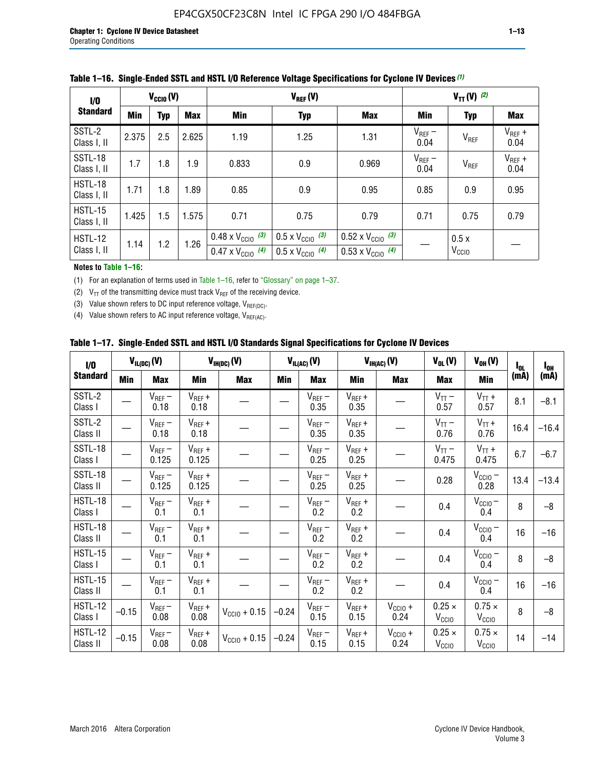| 1/0                    | $V_{CGI0}(V)$ |            |       |                                                                        | $V_{REF}(V)$                                                         |                                                                        |                     |                           | $V_{TT} (V)$ (2)    |  |  |  |
|------------------------|---------------|------------|-------|------------------------------------------------------------------------|----------------------------------------------------------------------|------------------------------------------------------------------------|---------------------|---------------------------|---------------------|--|--|--|
| <b>Standard</b>        | Min           | <b>Typ</b> | Max   | Min                                                                    | <b>Typ</b>                                                           | <b>Max</b>                                                             | Min                 | <b>Typ</b>                | Max                 |  |  |  |
| SSTL-2<br>Class I, II  | 2.375         | 2.5        | 2.625 | 1.19                                                                   | 1.25                                                                 | 1.31                                                                   | $V_{REF}$ –<br>0.04 | V <sub>REF</sub>          | $V_{REF}$ +<br>0.04 |  |  |  |
| SSTL-18<br>Class I, II | 1.7           | 1.8        | 1.9   | 0.833                                                                  | 0.9                                                                  | 0.969                                                                  | $V_{REF}$ –<br>0.04 | V <sub>REF</sub>          | $V_{REF}$ +<br>0.04 |  |  |  |
| HSTL-18<br>Class I, II | 1.71          | 1.8        | .89   | 0.85                                                                   | 0.9                                                                  | 0.95                                                                   | 0.85                | 0.9                       | 0.95                |  |  |  |
| HSTL-15<br>Class I, II | 1.425         | 1.5        | 1.575 | 0.71                                                                   | 0.75                                                                 | 0.79                                                                   | 0.71                | 0.75                      | 0.79                |  |  |  |
| HSTL-12<br>Class I, II | 1.14          | 1.2        | 1.26  | $0.48 \times V_{\text{CC10}}$ (3)<br>$0.47 \times V_{\text{CC10}}$ (4) | $0.5 \times V_{\text{CC10}}$ (3)<br>$0.5 \times V_{\text{CC10}}$ (4) | $0.52 \times V_{\text{CC10}}$ (3)<br>$0.53 \times V_{\text{CC10}}$ (4) |                     | 0.5x<br>V <sub>CCIO</sub> |                     |  |  |  |

|  |  |  |  | Table 1–16. Single-Ended SSTL and HSTL I/O Reference Voltage Specifications for Cyclone IV Devices (1) |
|--|--|--|--|--------------------------------------------------------------------------------------------------------|
|--|--|--|--|--------------------------------------------------------------------------------------------------------|

#### **Notes to Table 1–16:**

(1) For an explanation of terms used in Table 1–16, refer to "Glossary" on page 1–37.

(2)  $V_{TT}$  of the transmitting device must track  $V_{REF}$  of the receiving device.

(3) Value shown refers to DC input reference voltage,  $V_{REF(DC)}$ .

(4) Value shown refers to AC input reference voltage,  $V_{REF(AC)}$ .

|  | Table 1–17.  Single-Ended SSTL and HSTL I/O Standards Signal Specifications for Cyclone IV Devices |  |  |  |  |  |
|--|----------------------------------------------------------------------------------------------------|--|--|--|--|--|
|--|----------------------------------------------------------------------------------------------------|--|--|--|--|--|

| I/O                        |         | $V_{IL(DC)}(V)$        |                                      | $V_{IH(DC)}(V)$       |         | $V_{IL(AC)}(V)$     |                     | $V_{IH(AC)}(V)$      | $V_{OL}(V)$                        | $V_{OH} (V)$                       | l <sub>ol</sub> | $I_{0H}$ |
|----------------------------|---------|------------------------|--------------------------------------|-----------------------|---------|---------------------|---------------------|----------------------|------------------------------------|------------------------------------|-----------------|----------|
| <b>Standard</b>            | Min     | <b>Max</b>             | Min                                  | <b>Max</b>            | Min     | <b>Max</b>          | Min                 | <b>Max</b>           | <b>Max</b>                         | Min                                | (mA)            | (mA)     |
| SSTL-2<br>Class I          |         | $\rm V_{REF}-$<br>0.18 | $V_{REF} +$<br>0.18                  |                       |         | $V_{REF}$ –<br>0.35 | $V_{REF} +$<br>0.35 |                      | $V_{TT}$ –<br>0.57                 | $V_{TT}$ +<br>0.57                 | 8.1             | $-8.1$   |
| SSTL-2<br>Class II         |         | $V_{REF}$ –<br>0.18    | $V_{REF} +$<br>0.18                  |                       |         | $V_{REF}$ –<br>0.35 | $V_{REF} +$<br>0.35 |                      | $V_{TT}$ –<br>0.76                 | $V_{TT}$ +<br>0.76                 | 16.4            | $-16.4$  |
| <b>SSTL-18</b><br>Class I  |         | $V_{REF}$ –<br>0.125   | $V_{REF}$ +<br>0.125                 |                       |         | $V_{REF}$ –<br>0.25 | $V_{REF}$ +<br>0.25 |                      | $V_{TT}$ –<br>0.475                | $V_{TT}$ +<br>0.475                | 6.7             | $-6.7$   |
| <b>SSTL-18</b><br>Class II |         | $V_{REF}$ –<br>0.125   | $V_{REF}$ +<br>0.125                 |                       |         | $V_{REF}$ –<br>0.25 | $V_{REF}$ +<br>0.25 |                      | 0.28                               | $V_{CC10} -$<br>0.28               | 13.4            | $-13.4$  |
| HSTL-18<br>Class I         |         | $V_{REF}$ –<br>0.1     | $V_{REF} +$<br>0.1                   |                       |         | $V_{REF}$ –<br>0.2  | $V_{REF}$ +<br>0.2  |                      | 0.4                                | $V_{CCIO}$ –<br>0.4                | 8               | $-8$     |
| HSTL-18<br>Class II        |         | $V_{REF}$ –<br>0.1     | $V_{REF} +$<br>0.1                   |                       |         | $V_{REF}$ –<br>0.2  | $V_{REF} +$<br>0.2  |                      | 0.4                                | $V_{CC10}$ –<br>0.4                | 16              | $-16$    |
| HSTL-15<br>Class I         |         | $V_{REF}$ –<br>0.1     | $V_{REF} +$<br>0.1                   |                       |         | $V_{REF}$ –<br>0.2  | $V_{REF}$ +<br>0.2  |                      | 0.4                                | $V_{\text{CC1O}} -$<br>0.4         | 8               | $-8$     |
| HSTL-15<br>Class II        |         | $V_{REF}$ –<br>0.1     | $\mathsf{V}_{\mathsf{REF}}$ +<br>0.1 |                       |         | $V_{REF}$ –<br>0.2  | $V_{REF}$ +<br>0.2  |                      | 0.4                                | $V_{CC10}$ –<br>0.4                | 16              | $-16$    |
| <b>HSTL-12</b><br>Class I  | $-0.15$ | $V_{REF}-$<br>0.08     | $V_{REF} +$<br>0.08                  | $V_{CGI0} + 0.15$     | $-0.24$ | $V_{REF}$ –<br>0.15 | $V_{REF} +$<br>0.15 | $V_{CCIO} +$<br>0.24 | $0.25 \times$<br>V <sub>CCIO</sub> | $0.75 \times$<br>V <sub>CCIO</sub> | 8               | $-8$     |
| HSTL-12<br>Class II        | $-0.15$ | $V_{REF}$ –<br>0.08    | $V_{REF} +$<br>0.08                  | $V_{\rm CClO} + 0.15$ | $-0.24$ | $V_{REF}$ –<br>0.15 | $V_{REF} +$<br>0.15 | $V_{CC10}$ +<br>0.24 | $0.25 \times$<br>V <sub>CCIO</sub> | $0.75 \times$<br>V <sub>CCIO</sub> | 14              | $-14$    |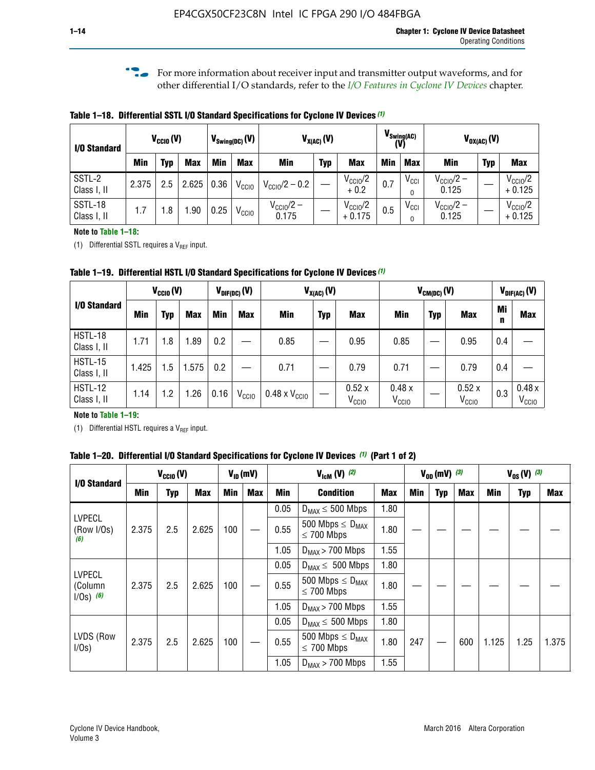**f For more information about receiver input and transmitter output waveforms, and for** other differential I/O standards, refer to the *[I/O Features in Cyclone IV Devices](http://www.altera.com/literature/hb/cyclone-iv/cyiv-51006.pdf)* chapter*.*

**Table 1–18. Differential SSTL I/O Standard Specifications for Cyclone IV Devices** *(1)*

| I/O Standard           |       | $V_{CCl0}(V)$ |            |      | $V_{\text{Swing(DC)}}(V)$ | $V_{X(AC)}(V)$                 |            |                                 | $V_{\text{Swing(AC)}}$<br>(V) |               | $V_{OX(AC)}(V)$                |            |                                 |  |
|------------------------|-------|---------------|------------|------|---------------------------|--------------------------------|------------|---------------------------------|-------------------------------|---------------|--------------------------------|------------|---------------------------------|--|
|                        | Min   | Typ           | <b>Max</b> | Min  | <b>Max</b>                | <b>Min</b>                     | <b>Typ</b> | <b>Max</b>                      | <b>Min</b>                    | <b>Max</b>    | Min                            | <b>Typ</b> | <b>Max</b>                      |  |
| SSTL-2<br>Class I, II  | 2.375 | 2.5           | 2.625      | 0.36 | V <sub>CCIO</sub>         | $V_{\text{CC10}}/2 - 0.2$      |            | $V_{\text{CC10}}/2$<br>$+0.2$   | 0.7                           | $V_{\rm CCI}$ | $V_{\text{CC10}}/2 -$<br>0.125 |            | $V_{\text{CC10}}/2$<br>$+0.125$ |  |
| SSTL-18<br>Class I, II | 1.7   | .8            | .90        | 0.25 | V <sub>CCIO</sub>         | $V_{\text{CC10}}/2 -$<br>0.175 |            | $V_{\text{CC10}}/2$<br>$+0.175$ | 0.5                           | $V_{\rm CCI}$ | $V_{\text{CC10}}/2 -$<br>0.125 |            | $V_{\text{CC10}}/2$<br>$+0.125$ |  |

#### **Note to Table 1–18:**

(1) Differential SSTL requires a  $V_{REF}$  input.

**Table 1–19. Differential HSTL I/O Standard Specifications for Cyclone IV Devices** *(1)*

|                               | $V_{CClO}(V)$ |     |            | $V_{\text{DIF(DC)}}(V)$ |                   | $V_{X(AC)}(V)$                |            |                            | $V_{CM(DC)}(V)$            |            |                            | $V_{\text{DIF(AC)}}(V)$ |                            |
|-------------------------------|---------------|-----|------------|-------------------------|-------------------|-------------------------------|------------|----------------------------|----------------------------|------------|----------------------------|-------------------------|----------------------------|
| I/O Standard                  | Min           | Typ | <b>Max</b> | Min                     | <b>Max</b>        | Min                           | <b>Typ</b> | <b>Max</b>                 | Min                        | <b>Typ</b> | <b>Max</b>                 | Mi<br>n                 | <b>Max</b>                 |
| HSTL-18<br>Class I, II        | 1.71          | 1.8 | .89        | 0.2                     |                   | 0.85                          |            | 0.95                       | 0.85                       |            | 0.95                       | 0.4                     |                            |
| <b>HSTL-15</b><br>Class I, II | 1.425         | 1.5 | .575       | $0.2\,$                 |                   | 0.71                          |            | 0.79                       | 0.71                       |            | 0.79                       | 0.4                     |                            |
| <b>HSTL-12</b><br>Class I, II | 1.14          | 1.2 | 1.26       | 0.16                    | V <sub>CCIO</sub> | $0.48 \times V_{\text{CC10}}$ |            | 0.52x<br>V <sub>CCIO</sub> | 0.48x<br>V <sub>CCIO</sub> |            | 0.52x<br>V <sub>CCIO</sub> | 0.3                     | 0.48x<br>V <sub>CCIO</sub> |

#### **Note to Table 1–19:**

(1) Differential HSTL requires a  $V_{REF}$  input.

**Table 1–20. Differential I/O Standard Specifications for Cyclone IV Devices** *(1)* **(Part 1 of 2)**

|                                         |       | $V_{CCl0} (V)$ |            |            | $V_{ID}$ (mV) | $V_{\text{lcm}}(V)^{(2)}$ |                                            |            | $V_{0D}$ (mV) $(3)$ |     |     | $V_{0S} (V)^{(3)}$ |            |       |
|-----------------------------------------|-------|----------------|------------|------------|---------------|---------------------------|--------------------------------------------|------------|---------------------|-----|-----|--------------------|------------|-------|
| I/O Standard                            | Min   | Typ            | <b>Max</b> | <b>Min</b> | <b>Max</b>    | Min                       | <b>Condition</b>                           | <b>Max</b> | Min                 | Typ | Max | Min                | <b>Typ</b> | Max   |
|                                         |       |                |            |            |               | 0.05                      | $D_{MAX} \leq 500$ Mbps                    | 1.80       |                     |     |     |                    |            |       |
| <b>LVPECL</b><br>(Row I/Os)<br>(6)      | 2.375 | 2.5            | 2.625      | 100        |               | 0.55                      | 500 Mbps $\leq D_{MAX}$<br>$\leq$ 700 Mbps | 1.80       |                     |     |     |                    |            |       |
|                                         |       |                |            |            |               | 1.05                      | $D_{MAX}$ > 700 Mbps                       | 1.55       |                     |     |     |                    |            |       |
|                                         |       |                |            |            |               | 0.05                      | $D_{MAX} \leq 500$ Mbps                    | 1.80       |                     |     |     |                    |            |       |
| <b>LVPECL</b><br>(Column<br>$1/Os)$ (6) | 2.375 | 2.5            | 2.625      | 100        |               | 0.55                      | 500 Mbps $\leq D_{MAX}$<br>$\leq$ 700 Mbps | 1.80       |                     |     |     |                    |            |       |
|                                         |       |                |            |            |               | 1.05                      | $D_{MAX}$ > 700 Mbps                       | 1.55       |                     |     |     |                    |            |       |
|                                         |       |                |            |            |               | 0.05                      | $D_{MAX} \leq 500$ Mbps                    | 1.80       |                     |     |     |                    |            |       |
| LVDS (Row<br>I/Os)                      | 2.375 | 2.5            | 2.625      | 100        |               | 0.55                      | 500 Mbps $\leq D_{MAX}$<br>$\leq 700$ Mbps | 1.80       | 247                 |     | 600 | 1.125              | 1.25       | 1.375 |
|                                         |       |                |            |            |               | 1.05                      | $D_{MAX}$ > 700 Mbps                       | 1.55       |                     |     |     |                    |            |       |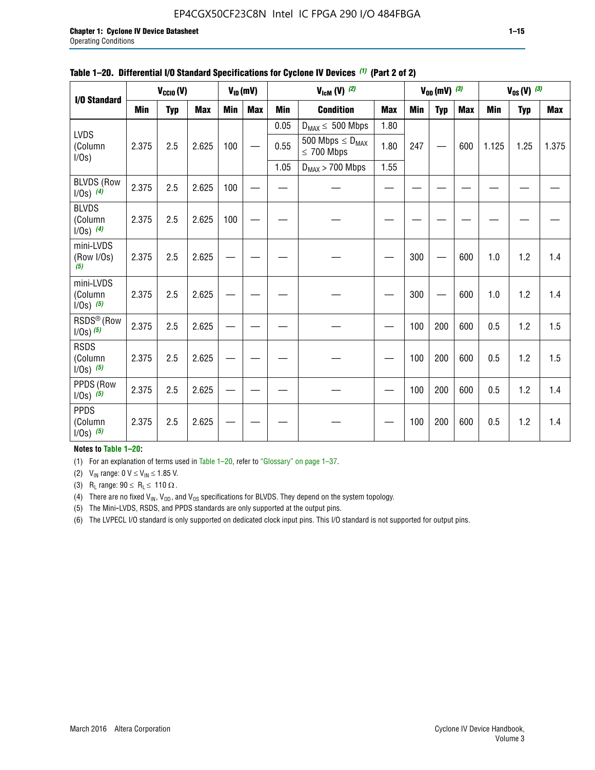#### EP4CGX50CF23C8N Intel IC FPGA 290 I/O 484FBGA

| $V_{CClO}(V)$<br>I/O Standard           |       |            |            | $V_{ID}(mV)$ |            | $V_{\text{lcm}}(V)^{(2)}$ |                                            |            | $V_{OD}$ (mV) $(3)$ |     |            | $V_{0S} (V)$ (3) |            |       |
|-----------------------------------------|-------|------------|------------|--------------|------------|---------------------------|--------------------------------------------|------------|---------------------|-----|------------|------------------|------------|-------|
|                                         | Min   | <b>Typ</b> | <b>Max</b> | <b>Min</b>   | <b>Max</b> | <b>Min</b>                | <b>Condition</b>                           | <b>Max</b> | Min                 | Typ | <b>Max</b> | <b>Min</b>       | <b>Typ</b> | Max   |
|                                         |       |            |            |              |            | 0.05                      | $D_{MAX} \leq 500$ Mbps                    | 1.80       |                     |     |            |                  |            |       |
| <b>LVDS</b><br>(Column<br>I/Os)         | 2.375 | 2.5        | 2.625      | 100          |            | 0.55                      | 500 Mbps $\leq D_{MAX}$<br>$\leq 700$ Mbps | 1.80       | 247                 |     | 600        | 1.125            | 1.25       | 1.375 |
|                                         |       |            |            |              |            | 1.05                      | $D_{MAX}$ > 700 Mbps                       | 1.55       |                     |     |            |                  |            |       |
| <b>BLVDS (Row</b><br>$1/0s)$ (4)        | 2.375 | 2.5        | 2.625      | 100          |            |                           |                                            |            |                     |     |            |                  |            |       |
| <b>BLVDS</b><br>(Column<br>$1/0s)$ (4)  | 2.375 | 2.5        | 2.625      | 100          |            |                           |                                            |            |                     |     |            |                  |            |       |
| mini-LVDS<br>(Row I/Os)<br>(5)          | 2.375 | 2.5        | 2.625      |              |            |                           |                                            |            | 300                 |     | 600        | 1.0              | 1.2        | 1.4   |
| mini-LVDS<br>(Column<br>$1/Os)$ (5)     | 2.375 | 2.5        | 2.625      |              |            |                           |                                            |            | 300                 |     | 600        | 1.0              | 1.2        | 1.4   |
| RSDS <sup>®</sup> (Row<br>$1/0s)$ $(5)$ | 2.375 | 2.5        | 2.625      |              |            |                           |                                            |            | 100                 | 200 | 600        | 0.5              | 1.2        | 1.5   |
| <b>RSDS</b><br>(Column<br>$1/Os)$ (5)   | 2.375 | 2.5        | 2.625      |              |            |                           |                                            |            | 100                 | 200 | 600        | 0.5              | 1.2        | 1.5   |
| PPDS (Row<br>$1/Os)$ (5)                | 2.375 | 2.5        | 2.625      |              |            |                           |                                            |            | 100                 | 200 | 600        | 0.5              | 1.2        | 1.4   |
| <b>PPDS</b><br>(Column<br>$1/Os)$ (5)   | 2.375 | 2.5        | 2.625      |              |            |                           |                                            |            | 100                 | 200 | 600        | 0.5              | 1.2        | 1.4   |

#### **Table 1–20. Differential I/O Standard Specifications for Cyclone IV Devices** *(1)* **(Part 2 of 2)**

#### **Notes to Table 1–20:**

(1) For an explanation of terms used in Table 1–20, refer to "Glossary" on page 1–37.

(2)  $V_{IN}$  range: 0  $V \le V_{IN} \le 1.85$  V.

(3) R<sub>L</sub> range:  $90 \le R_L \le 110 \Omega$ .

(4) There are no fixed  $V_{IN}$ ,  $V_{OD}$ , and  $V_{OS}$  specifications for BLVDS. They depend on the system topology.

(5) The Mini-LVDS, RSDS, and PPDS standards are only supported at the output pins.

(6) The LVPECL I/O standard is only supported on dedicated clock input pins. This I/O standard is not supported for output pins.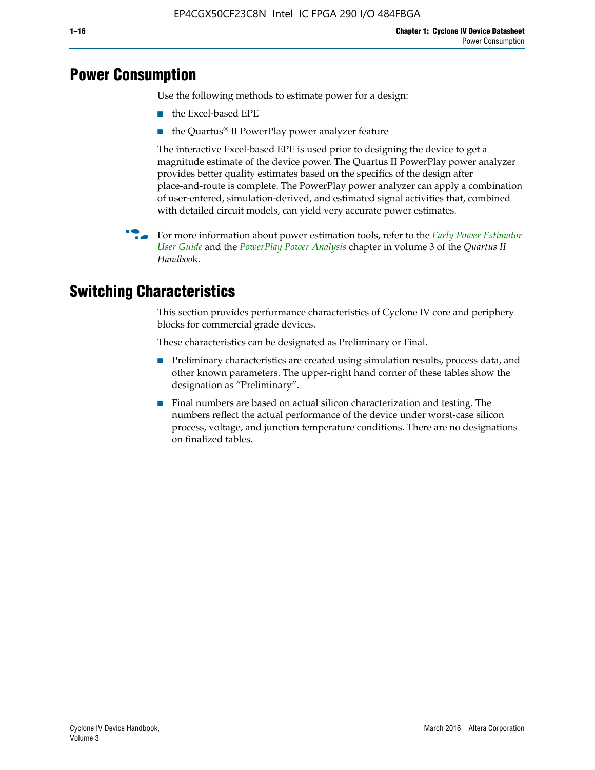## **Power Consumption**

Use the following methods to estimate power for a design:

- the Excel-based EPE
- the Quartus® II PowerPlay power analyzer feature

The interactive Excel-based EPE is used prior to designing the device to get a magnitude estimate of the device power. The Quartus II PowerPlay power analyzer provides better quality estimates based on the specifics of the design after place-and-route is complete. The PowerPlay power analyzer can apply a combination of user-entered, simulation-derived, and estimated signal activities that, combined with detailed circuit models, can yield very accurate power estimates.

f For more information about power estimation tools, refer to the *[Early Power Estimator](http://www.altera.com/literature/ug/ug_epe.pdf
)  [User Guide](http://www.altera.com/literature/ug/ug_epe.pdf
)* and the *[PowerPlay Power Analysis](http://www.altera.com/literature/hb/qts/qts_qii53013.pdf)* chapter in volume 3 of the *Quartus II Handboo*k.

## **Switching Characteristics**

This section provides performance characteristics of Cyclone IV core and periphery blocks for commercial grade devices.

These characteristics can be designated as Preliminary or Final.

- Preliminary characteristics are created using simulation results, process data, and other known parameters. The upper-right hand corner of these tables show the designation as "Preliminary".
- Final numbers are based on actual silicon characterization and testing. The numbers reflect the actual performance of the device under worst-case silicon process, voltage, and junction temperature conditions. There are no designations on finalized tables.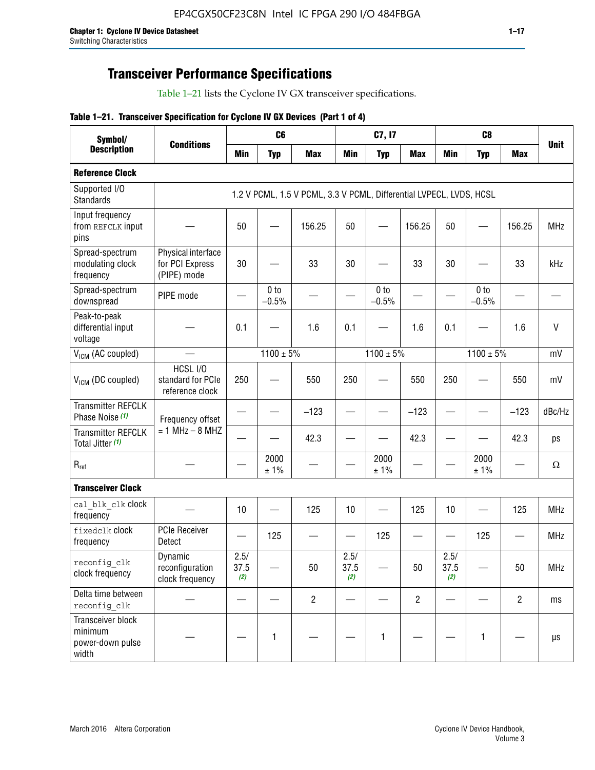## **Transceiver Performance Specifications**

Table 1–21 lists the Cyclone IV GX transceiver specifications.

|  |  |  |  | Table 1-21. Transceiver Specification for Cyclone IV GX Devices (Part 1 of 4) |  |
|--|--|--|--|-------------------------------------------------------------------------------|--|
|--|--|--|--|-------------------------------------------------------------------------------|--|

| Symbol/                                                   |                                                      |                     | C <sub>6</sub>             |                                                                     |                     | C7, I7                     |                   |                     | C <sub>8</sub>             |                |              |
|-----------------------------------------------------------|------------------------------------------------------|---------------------|----------------------------|---------------------------------------------------------------------|---------------------|----------------------------|-------------------|---------------------|----------------------------|----------------|--------------|
| <b>Description</b>                                        | <b>Conditions</b>                                    | <b>Min</b>          | <b>Typ</b>                 | <b>Max</b>                                                          | <b>Min</b>          | <b>Typ</b>                 | <b>Max</b>        | <b>Min</b>          | <b>Typ</b>                 | <b>Max</b>     | <b>Unit</b>  |
| <b>Reference Clock</b>                                    |                                                      |                     |                            |                                                                     |                     |                            |                   |                     |                            |                |              |
| Supported I/O<br><b>Standards</b>                         |                                                      |                     |                            | 1.2 V PCML, 1.5 V PCML, 3.3 V PCML, Differential LVPECL, LVDS, HCSL |                     |                            |                   |                     |                            |                |              |
| Input frequency<br>from REFCLK input<br>pins              |                                                      | 50                  |                            | 156.25                                                              | 50                  |                            | 156.25            | 50                  |                            | 156.25         | <b>MHz</b>   |
| Spread-spectrum<br>modulating clock<br>frequency          | Physical interface<br>for PCI Express<br>(PIPE) mode | 30                  |                            | 33                                                                  | 30                  |                            | 33                | 30                  |                            | 33             | kHz          |
| Spread-spectrum<br>downspread                             | PIPE mode                                            |                     | 0 <sub>to</sub><br>$-0.5%$ |                                                                     |                     | 0 <sub>to</sub><br>$-0.5%$ |                   |                     | 0 <sub>to</sub><br>$-0.5%$ |                |              |
| Peak-to-peak<br>differential input<br>voltage             |                                                      | 0.1                 |                            | 1.6                                                                 | 0.1                 |                            | 1.6               | 0.1                 |                            | 1.6            | $\mathsf{V}$ |
| V <sub>ICM</sub> (AC coupled)                             |                                                      |                     | $1100 \pm 5\%$             |                                                                     |                     | $1100 \pm 5\%$             |                   |                     | $1100 \pm 5\%$             |                | mV           |
| $V_{ICM}$ (DC coupled)                                    | HCSL I/O<br>standard for PCIe<br>reference clock     | 250                 |                            | 550                                                                 | 250                 |                            | 550               | 250                 |                            | 550            | mV           |
| <b>Transmitter REFCLK</b><br>Phase Noise (1)              | Frequency offset                                     |                     |                            | $-123$                                                              |                     |                            | $-123$            |                     |                            | $-123$         | dBc/Hz       |
| <b>Transmitter REFCLK</b><br>Total Jitter (1)             | $= 1$ MHz $- 8$ MHZ                                  |                     |                            | 42.3                                                                |                     |                            | 42.3              |                     |                            | 42.3           | ps           |
| $\mathsf{R}_{\mathsf{ref}}$                               |                                                      |                     | 2000<br>± 1%               |                                                                     |                     | 2000<br>± 1%               |                   |                     | 2000<br>± 1%               |                | Ω            |
| <b>Transceiver Clock</b>                                  |                                                      |                     |                            |                                                                     |                     |                            |                   |                     |                            |                |              |
| cal blk clk clock<br>frequency                            |                                                      | 10                  |                            | 125                                                                 | 10                  |                            | 125               | 10                  | $\overline{\phantom{0}}$   | 125            | MHz          |
| fixedclk clock<br>frequency                               | <b>PCIe Receiver</b><br>Detect                       | $\hspace{0.05cm}$   | 125                        |                                                                     |                     | 125                        | $\hspace{0.05cm}$ | —                   | 125                        |                | <b>MHz</b>   |
| reconfig_clk<br>clock frequency                           | Dynamic<br>reconfiguration<br>clock frequency        | 2.5/<br>37.5<br>(2) |                            | 50                                                                  | 2.5/<br>37.5<br>(2) |                            | 50                | 2.5/<br>37.5<br>(2) |                            | 50             | <b>MHz</b>   |
| Delta time between<br>reconfig clk                        |                                                      |                     |                            | $\overline{2}$                                                      |                     |                            | $\overline{2}$    |                     |                            | $\overline{2}$ | ms           |
| Transceiver block<br>minimum<br>power-down pulse<br>width |                                                      |                     | $\mathbf{1}$               |                                                                     |                     | 1                          |                   |                     | $\mathbf{1}$               |                | $\mu s$      |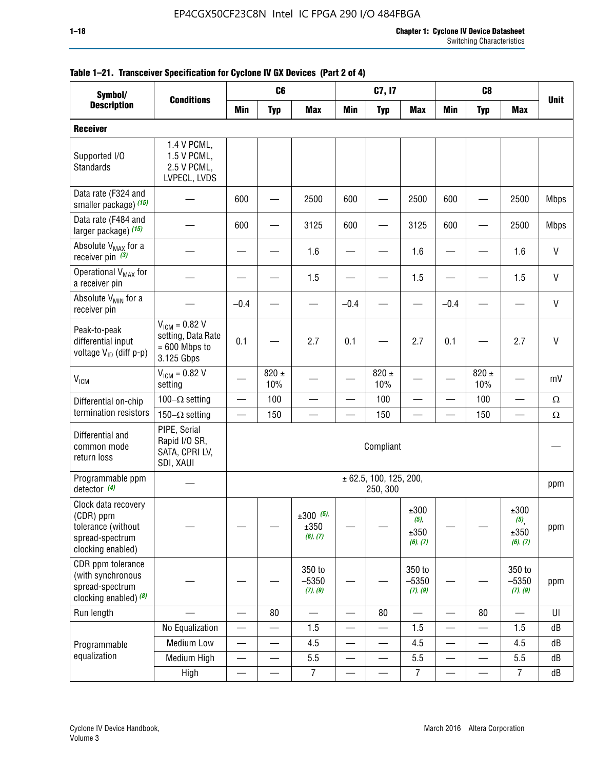| Symbol/                                                                                        |                                                                           | C <sub>8</sub><br>C <sub>6</sub><br>C7, I7<br><b>Conditions</b> |                          |                                    |                          |                                    |                                     |                          |                          |                                 |              |
|------------------------------------------------------------------------------------------------|---------------------------------------------------------------------------|-----------------------------------------------------------------|--------------------------|------------------------------------|--------------------------|------------------------------------|-------------------------------------|--------------------------|--------------------------|---------------------------------|--------------|
| <b>Description</b>                                                                             |                                                                           | <b>Min</b>                                                      | <b>Typ</b>               | <b>Max</b>                         | <b>Min</b>               | <b>Typ</b>                         | <b>Max</b>                          | <b>Min</b>               | <b>Typ</b>               | <b>Max</b>                      | <b>Unit</b>  |
| <b>Receiver</b>                                                                                |                                                                           |                                                                 |                          |                                    |                          |                                    |                                     |                          |                          |                                 |              |
| Supported I/O<br>Standards                                                                     | 1.4 V PCML,<br>1.5 V PCML,<br>2.5 V PCML,<br>LVPECL, LVDS                 |                                                                 |                          |                                    |                          |                                    |                                     |                          |                          |                                 |              |
| Data rate (F324 and<br>smaller package) (15)                                                   |                                                                           | 600                                                             |                          | 2500                               | 600                      |                                    | 2500                                | 600                      |                          | 2500                            | <b>Mbps</b>  |
| Data rate (F484 and<br>larger package) (15)                                                    |                                                                           | 600                                                             |                          | 3125                               | 600                      |                                    | 3125                                | 600                      |                          | 2500                            | <b>Mbps</b>  |
| Absolute V <sub>MAX</sub> for a<br>receiver pin $(3)$                                          |                                                                           |                                                                 |                          | 1.6                                |                          |                                    | 1.6                                 |                          |                          | 1.6                             | $\mathsf{V}$ |
| Operational V <sub>MAX</sub> for<br>a receiver pin                                             |                                                                           |                                                                 |                          | 1.5                                |                          |                                    | 1.5                                 |                          |                          | 1.5                             | $\mathsf{V}$ |
| Absolute V <sub>MIN</sub> for a<br>receiver pin                                                |                                                                           | $-0.4$                                                          |                          |                                    | $-0.4$                   |                                    |                                     | $-0.4$                   |                          |                                 | $\mathsf{V}$ |
| Peak-to-peak<br>differential input<br>voltage V <sub>ID</sub> (diff p-p)                       | $V_{ICM} = 0.82 V$<br>setting, Data Rate<br>$= 600$ Mbps to<br>3.125 Gbps | 0.1                                                             |                          | 2.7                                | 0.1                      |                                    | 2.7                                 | 0.1                      |                          | 2.7                             | $\mathsf{V}$ |
| <b>V<sub>ICM</sub></b>                                                                         | $V_{IGM} = 0.82 V$<br>setting                                             |                                                                 | $820 \pm$<br>10%         |                                    |                          | 820 $\pm$<br>10%                   |                                     |                          | $820 \pm$<br>10%         |                                 | mV           |
| Differential on-chip                                                                           | 100 $-\Omega$ setting                                                     |                                                                 | 100                      |                                    |                          | 100                                |                                     | —<br>—                   | 100                      | $\overline{\phantom{0}}$        | $\Omega$     |
| termination resistors                                                                          | 150 $-\Omega$ setting                                                     |                                                                 | 150                      |                                    |                          | 150                                |                                     |                          | 150                      |                                 | $\Omega$     |
| Differential and<br>common mode<br>return loss                                                 | PIPE, Serial<br>Rapid I/O SR,<br>SATA, CPRI LV,<br>SDI, XAUI              |                                                                 |                          |                                    |                          | Compliant                          |                                     |                          |                          |                                 |              |
| Programmable ppm<br>detector $(4)$                                                             |                                                                           |                                                                 |                          |                                    |                          | ± 62.5, 100, 125, 200,<br>250, 300 |                                     |                          |                          |                                 | ppm          |
| Clock data recovery<br>(CDR) ppm<br>tolerance (without<br>spread-spectrum<br>clocking enabled) |                                                                           |                                                                 |                          | $\pm 300$ (5),<br>±350<br>(6), (7) |                          |                                    | ±300<br>$(5)$ ,<br>±350<br>(6), (7) |                          |                          | ±300<br>(5)<br>±350<br>(6), (7) | ppm          |
| CDR ppm tolerance<br>(with synchronous<br>spread-spectrum<br>clocking enabled) (8)             |                                                                           |                                                                 |                          | 350 to<br>$-5350$<br>(7), (9)      |                          |                                    | 350 to<br>$-5350$<br>(7), (9)       |                          |                          | 350 to<br>$-5350$<br>(7), (9)   | ppm          |
| Run length                                                                                     |                                                                           |                                                                 | 80                       |                                    |                          | 80                                 |                                     |                          | 80                       |                                 | UI           |
|                                                                                                | No Equalization                                                           | —                                                               |                          | 1.5                                | —                        |                                    | 1.5                                 | $\qquad \qquad$          |                          | 1.5                             | dB           |
| Programmable                                                                                   | <b>Medium Low</b>                                                         | —                                                               | $\overline{\phantom{0}}$ | 4.5                                | —                        | $\qquad \qquad$                    | 4.5                                 | —                        | $\overline{\phantom{0}}$ | 4.5                             | dB           |
| equalization                                                                                   | Medium High                                                               | $\overline{\phantom{0}}$                                        | —                        | 5.5                                | —                        | $\qquad \qquad$                    | 5.5                                 | $\overline{\phantom{0}}$ |                          | 5.5                             | dB           |
|                                                                                                | High                                                                      | $\overline{\phantom{0}}$                                        | $\qquad \qquad$          | $\overline{7}$                     | $\overline{\phantom{0}}$ |                                    | 7                                   |                          |                          | $\overline{7}$                  | dB           |

#### **Table 1–21. Transceiver Specification for Cyclone IV GX Devices (Part 2 of 4)**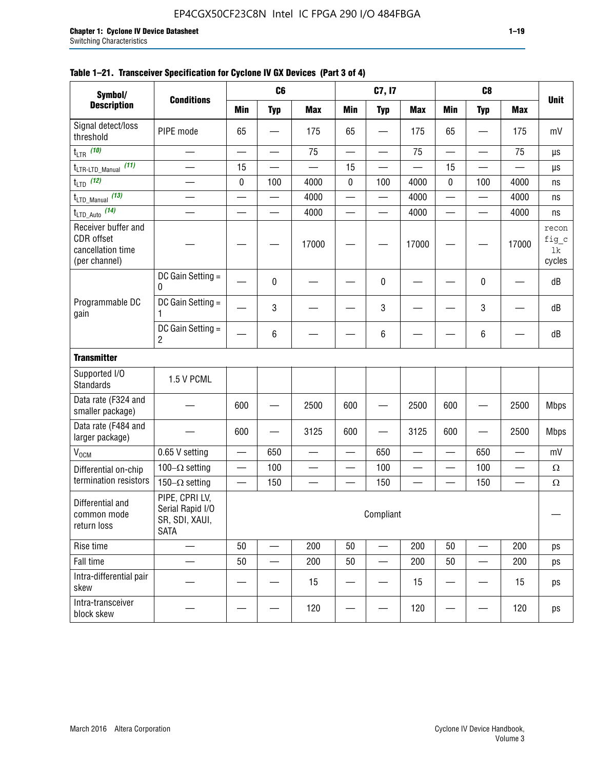| Symbol/                                                                 |                                                                     |     | C <sub>6</sub>           |                          |            | C7, I7                   |                          |                          | C <sub>8</sub>           |                          |                                |
|-------------------------------------------------------------------------|---------------------------------------------------------------------|-----|--------------------------|--------------------------|------------|--------------------------|--------------------------|--------------------------|--------------------------|--------------------------|--------------------------------|
| <b>Description</b>                                                      | <b>Conditions</b>                                                   | Min | <b>Typ</b>               | <b>Max</b>               | <b>Min</b> | <b>Typ</b>               | <b>Max</b>               | <b>Min</b>               | <b>Typ</b>               | <b>Max</b>               | <b>Unit</b>                    |
| Signal detect/loss<br>threshold                                         | PIPE mode                                                           | 65  |                          | 175                      | 65         |                          | 175                      | 65                       |                          | 175                      | mV                             |
| $t_{LTR}$ (10)                                                          |                                                                     |     |                          | 75                       |            | $\overline{\phantom{0}}$ | 75                       |                          |                          | 75                       | μs                             |
| (11)<br>$t_{\text{LTR-LTD\_Manual}}$                                    | $\overline{\phantom{0}}$                                            | 15  | $\overline{\phantom{0}}$ | $\overline{\phantom{0}}$ | 15         |                          | $\overline{\phantom{0}}$ | 15                       | $\overline{\phantom{0}}$ |                          | μs                             |
| $t_{LTD}$ (12)                                                          | $\equiv$                                                            | 0   | 100                      | 4000                     | 0          | 100                      | 4000                     | 0                        | 100                      | 4000                     | ns                             |
| $t_{\text{LTD\_Manual}}$ (13)                                           |                                                                     |     |                          | 4000                     |            | $\overline{\phantom{0}}$ | 4000                     | $\overline{\phantom{0}}$ | erialisti<br>1980        | 4000                     | ns                             |
| $t_{LTD\_Auto}$ (14)                                                    |                                                                     |     |                          | 4000                     |            | —                        | 4000                     | $\overline{\phantom{0}}$ |                          | 4000                     | ns                             |
| Receiver buffer and<br>CDR offset<br>cancellation time<br>(per channel) |                                                                     |     |                          | 17000                    |            |                          | 17000                    |                          |                          | 17000                    | recon<br>fig_c<br>lk<br>cycles |
|                                                                         | DC Gain Setting =<br>0                                              |     | 0                        |                          |            | 0                        |                          |                          | 0                        |                          | dB                             |
| Programmable DC<br>gain                                                 | DC Gain Setting =<br>1                                              |     | 3                        |                          |            | 3                        |                          |                          | 3                        |                          | dB                             |
|                                                                         | DC Gain Setting =<br>2                                              |     | 6                        |                          |            | $\,6$                    |                          |                          | 6                        |                          | dB                             |
| <b>Transmitter</b>                                                      |                                                                     |     |                          |                          |            |                          |                          |                          |                          |                          |                                |
| Supported I/O<br>Standards                                              | 1.5 V PCML                                                          |     |                          |                          |            |                          |                          |                          |                          |                          |                                |
| Data rate (F324 and<br>smaller package)                                 |                                                                     | 600 |                          | 2500                     | 600        |                          | 2500                     | 600                      |                          | 2500                     | <b>Mbps</b>                    |
| Data rate (F484 and<br>larger package)                                  |                                                                     | 600 |                          | 3125                     | 600        |                          | 3125                     | 600                      |                          | 2500                     | <b>Mbps</b>                    |
| V <sub>OCM</sub>                                                        | 0.65 V setting                                                      |     | 650                      | $\overline{\phantom{0}}$ | $\equiv$   | 650                      | $\equiv$                 | $\qquad \qquad$          | 650                      |                          | mV                             |
| Differential on-chip                                                    | 100 $-\Omega$ setting                                               |     | 100                      | $\overline{\phantom{0}}$ |            | 100                      |                          | $\overline{\phantom{0}}$ | 100                      | $\overline{\phantom{0}}$ | $\Omega$                       |
| termination resistors                                                   | 150 $-\Omega$ setting                                               |     | 150                      | $\overline{\phantom{0}}$ |            | 150                      |                          |                          | 150                      |                          | $\Omega$                       |
| Differential and<br>common mode<br>return loss                          | PIPE, CPRI LV,<br>Serial Rapid I/O<br>SR, SDI, XAUI,<br><b>SATA</b> |     |                          |                          |            | Compliant                |                          |                          |                          |                          |                                |
| Rise time                                                               |                                                                     | 50  |                          | 200                      | 50         | $\overline{\phantom{0}}$ | 200                      | 50                       |                          | 200                      | ps                             |
| Fall time                                                               |                                                                     | 50  | —                        | 200                      | 50         | —                        | 200                      | 50                       | —                        | 200                      | ps                             |
| Intra-differential pair<br>skew                                         |                                                                     |     |                          | 15                       |            |                          | 15                       |                          |                          | 15                       | ps                             |
| Intra-transceiver<br>block skew                                         |                                                                     |     |                          | 120                      |            |                          | 120                      |                          |                          | 120                      | ps                             |

#### **Table 1–21. Transceiver Specification for Cyclone IV GX Devices (Part 3 of 4)**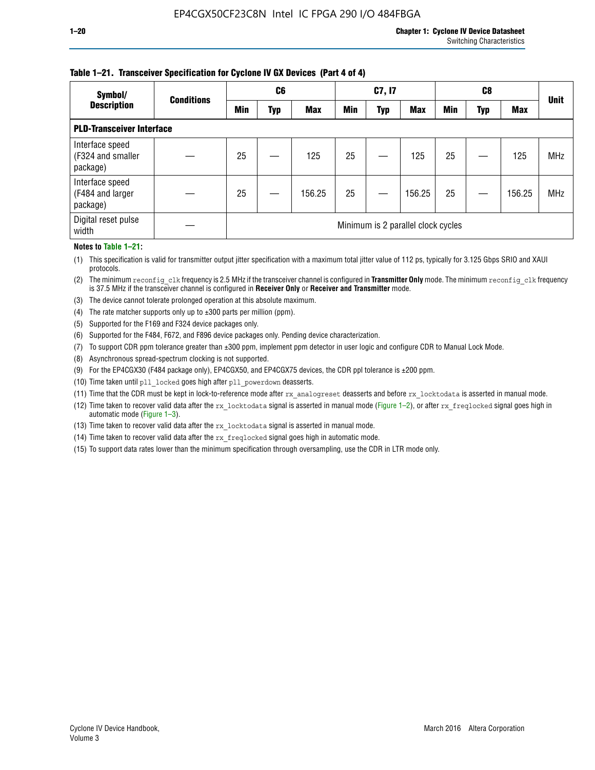### **Table 1–21. Transceiver Specification for Cyclone IV GX Devices (Part 4 of 4)**

| Symbol/                                          | <b>Conditions</b> | C6                                 |     |            | C7, I7 |            |            | C8  |     |            | <b>Unit</b> |
|--------------------------------------------------|-------------------|------------------------------------|-----|------------|--------|------------|------------|-----|-----|------------|-------------|
| <b>Description</b>                               |                   | Min                                | Typ | <b>Max</b> | Min    | <b>Typ</b> | <b>Max</b> | Min | Typ | <b>Max</b> |             |
| <b>PLD-Transceiver Interface</b>                 |                   |                                    |     |            |        |            |            |     |     |            |             |
| Interface speed<br>(F324 and smaller<br>package) |                   | 25                                 |     | 125        | 25     |            | 125        | 25  |     | 125        | <b>MHz</b>  |
| Interface speed<br>(F484 and larger<br>package)  |                   | 25                                 |     | 156.25     | 25     |            | 156.25     | 25  |     | 156.25     | <b>MHz</b>  |
| Digital reset pulse<br>width                     |                   | Minimum is 2 parallel clock cycles |     |            |        |            |            |     |     |            |             |

#### **Notes to Table 1–21:**

(1) This specification is valid for transmitter output jitter specification with a maximum total jitter value of 112 ps, typically for 3.125 Gbps SRIO and XAUI protocols.

(2) The minimum reconfig\_clk frequency is 2.5 MHz if the transceiver channel is configured in **Transmitter Only** mode. The minimum reconfig\_clk frequency is 37.5 MHz if the transceiver channel is configured in **Receiver Only** or **Receiver and Transmitter** mode.

(3) The device cannot tolerate prolonged operation at this absolute maximum.

- (4) The rate matcher supports only up to  $\pm 300$  parts per million (ppm).
- (5) Supported for the F169 and F324 device packages only.
- (6) Supported for the F484, F672, and F896 device packages only. Pending device characterization.
- (7) To support CDR ppm tolerance greater than ±300 ppm, implement ppm detector in user logic and configure CDR to Manual Lock Mode.
- (8) Asynchronous spread-spectrum clocking is not supported.
- (9) For the EP4CGX30 (F484 package only), EP4CGX50, and EP4CGX75 devices, the CDR ppl tolerance is ±200 ppm.
- (10) Time taken until pll\_locked goes high after pll\_powerdown deasserts.
- (11) Time that the CDR must be kept in lock-to-reference mode after rx analogreset deasserts and before rx locktodata is asserted in manual mode.

(12) Time taken to recover valid data after the rx locktodata signal is asserted in manual mode (Figure 1–2), or after rx freqlocked signal goes high in automatic mode (Figure 1–3).

(13) Time taken to recover valid data after the rx locktodata signal is asserted in manual mode.

- (14) Time taken to recover valid data after the rx freqlocked signal goes high in automatic mode.
- (15) To support data rates lower than the minimum specification through oversampling, use the CDR in LTR mode only.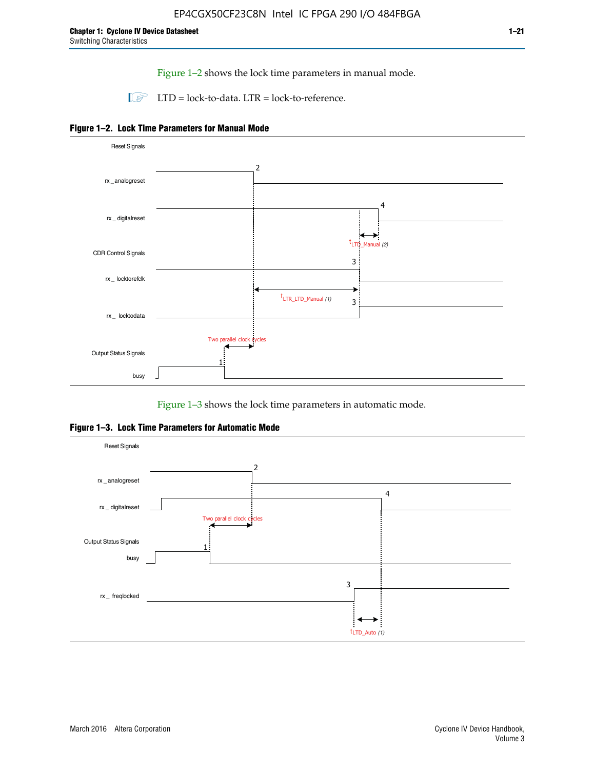Figure 1–2 shows the lock time parameters in manual mode.

 $\Box$  LTD = lock-to-data. LTR = lock-to-reference.





Figure 1–3 shows the lock time parameters in automatic mode.

**Figure 1–3. Lock Time Parameters for Automatic Mode**

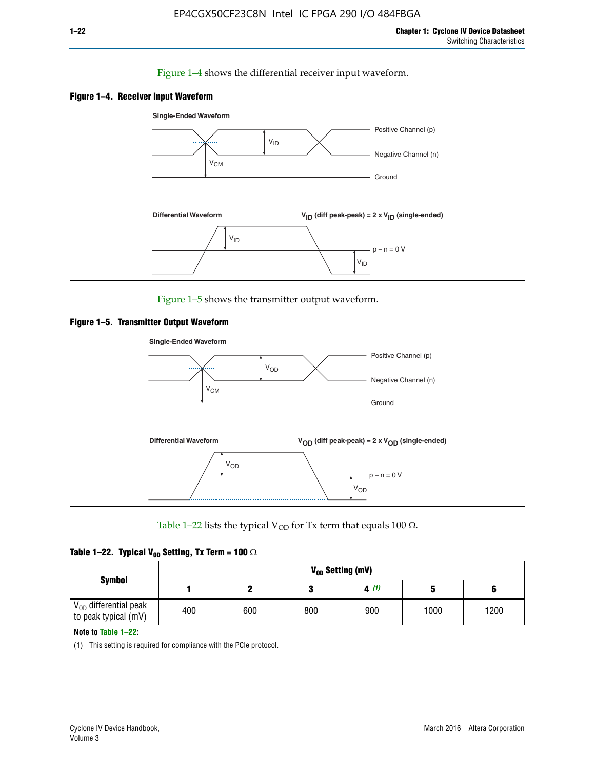#### Figure 1–4 shows the differential receiver input waveform.





Figure 1–5 shows the transmitter output waveform.





Table 1–22 lists the typical V<sub>OD</sub> for Tx term that equals 100  $\Omega$ .

| Table 1–22. Typical V <sub>0D</sub> Setting, Tx Term = 100 $\Omega$ |  |  |  |  |  |  |  |
|---------------------------------------------------------------------|--|--|--|--|--|--|--|
|---------------------------------------------------------------------|--|--|--|--|--|--|--|

|                                                        |     |     |     | V <sub>op</sub> Setting (mV) |      |      |
|--------------------------------------------------------|-----|-----|-----|------------------------------|------|------|
| <b>Symbol</b>                                          |     |     |     | 4(1)                         |      |      |
| $\rm V_{OD}$ differential peak<br>to peak typical (mV) | 400 | 600 | 800 | 900                          | 1000 | 1200 |

**Note to Table 1–22:**

(1) This setting is required for compliance with the PCIe protocol.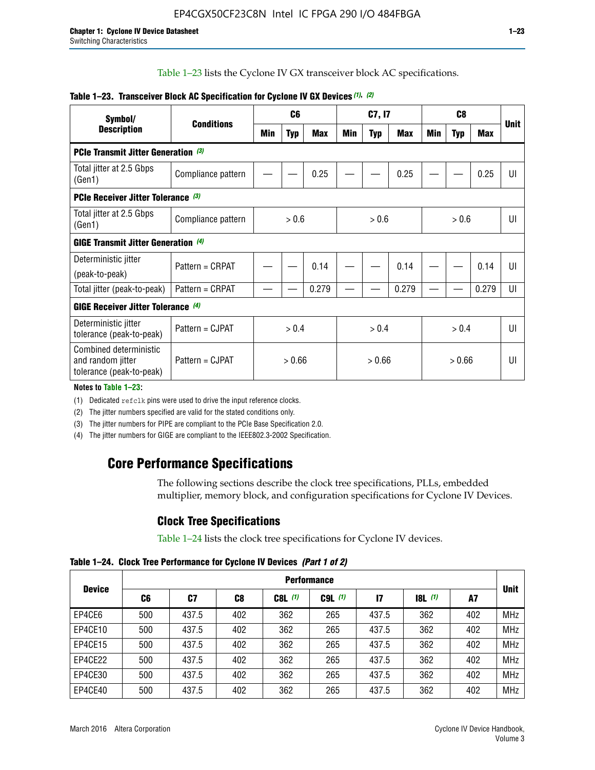Table 1–23 lists the Cyclone IV GX transceiver block AC specifications.

| Symbol/                                                                 | <b>Conditions</b>  |        | C <sub>6</sub> |            | C7, I7 |            | C <sub>8</sub> |     |            |       |             |
|-------------------------------------------------------------------------|--------------------|--------|----------------|------------|--------|------------|----------------|-----|------------|-------|-------------|
| <b>Description</b>                                                      |                    | Min    | <b>Typ</b>     | <b>Max</b> | Min    | <b>Typ</b> | Max            | Min | <b>Typ</b> | Max   | <b>Unit</b> |
| <b>PCIe Transmit Jitter Generation (3)</b>                              |                    |        |                |            |        |            |                |     |            |       |             |
| Total jitter at 2.5 Gbps<br>(Gen1)                                      | Compliance pattern |        |                | 0.25       |        |            | 0.25           |     |            | 0.25  | UI          |
| <b>PCIe Receiver Jitter Tolerance (3)</b>                               |                    |        |                |            |        |            |                |     |            |       |             |
| Total jitter at 2.5 Gbps<br>(Gen1)                                      | Compliance pattern | > 0.6  |                | > 0.6      |        | > 0.6      |                | UI  |            |       |             |
| <b>GIGE Transmit Jitter Generation (4)</b>                              |                    |        |                |            |        |            |                |     |            |       |             |
| Deterministic jitter<br>(peak-to-peak)                                  | Pattern = CRPAT    |        |                | 0.14       |        |            | 0.14           |     |            | 0.14  | UI          |
| Total jitter (peak-to-peak)                                             | Pattern = CRPAT    |        |                | 0.279      |        |            | 0.279          |     |            | 0.279 | UI          |
| <b>GIGE Receiver Jitter Tolerance (4)</b>                               |                    |        |                |            |        |            |                |     |            |       |             |
| Deterministic jitter<br>tolerance (peak-to-peak)                        | Pattern = CJPAT    | > 0.4  |                | > 0.4      |        |            | > 0.4          |     | UI         |       |             |
| Combined deterministic<br>and random jitter<br>tolerance (peak-to-peak) | Pattern = CJPAT    | > 0.66 |                | > 0.66     |        | > 0.66     |                | UI  |            |       |             |

#### **Table 1–23. Transceiver Block AC Specification for Cyclone IV GX Devices** *(1)***,** *(2)*

**Notes to Table 1–23:**

(1) Dedicated refclk pins were used to drive the input reference clocks.

(2) The jitter numbers specified are valid for the stated conditions only.

(3) The jitter numbers for PIPE are compliant to the PCIe Base Specification 2.0.

(4) The jitter numbers for GIGE are compliant to the IEEE802.3-2002 Specification.

## **Core Performance Specifications**

The following sections describe the clock tree specifications, PLLs, embedded multiplier, memory block, and configuration specifications for Cyclone IV Devices.

## **Clock Tree Specifications**

Table 1–24 lists the clock tree specifications for Cyclone IV devices.

**Table 1–24. Clock Tree Performance for Cyclone IV Devices** *(Part 1 of 2)*

|               | <b>Performance</b> |       |     |           |             |               |                  |     |             |
|---------------|--------------------|-------|-----|-----------|-------------|---------------|------------------|-----|-------------|
| <b>Device</b> | C6                 | C7    | C8  | $C8L$ (1) | $C9L$ $(1)$ | $\mathsf{I}7$ | <b>18L</b> $(1)$ | A7  | <b>Unit</b> |
| EP4CE6        | 500                | 437.5 | 402 | 362       | 265         | 437.5         | 362              | 402 | <b>MHz</b>  |
| EP4CE10       | 500                | 437.5 | 402 | 362       | 265         | 437.5         | 362              | 402 | <b>MHz</b>  |
| EP4CE15       | 500                | 437.5 | 402 | 362       | 265         | 437.5         | 362              | 402 | <b>MHz</b>  |
| EP4CE22       | 500                | 437.5 | 402 | 362       | 265         | 437.5         | 362              | 402 | <b>MHz</b>  |
| EP4CE30       | 500                | 437.5 | 402 | 362       | 265         | 437.5         | 362              | 402 | <b>MHz</b>  |
| EP4CE40       | 500                | 437.5 | 402 | 362       | 265         | 437.5         | 362              | 402 | <b>MHz</b>  |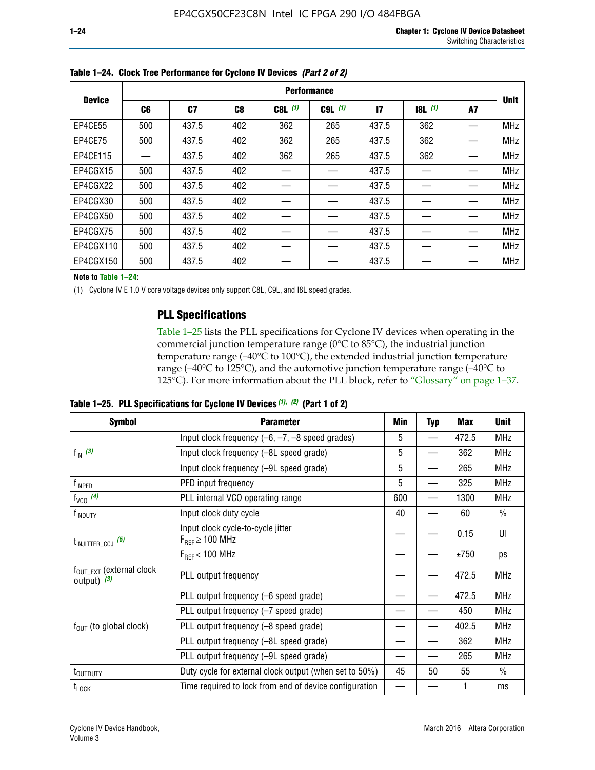|               | <b>Performance</b> |                |     |           |             |              |           |    |             |  |
|---------------|--------------------|----------------|-----|-----------|-------------|--------------|-----------|----|-------------|--|
| <b>Device</b> | C6                 | C <sub>7</sub> | C8  | $C8L$ (1) | $C9L$ $(1)$ | $\mathbf{I}$ | $18L$ (1) | A7 | <b>Unit</b> |  |
| EP4CE55       | 500                | 437.5          | 402 | 362       | 265         | 437.5        | 362       |    | <b>MHz</b>  |  |
| EP4CE75       | 500                | 437.5          | 402 | 362       | 265         | 437.5        | 362       |    | <b>MHz</b>  |  |
| EP4CE115      |                    | 437.5          | 402 | 362       | 265         | 437.5        | 362       |    | <b>MHz</b>  |  |
| EP4CGX15      | 500                | 437.5          | 402 |           |             | 437.5        |           |    | <b>MHz</b>  |  |
| EP4CGX22      | 500                | 437.5          | 402 |           |             | 437.5        |           |    | <b>MHz</b>  |  |
| EP4CGX30      | 500                | 437.5          | 402 |           |             | 437.5        |           |    | <b>MHz</b>  |  |
| EP4CGX50      | 500                | 437.5          | 402 |           |             | 437.5        |           |    | <b>MHz</b>  |  |
| EP4CGX75      | 500                | 437.5          | 402 |           |             | 437.5        |           |    | <b>MHz</b>  |  |
| EP4CGX110     | 500                | 437.5          | 402 |           |             | 437.5        |           |    | <b>MHz</b>  |  |
| EP4CGX150     | 500                | 437.5          | 402 |           |             | 437.5        |           |    | <b>MHz</b>  |  |

**Table 1–24. Clock Tree Performance for Cyclone IV Devices** *(Part 2 of 2)*

**Note to Table 1–24:**

(1) Cyclone IV E 1.0 V core voltage devices only support C8L, C9L, and I8L speed grades.

## **PLL Specifications**

Table 1–25 lists the PLL specifications for Cyclone IV devices when operating in the commercial junction temperature range (0°C to 85°C), the industrial junction temperature range (–40°C to 100°C), the extended industrial junction temperature range (–40°C to 125°C), and the automotive junction temperature range (–40°C to 125°C). For more information about the PLL block, refer to "Glossary" on page 1–37.

|  |  | Table 1–25. PLL Specifications for Cyclone IV Devices $(1)$ , $(2)$ (Part 1 of 2) |  |
|--|--|-----------------------------------------------------------------------------------|--|
|--|--|-----------------------------------------------------------------------------------|--|

| <b>Symbol</b>                                          | <b>Parameter</b>                                            | Min | <b>Typ</b>               | <b>Max</b> | <b>Unit</b>   |
|--------------------------------------------------------|-------------------------------------------------------------|-----|--------------------------|------------|---------------|
|                                                        | Input clock frequency $(-6, -7, -8)$ speed grades)          | 5   | $\qquad \qquad$          | 472.5      | <b>MHz</b>    |
| $f_{\text{IN}}(3)$                                     | Input clock frequency (-8L speed grade)                     | 5   |                          | 362        | <b>MHz</b>    |
|                                                        | Input clock frequency (-9L speed grade)                     | 5   |                          | 265        | <b>MHz</b>    |
| f <sub>INPFD</sub>                                     | PFD input frequency                                         | 5   | $\overline{\phantom{0}}$ | 325        | <b>MHz</b>    |
| $f_{VCO}$ (4)                                          | PLL internal VCO operating range                            | 600 |                          | 1300       | <b>MHz</b>    |
| f <sub>INDUTY</sub>                                    | Input clock duty cycle                                      | 40  |                          | 60         | $\frac{0}{0}$ |
| $t_{\text{INJITTER\_CCJ}}$ (5)                         | Input clock cycle-to-cycle jitter<br>$F_{REF} \geq 100$ MHz |     |                          | 0.15       | UI            |
|                                                        | $F_{RFF}$ < 100 MHz                                         |     |                          | ±750       | ps            |
| $f_{\text{OUT\_EXT}}$ (external clock<br>output) $(3)$ | PLL output frequency                                        |     |                          | 472.5      | <b>MHz</b>    |
|                                                        | PLL output frequency (-6 speed grade)                       |     |                          | 472.5      | <b>MHz</b>    |
|                                                        | PLL output frequency (-7 speed grade)                       |     |                          | 450        | <b>MHz</b>    |
| $f_{OUT}$ (to global clock)                            | PLL output frequency (-8 speed grade)                       |     |                          | 402.5      | <b>MHz</b>    |
|                                                        | PLL output frequency (-8L speed grade)                      |     |                          | 362        | <b>MHz</b>    |
|                                                        | PLL output frequency (-9L speed grade)                      |     |                          | 265        | <b>MHz</b>    |
| t <sub>outduty</sub>                                   | Duty cycle for external clock output (when set to 50%)      | 45  | 50                       | 55         | $\frac{0}{0}$ |
| $t_{\text{LOCK}}$                                      | Time required to lock from end of device configuration      |     |                          |            | ms            |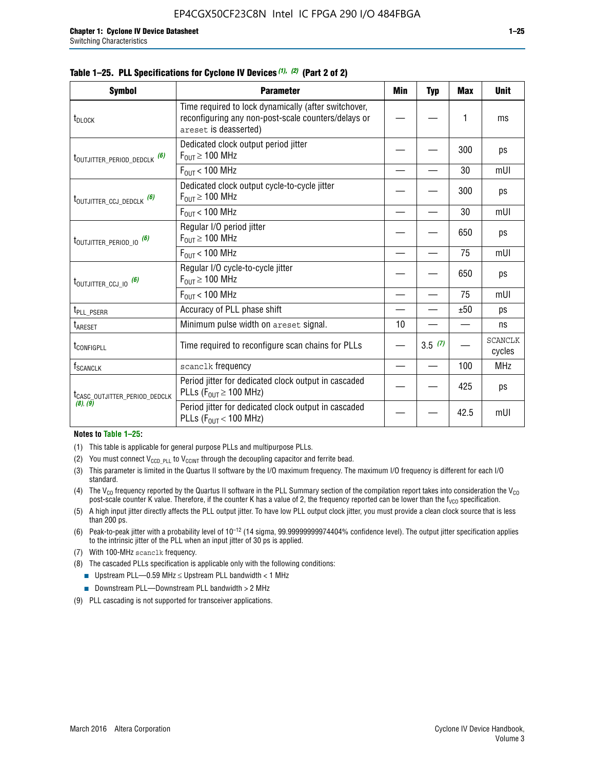|  | Table 1–25. PLL Specifications for Cyclone IV Devices $(1)$ , $(2)$ (Part 2 of 2) |  |  |
|--|-----------------------------------------------------------------------------------|--|--|
|--|-----------------------------------------------------------------------------------|--|--|

| <b>Symbol</b>                             | <b>Parameter</b>                                                                                                                     | Min | <b>Typ</b> | <b>Max</b> | <b>Unit</b>              |
|-------------------------------------------|--------------------------------------------------------------------------------------------------------------------------------------|-----|------------|------------|--------------------------|
| t <sub>DLOCK</sub>                        | Time required to lock dynamically (after switchover,<br>reconfiguring any non-post-scale counters/delays or<br>areset is deasserted) |     |            | 1          | ms                       |
| t <sub>outjitter_period_dedclk</sub> (6)  | Dedicated clock output period jitter<br>$F_{OIII} \geq 100$ MHz                                                                      |     |            | 300        | ps                       |
|                                           | $F_{OUT}$ < 100 MHz                                                                                                                  |     |            | 30         | mUI                      |
| t <sub>outjitter_ccj_dedclk</sub> (6)     | Dedicated clock output cycle-to-cycle jitter<br>$F_{\text{OUT}} \geq 100 \text{ MHz}$                                                |     |            | 300        | ps                       |
|                                           | $F_{OUT}$ < 100 MHz                                                                                                                  |     |            | 30         | mUI                      |
| t <sub>outjitter_period_io</sub> (6)      | Regular I/O period jitter<br>$F_{\text{OUT}} \geq 100 \text{ MHz}$                                                                   |     |            | 650        | ps                       |
|                                           | $F_{\text{OUT}}$ < 100 MHz                                                                                                           |     |            | 75         | mUI                      |
| t <sub>outjitter_ccj_io</sub> (6)         | Regular I/O cycle-to-cycle jitter<br>$F_{OUT} \geq 100$ MHz                                                                          |     |            | 650        | ps                       |
|                                           | $F_{\text{OUT}}$ < 100 MHz                                                                                                           |     |            | 75         | mUI                      |
| t <sub>PLL_PSERR</sub>                    | Accuracy of PLL phase shift                                                                                                          |     |            | ±50        | ps                       |
| t <sub>ARESET</sub>                       | Minimum pulse width on areset signal.                                                                                                | 10  |            |            | ns                       |
| t <sub>configpll</sub>                    | Time required to reconfigure scan chains for PLLs                                                                                    |     | 3.5(7)     |            | <b>SCANCLK</b><br>cycles |
| f <sub>SCANCLK</sub>                      | scanclk frequency                                                                                                                    |     |            | 100        | <b>MHz</b>               |
| t <sub>CASC_OUTJITTER_PERIOD_DEDCLK</sub> | Period jitter for dedicated clock output in cascaded<br>PLLs ( $F_{OUT} \ge 100$ MHz)                                                |     |            | 425        | ps                       |
| (8), (9)                                  | Period jitter for dedicated clock output in cascaded<br>PLLs ( $F_{OUT}$ < 100 MHz)                                                  |     |            | 42.5       | mUI                      |

#### **Notes to Table 1–25:**

- (1) This table is applicable for general purpose PLLs and multipurpose PLLs.
- (2) You must connect  $V_{CCD-PLL}$  to  $V_{CCINT}$  through the decoupling capacitor and ferrite bead.
- (3) This parameter is limited in the Quartus II software by the I/O maximum frequency. The maximum I/O frequency is different for each I/O standard.
- (4) The  $V_{CO}$  frequency reported by the Quartus II software in the PLL Summary section of the compilation report takes into consideration the  $V_{CO}$ post-scale counter K value. Therefore, if the counter K has a value of 2, the frequency reported can be lower than the f<sub>VCO</sub> specification.
- (5) A high input jitter directly affects the PLL output jitter. To have low PLL output clock jitter, you must provide a clean clock source that is less than 200 ps.
- (6) Peak-to-peak jitter with a probability level of 10–12 (14 sigma, 99.99999999974404% confidence level). The output jitter specification applies to the intrinsic jitter of the PLL when an input jitter of 30 ps is applied.
- (7) With 100-MHz scanclk frequency.
- (8) The cascaded PLLs specification is applicable only with the following conditions:
	- **■** Upstream PLL—0.59 MHz  $\leq$  Upstream PLL bandwidth  $<$  1 MHz
	- Downstream PLL—Downstream PLL bandwidth > 2 MHz
- (9) PLL cascading is not supported for transceiver applications.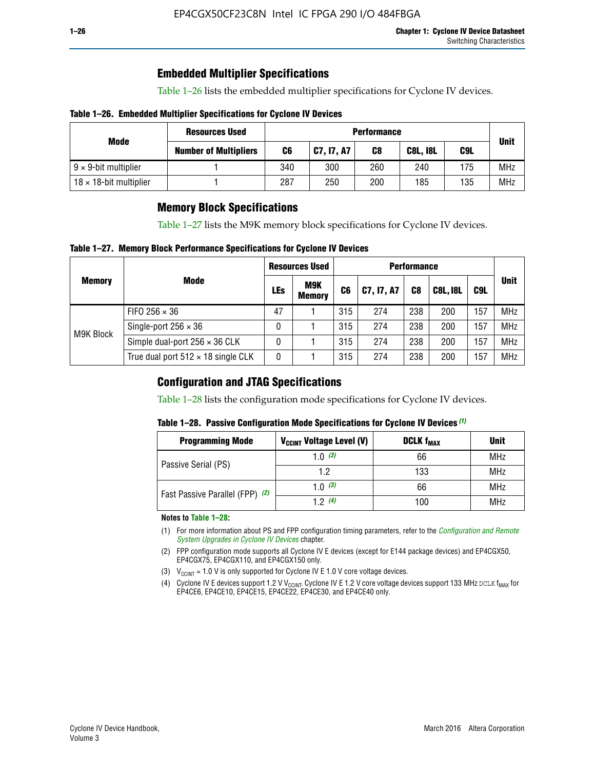## **Embedded Multiplier Specifications**

Table 1–26 lists the embedded multiplier specifications for Cyclone IV devices.

#### **Table 1–26. Embedded Multiplier Specifications for Cyclone IV Devices**

|                                | <b>Resources Used</b>        | <b>Performance</b> |            |     |                 |     |             |
|--------------------------------|------------------------------|--------------------|------------|-----|-----------------|-----|-------------|
| Mode                           | <b>Number of Multipliers</b> | C6                 | C7, I7, A7 | C8  | <b>C8L, I8L</b> | C9L | <b>Unit</b> |
| $9 \times 9$ -bit multiplier   |                              | 340                | 300        | 260 | 240             | 175 | <b>MHz</b>  |
| $18 \times 18$ -bit multiplier |                              | 287                | 250        | 200 | 185             | 135 | <b>MHz</b>  |

## **Memory Block Specifications**

Table 1–27 lists the M9K memory block specifications for Cyclone IV devices.

#### **Table 1–27. Memory Block Performance Specifications for Cyclone IV Devices**

|               |                                           | <b>Resources Used</b> |                             | <b>Performance</b> |            |                |                 |     |             |
|---------------|-------------------------------------------|-----------------------|-----------------------------|--------------------|------------|----------------|-----------------|-----|-------------|
| <b>Memory</b> | <b>Mode</b>                               | LEs                   | <b>M9K</b><br><b>Memory</b> | C <sub>6</sub>     | C7, I7, A7 | C <sub>8</sub> | <b>C8L, I8L</b> | C9L | <b>Unit</b> |
|               | FIFO 256 $\times$ 36                      | 47                    |                             | 315                | 274        | 238            | 200             | 157 | <b>MHz</b>  |
| M9K Block     | Single-port $256 \times 36$               | 0                     |                             | 315                | 274        | 238            | 200             | 157 | <b>MHz</b>  |
|               | Simple dual-port $256 \times 36$ CLK      | 0                     |                             | 315                | 274        | 238            | 200             | 157 | <b>MHz</b>  |
|               | True dual port $512 \times 18$ single CLK | 0                     |                             | 315                | 274        | 238            | 200             | 157 | <b>MHz</b>  |

### **Configuration and JTAG Specifications**

Table 1–28 lists the configuration mode specifications for Cyclone IV devices.

#### **Table 1–28. Passive Configuration Mode Specifications for Cyclone IV Devices** *(1)*

| <b>Programming Mode</b>         | V <sub>CCINT</sub> Voltage Level (V) | <b>DCLK f<sub>MAX</sub></b> | <b>Unit</b> |
|---------------------------------|--------------------------------------|-----------------------------|-------------|
| Passive Serial (PS)             | 1.0 $(3)$                            | 66                          | MHz         |
|                                 | 1.2                                  | 133                         | MHz         |
| Fast Passive Parallel (FPP) (2) | 1.0 $(3)$                            | 66                          | <b>MHz</b>  |
|                                 | 12(4)                                | 100                         | <b>MHz</b>  |

#### **Notes to Table 1–28:**

- (1) For more information about PS and FPP configuration timing parameters, refer to the *[Configuration and Remote](http://www.altera.com/literature/hb/cyclone-iv/cyiv-51008.pdf)  [System Upgrades in Cyclone IV Devices](http://www.altera.com/literature/hb/cyclone-iv/cyiv-51008.pdf)* chapter.
- (2) FPP configuration mode supports all Cyclone IV E devices (except for E144 package devices) and EP4CGX50, EP4CGX75, EP4CGX110, and EP4CGX150 only.
- (3)  $V_{CCMT}$  = 1.0 V is only supported for Cyclone IV E 1.0 V core voltage devices.
- (4) Cyclone IV E devices support 1.2 V V<sub>CCINT</sub>. Cyclone IV E 1.2 V core voltage devices support 133 MHz DCLK f<sub>MAX</sub> for EP4CE6, EP4CE10, EP4CE15, EP4CE22, EP4CE30, and EP4CE40 only.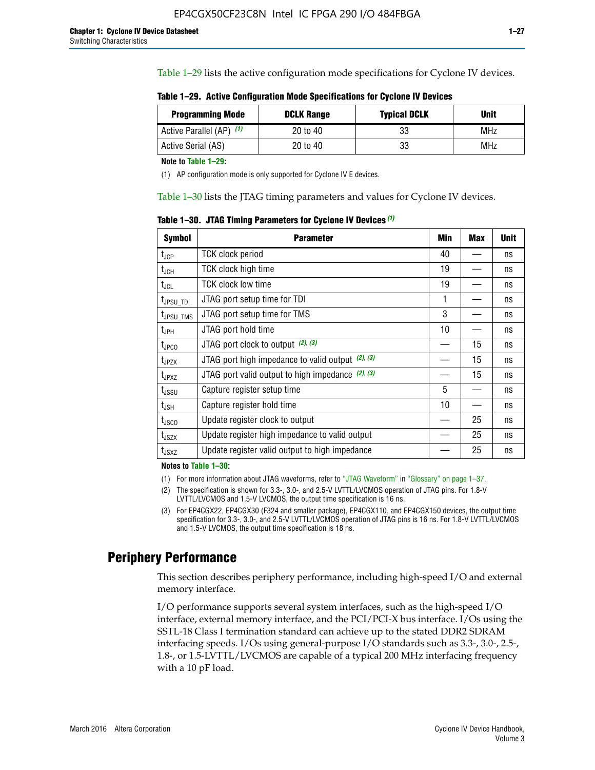Table 1–29 lists the active configuration mode specifications for Cyclone IV devices.

| Table 1–29. Active Configuration Mode Specifications for Cyclone IV Devices |  |  |  |
|-----------------------------------------------------------------------------|--|--|--|
|-----------------------------------------------------------------------------|--|--|--|

| <b>Programming Mode</b>  | <b>DCLK Range</b> | <b>Typical DCLK</b> | Unit |
|--------------------------|-------------------|---------------------|------|
| Active Parallel (AP) (1) | 20 to 40          | 33                  | MHz  |
| Active Serial (AS)       | 20 to 40          | 33                  | MHz  |

**Note to Table 1–29:**

(1) AP configuration mode is only supported for Cyclone IV E devices.

Table 1–30 lists the JTAG timing parameters and values for Cyclone IV devices.

**Table 1–30. JTAG Timing Parameters for Cyclone IV Devices** *(1)*

| <b>Symbol</b>         | <b>Parameter</b>                                       | Min | <b>Max</b> | <b>Unit</b> |
|-----------------------|--------------------------------------------------------|-----|------------|-------------|
| $t_{JCP}$             | <b>TCK clock period</b>                                | 40  |            | ns          |
| $t_{\rm JCH}$         | TCK clock high time                                    | 19  |            | ns          |
| $t_{JCL}$             | TCK clock low time                                     | 19  |            | ns          |
| t <sub>JPSU_TDI</sub> | JTAG port setup time for TDI                           | 1   |            | ns          |
| t <sub>JPSU_TMS</sub> | JTAG port setup time for TMS                           | 3   |            | ns          |
| t <sub>JPH</sub>      | JTAG port hold time                                    | 10  |            | ns          |
| t <sub>JPCO</sub>     | JTAG port clock to output (2), (3)                     |     | 15         | ns          |
| $t_{JPZX}$            | JTAG port high impedance to valid output $(2)$ , $(3)$ |     | 15         | ns          |
| t <sub>JPXZ</sub>     | JTAG port valid output to high impedance $(2)$ , $(3)$ |     | 15         | ns          |
| $t_{\rm JSSU}$        | Capture register setup time                            | 5   |            | ns          |
| $t_{\mathsf{JSH}}$    | Capture register hold time                             | 10  |            | ns          |
| $t_{\rm JSCO}$        | Update register clock to output                        |     | 25         | ns          |
| $t_{\text{JSZX}}$     | Update register high impedance to valid output         |     | 25         | ns          |
| $t_{JSXZ}$            | Update register valid output to high impedance         |     | 25         | ns          |

**Notes to Table 1–30:**

(1) For more information about JTAG waveforms, refer to "JTAG Waveform" in "Glossary" on page 1–37.

(2) The specification is shown for 3.3-, 3.0-, and 2.5-V LVTTL/LVCMOS operation of JTAG pins. For 1.8-V LVTTL/LVCMOS and 1.5-V LVCMOS, the output time specification is 16 ns.

(3) For EP4CGX22, EP4CGX30 (F324 and smaller package), EP4CGX110, and EP4CGX150 devices, the output time specification for 3.3-, 3.0-, and 2.5-V LVTTL/LVCMOS operation of JTAG pins is 16 ns. For 1.8-V LVTTL/LVCMOS and 1.5-V LVCMOS, the output time specification is 18 ns.

## **Periphery Performance**

This section describes periphery performance, including high-speed I/O and external memory interface.

I/O performance supports several system interfaces, such as the high-speed I/O interface, external memory interface, and the PCI/PCI-X bus interface. I/Os using the SSTL-18 Class I termination standard can achieve up to the stated DDR2 SDRAM interfacing speeds. I/Os using general-purpose I/O standards such as 3.3-, 3.0-, 2.5-, 1.8-, or 1.5-LVTTL/LVCMOS are capable of a typical 200 MHz interfacing frequency with a 10 pF load.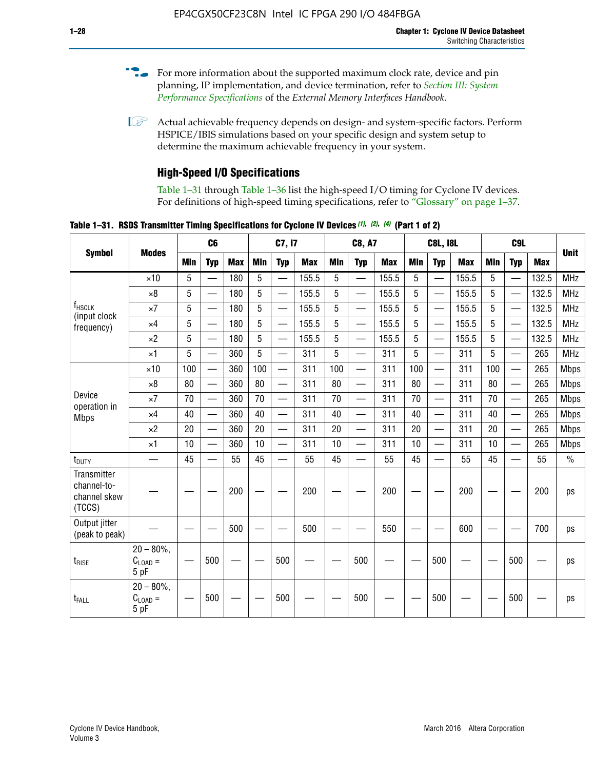- For more information about the supported maximum clock rate, device and pin planning, IP implementation, and device termination, refer to *[Section III: System](http://www.altera.com/literature/hb/external-memory/emi_intro_specs.pdf)  [Performance Specifications](http://www.altera.com/literature/hb/external-memory/emi_intro_specs.pdf)* of the *External Memory Interfaces Handbook*.
- **1 Actual achievable frequency depends on design- and system-specific factors. Perform** HSPICE/IBIS simulations based on your specific design and system setup to determine the maximum achievable frequency in your system.

## **High-Speed I/O Specifications**

Table 1–31 through Table 1–36 list the high-speed I/O timing for Cyclone IV devices. For definitions of high-speed timing specifications, refer to "Glossary" on page 1–37.

**Table 1–31. RSDS Transmitter Timing Specifications for Cyclone IV Devices** *(1)***,** *(2)***,** *(4)* **(Part 1 of 2)**

| <b>Symbol</b>                                        |                                            |            | C <sub>6</sub>           |            |            | C7, I7                   |            |            | <b>C8, A7</b>            |            |     | <b>C8L, I8L</b>          |            |     | C <sub>9</sub> L         |            |             |
|------------------------------------------------------|--------------------------------------------|------------|--------------------------|------------|------------|--------------------------|------------|------------|--------------------------|------------|-----|--------------------------|------------|-----|--------------------------|------------|-------------|
|                                                      | <b>Modes</b>                               | <b>Min</b> | <b>Typ</b>               | <b>Max</b> | <b>Min</b> | <b>Typ</b>               | <b>Max</b> | <b>Min</b> | <b>Typ</b>               | <b>Max</b> | Min | <b>Typ</b>               | <b>Max</b> | Min | <b>Typ</b>               | <b>Max</b> | <b>Unit</b> |
|                                                      | $\times$ 10                                | 5          |                          | 180        | 5          |                          | 155.5      | 5          | —                        | 155.5      | 5   |                          | 155.5      | 5   |                          | 132.5      | <b>MHz</b>  |
|                                                      | $\times$ 8                                 | 5          | $\overline{\phantom{0}}$ | 180        | 5          |                          | 155.5      | 5          | $\overline{\phantom{0}}$ | 155.5      | 5   |                          | 155.5      | 5   |                          | 132.5      | <b>MHz</b>  |
| f <sub>HSCLK</sub><br>(input clock                   | $\times 7$                                 | 5          | $\overline{\phantom{0}}$ | 180        | 5          |                          | 155.5      | 5          | $\overline{\phantom{0}}$ | 155.5      | 5   |                          | 155.5      | 5   |                          | 132.5      | <b>MHz</b>  |
| frequency)                                           | $\times$ 4                                 | 5          | $\overline{\phantom{0}}$ | 180        | 5          | —                        | 155.5      | 5          |                          | 155.5      | 5   | $\overline{\phantom{0}}$ | 155.5      | 5   | <u>—</u>                 | 132.5      | <b>MHz</b>  |
|                                                      | $\times 2$                                 | 5          |                          | 180        | 5          | $\overline{\phantom{0}}$ | 155.5      | 5          | $\overline{\phantom{0}}$ | 155.5      | 5   | $\overline{\phantom{0}}$ | 155.5      | 5   | —                        | 132.5      | <b>MHz</b>  |
|                                                      | $\times$ 1                                 | 5          |                          | 360        | 5          | <u>in a</u>              | 311        | 5          | $\overline{\phantom{0}}$ | 311        | 5   | $\overline{\phantom{0}}$ | 311        | 5   | $\overline{\phantom{0}}$ | 265        | <b>MHz</b>  |
|                                                      | $\times$ 10                                | 100        | $\overline{\phantom{0}}$ | 360        | 100        |                          | 311        | 100        | $\overline{\phantom{0}}$ | 311        | 100 | $\overline{\phantom{0}}$ | 311        | 100 |                          | 265        | <b>Mbps</b> |
|                                                      | $\times 8$                                 | 80         |                          | 360        | 80         |                          | 311        | 80         | $\overline{\phantom{0}}$ | 311        | 80  | $\overline{\phantom{0}}$ | 311        | 80  | $\overline{\phantom{0}}$ | 265        | <b>Mbps</b> |
| Device                                               | $\times 7$                                 | 70         |                          | 360        | 70         |                          | 311        | 70         | $\overline{\phantom{0}}$ | 311        | 70  | $\qquad \qquad$          | 311        | 70  | $\overline{\phantom{0}}$ | 265        | <b>Mbps</b> |
| operation in<br><b>Mbps</b>                          | $\times$ 4                                 | 40         |                          | 360        | 40         |                          | 311        | 40         | $\overline{\phantom{0}}$ | 311        | 40  | $\overline{\phantom{0}}$ | 311        | 40  | $\overline{\phantom{0}}$ | 265        | <b>Mbps</b> |
|                                                      | $\times 2$                                 | 20         |                          | 360        | 20         | $\equiv$                 | 311        | 20         | $\overline{\phantom{0}}$ | 311        | 20  | $\overline{\phantom{0}}$ | 311        | 20  | $\overline{\phantom{0}}$ | 265        | <b>Mbps</b> |
|                                                      | $\times$ 1                                 | 10         |                          | 360        | 10         |                          | 311        | 10         | $\overline{\phantom{0}}$ | 311        | 10  | $\overline{\phantom{0}}$ | 311        | 10  |                          | 265        | <b>Mbps</b> |
| $t_{\text{DUTY}}$                                    | $\overline{\phantom{0}}$                   | 45         |                          | 55         | 45         |                          | 55         | 45         | $\overline{\phantom{0}}$ | 55         | 45  | —                        | 55         | 45  |                          | 55         | $\%$        |
| Transmitter<br>channel-to-<br>channel skew<br>(TCCS) |                                            |            |                          | 200        |            |                          | 200        |            |                          | 200        |     |                          | 200        |     |                          | 200        | ps          |
| Output jitter<br>(peak to peak)                      |                                            |            |                          | 500        |            |                          | 500        |            |                          | 550        |     |                          | 600        |     |                          | 700        | ps          |
| t <sub>rise</sub>                                    | $20 - 80\%$<br>$C_{\text{LOAD}} =$<br>5 pF |            | 500                      |            |            | 500                      |            |            | 500                      |            |     | 500                      |            |     | 500                      |            | ps          |
| t <sub>FALL</sub>                                    | $20 - 80\%$<br>$C_{LOAD} =$<br>5 pF        |            | 500                      |            |            | 500                      |            |            | 500                      |            |     | 500                      |            |     | 500                      |            | ps          |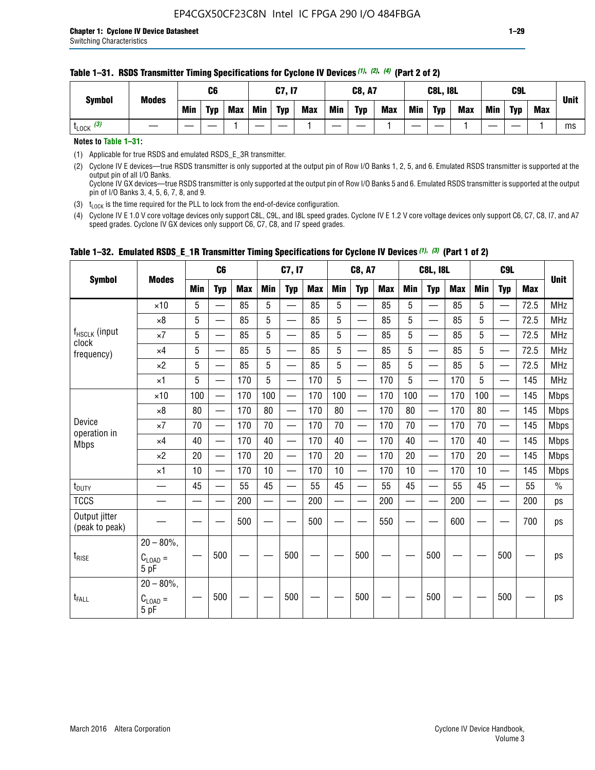Min | Typ | Max | Min | Typ | Max | Min | Typ | Max | Min | Typ | Max | Min | Typ | Max

#### **Table 1–31. RSDS Transmitter Timing Specifications for Cyclone IV Devices** *(1)***,** *(2)***,** *(4)* **(Part 2 of 2)**

| Notes to Table 1-31: |  |  |  |
|----------------------|--|--|--|
|                      |  |  |  |

(1) Applicable for true RSDS and emulated RSDS\_E\_3R transmitter.

(2) Cyclone IV E devices—true RSDS transmitter is only supported at the output pin of Row I/O Banks 1, 2, 5, and 6. Emulated RSDS transmitter is supported at the output pin of all I/O Banks. Cyclone IV GX devices—true RSDS transmitter is only supported at the output pin of Row I/O Banks 5 and 6. Emulated RSDS transmitter is supported at the output

t<sub>LOCK</sub> (3) | 一 | — | — | 1 | — | ― | 1 | ― | ― | 1 | ― | 1 | ― | 1 | ― | 1 | ― | 1 | ms

pin of I/O Banks 3, 4, 5, 6, 7, 8, and 9. (3)  $t_{\text{LOCK}}$  is the time required for the PLL to lock from the end-of-device configuration.

(4) Cyclone IV E 1.0 V core voltage devices only support C8L, C9L, and I8L speed grades. Cyclone IV E 1.2 V core voltage devices only support C6, C7, C8, I7, and A7 speed grades. Cyclone IV GX devices only support C6, C7, C8, and I7 speed grades.

|                                 |                                       |            | C <sub>6</sub>           |            |                          | C7, I7                   |            |                          | C8, A7                                    |            |            | <b>C8L, I8L</b>          |            |            | C <sub>9</sub> L         |            |               |
|---------------------------------|---------------------------------------|------------|--------------------------|------------|--------------------------|--------------------------|------------|--------------------------|-------------------------------------------|------------|------------|--------------------------|------------|------------|--------------------------|------------|---------------|
| <b>Symbol</b>                   | <b>Modes</b>                          | <b>Min</b> | <b>Typ</b>               | <b>Max</b> | <b>Min</b>               | <b>Typ</b>               | <b>Max</b> | <b>Min</b>               | <b>Typ</b>                                | <b>Max</b> | <b>Min</b> | <b>Typ</b>               | <b>Max</b> | <b>Min</b> | <b>Typ</b>               | <b>Max</b> | <b>Unit</b>   |
|                                 | $\times$ 10                           | 5          |                          | 85         | 5                        |                          | 85         | 5                        | $\overline{\phantom{0}}$                  | 85         | 5          | —                        | 85         | 5          |                          | 72.5       | <b>MHz</b>    |
|                                 | $\times 8$                            | 5          | —                        | 85         | 5                        | $\overline{\phantom{a}}$ | 85         | 5                        | $\overline{\phantom{0}}$                  | 85         | 5          | —                        | 85         | 5          |                          | 72.5       | <b>MHz</b>    |
| f <sub>HSCLK</sub> (input       | $\times 7$                            | 5          | $\overline{\phantom{m}}$ | 85         | 5                        |                          | 85         | $\overline{5}$           | —                                         | 85         | 5          | $\overline{\phantom{0}}$ | 85         | 5          | $\overline{\phantom{0}}$ | 72.5       | <b>MHz</b>    |
| clock<br>frequency)             | $\times 4$                            | 5          | $\overline{\phantom{0}}$ | 85         | 5                        |                          | 85         | 5                        | $\overline{\phantom{0}}$                  | 85         | 5          | —                        | 85         | 5          | $\overline{\phantom{0}}$ | 72.5       | <b>MHz</b>    |
|                                 | $\times 2$                            | 5          | $\equiv$                 | 85         | 5                        | $\overline{\phantom{a}}$ | 85         | 5                        | $\overline{\phantom{0}}$                  | 85         | 5          | $\overline{\phantom{0}}$ | 85         | 5          |                          | 72.5       | <b>MHz</b>    |
|                                 | $\times$ 1                            | 5          | $\equiv$                 | 170        | 5                        |                          | 170        | 5                        | $\overline{\phantom{0}}$                  | 170        | 5          |                          | 170        | 5          |                          | 145        | <b>MHz</b>    |
|                                 | $\times$ 10                           | 100        | $\overline{\phantom{0}}$ | 170        | 100                      |                          | 170        | 100                      | $\qquad \qquad$                           | 170        | 100        | $\overline{\phantom{0}}$ | 170        | 100        |                          | 145        | <b>Mbps</b>   |
|                                 | $\times 8$                            | 80         | $\overline{\phantom{m}}$ | 170        | 80                       | —                        | 170        | 80                       |                                           | 170        | 80         | $\overline{\phantom{m}}$ | 170        | 80         | $\overline{\phantom{0}}$ | 145        | <b>Mbps</b>   |
| Device                          | $\times 7$                            | 70         | $\overline{\phantom{0}}$ | 170        | 70                       | —                        | 170        | 70                       | $\qquad \qquad \overline{\qquad \qquad }$ | 170        | 70         |                          | 170        | 70         | $\overline{\phantom{0}}$ | 145        | <b>Mbps</b>   |
| operation in<br><b>Mbps</b>     | $\times 4$                            | 40         | $\qquad \qquad$          | 170        | 40                       | $\overline{\phantom{0}}$ | 170        | 40                       |                                           | 170        | 40         |                          | 170        | 40         | $\overline{\phantom{0}}$ | 145        | <b>Mbps</b>   |
|                                 | $\times 2$                            | 20         | $\overline{\phantom{0}}$ | 170        | 20                       |                          | 170        | 20                       |                                           | 170        | 20         |                          | 170        | 20         | $\hspace{0.05cm}$        | 145        | <b>Mbps</b>   |
|                                 | $\times$ 1                            | 10         | $\overline{\phantom{0}}$ | 170        | 10                       |                          | 170        | 10                       | $\overline{\phantom{0}}$                  | 170        | 10         |                          | 170        | 10         |                          | 145        | <b>Mbps</b>   |
| t <sub>DUTY</sub>               |                                       | 45         | $\overline{\phantom{0}}$ | 55         | 45                       | $\overline{\phantom{0}}$ | 55         | 45                       | —                                         | 55         | 45         | $\qquad \qquad$          | 55         | 45         |                          | 55         | $\frac{0}{0}$ |
| <b>TCCS</b>                     |                                       |            |                          | 200        | $\overline{\phantom{0}}$ | $\overline{\phantom{a}}$ | 200        | $\overline{\phantom{a}}$ | $\overline{\phantom{0}}$                  | 200        |            | —                        | 200        |            |                          | 200        | ps            |
| Output jitter<br>(peak to peak) |                                       |            |                          | 500        |                          |                          | 500        |                          |                                           | 550        |            |                          | 600        |            |                          | 700        | ps            |
| $t_{\text{RISE}}$               | $20 - 80\%$ ,<br>$C_{LOAD} =$<br>5 pF |            | 500                      |            |                          | 500                      |            |                          | 500                                       |            |            | 500                      |            |            | 500                      |            | ps            |
| t <sub>FALL</sub>               | $20 - 80\%$<br>$C_{LOAD} =$<br>5 pF   |            | 500                      |            |                          | 500                      |            |                          | 500                                       |            |            | 500                      |            |            | 500                      |            | ps            |

#### **Table 1–32. Emulated RSDS\_E\_1R Transmitter Timing Specifications for Cyclone IV Devices** *(1), (3)* **(Part 1 of 2)**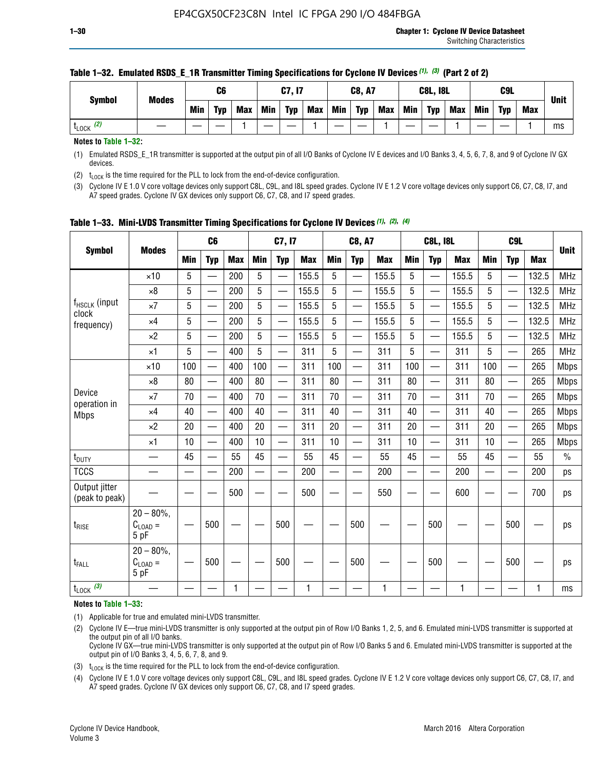| <b>Symbol</b> | <b>Modes</b> |            | C6         |     |            | C7, I7     |            |            | <b>C8, A7</b> |            |            | <b>C8L, I8L</b> |            |     | C <sub>9</sub> L |            | <b>Unit</b> |
|---------------|--------------|------------|------------|-----|------------|------------|------------|------------|---------------|------------|------------|-----------------|------------|-----|------------------|------------|-------------|
|               |              | <b>Min</b> | <b>Typ</b> | Max | <b>Min</b> | <b>Typ</b> | <b>Max</b> | <b>Min</b> | <b>Typ</b>    | <b>Max</b> | <b>Min</b> | <b>Typ</b>      | <b>Max</b> | Min | <b>Typ</b>       | <b>Max</b> |             |
| (2)<br>LOCK   |              |            |            |     |            |            |            |            |               |            |            |                 |            |     |                  |            | ms          |

#### **Table 1–32. Emulated RSDS\_E\_1R Transmitter Timing Specifications for Cyclone IV Devices** *(1), (3)* **(Part 2 of 2)**

**Notes to Table 1–32:**

(1) Emulated RSDS\_E\_1R transmitter is supported at the output pin of all I/O Banks of Cyclone IV E devices and I/O Banks 3, 4, 5, 6, 7, 8, and 9 of Cyclone IV GX devices.

(2)  $t_{\text{LOCK}}$  is the time required for the PLL to lock from the end-of-device configuration.

(3) Cyclone IV E 1.0 V core voltage devices only support C8L, C9L, and I8L speed grades. Cyclone IV E 1.2 V core voltage devices only support C6, C7, C8, I7, and A7 speed grades. Cyclone IV GX devices only support C6, C7, C8, and I7 speed grades.

| <b>Symbol</b>                   |                                           |            | C <sub>6</sub>           |            |                          | C7, I7                   |            |            | <b>C8, A7</b>            |              |            | <b>C8L, I8L</b>          |            |            | C <sub>9</sub> L         |            | <b>Unit</b> |
|---------------------------------|-------------------------------------------|------------|--------------------------|------------|--------------------------|--------------------------|------------|------------|--------------------------|--------------|------------|--------------------------|------------|------------|--------------------------|------------|-------------|
|                                 | <b>Modes</b>                              | <b>Min</b> | <b>Typ</b>               | <b>Max</b> | <b>Min</b>               | <b>Typ</b>               | <b>Max</b> | <b>Min</b> | <b>Typ</b>               | <b>Max</b>   | <b>Min</b> | <b>Typ</b>               | <b>Max</b> | <b>Min</b> | <b>Typ</b>               | <b>Max</b> |             |
|                                 | $\times$ 10                               | 5          |                          | 200        | 5                        | —                        | 155.5      | 5          | $\overline{\phantom{0}}$ | 155.5        | 5          | $\overline{\phantom{0}}$ | 155.5      | 5          | $\overline{\phantom{0}}$ | 132.5      | <b>MHz</b>  |
|                                 | $\times 8$                                | 5          |                          | 200        | 5                        | $\overline{\phantom{0}}$ | 155.5      | 5          | —                        | 155.5        | 5          |                          | 155.5      | 5          |                          | 132.5      | <b>MHz</b>  |
| f <sub>HSCLK</sub> (input       | $\times 7$                                | 5          |                          | 200        | 5                        | ÷,                       | 155.5      | 5          | —                        | 155.5        | 5          |                          | 155.5      | 5          |                          | 132.5      | <b>MHz</b>  |
| clock<br>frequency)             | $\times$ 4                                | 5          | $\overline{\phantom{0}}$ | 200        | 5                        | —                        | 155.5      | 5          | $\overline{\phantom{0}}$ | 155.5        | 5          |                          | 155.5      | 5          | $\overline{\phantom{0}}$ | 132.5      | <b>MHz</b>  |
|                                 | $\times 2$                                | 5          | $\overline{\phantom{0}}$ | 200        | 5                        | $\overline{\phantom{0}}$ | 155.5      | 5          | $\overline{\phantom{0}}$ | 155.5        | 5          | $\overline{\phantom{0}}$ | 155.5      | 5          |                          | 132.5      | <b>MHz</b>  |
|                                 | $\times$ 1                                | 5          | $\overline{\phantom{0}}$ | 400        | 5                        |                          | 311        | 5          | —                        | 311          | 5          | $\overline{\phantom{0}}$ | 311        | 5          |                          | 265        | <b>MHz</b>  |
|                                 | $\times$ 10                               | 100        |                          | 400        | 100                      | $\overline{\phantom{0}}$ | 311        | 100        | $\overline{\phantom{0}}$ | 311          | 100        | $\overline{\phantom{0}}$ | 311        | 100        |                          | 265        | <b>Mbps</b> |
|                                 | $\times 8$                                | 80         | $\overline{\phantom{0}}$ | 400        | 80                       | $\overline{\phantom{0}}$ | 311        | 80         | $\overline{\phantom{0}}$ | 311          | 80         | $\overline{\phantom{0}}$ | 311        | 80         |                          | 265        | <b>Mbps</b> |
| Device<br>operation in          | $\times 7$                                | 70         |                          | 400        | 70                       |                          | 311        | 70         | $\overline{\phantom{0}}$ | 311          | 70         |                          | 311        | 70         |                          | 265        | <b>Mbps</b> |
| <b>Mbps</b>                     | $\times 4$                                | 40         | $\overline{\phantom{0}}$ | 400        | 40                       |                          | 311        | 40         | $\overline{\phantom{0}}$ | 311          | 40         | —                        | 311        | 40         |                          | 265        | <b>Mbps</b> |
|                                 | $\times 2$                                | 20         |                          | 400        | 20                       | —                        | 311        | 20         | $\overline{\phantom{0}}$ | 311          | 20         | $\overline{\phantom{0}}$ | 311        | 20         |                          | 265        | <b>Mbps</b> |
|                                 | ×1                                        | 10         | $\overline{\phantom{0}}$ | 400        | 10                       |                          | 311        | 10         | $\overline{\phantom{0}}$ | 311          | 10         | —                        | 311        | 10         |                          | 265        | <b>Mbps</b> |
| t <sub>DUTY</sub>               |                                           | 45         |                          | 55         | 45                       | $\overline{\phantom{0}}$ | 55         | 45         | $\overline{\phantom{0}}$ | 55           | 45         | $\overline{\phantom{0}}$ | 55         | 45         |                          | 55         | $\%$        |
| <b>TCCS</b>                     |                                           |            |                          | 200        | $\overline{\phantom{0}}$ |                          | 200        |            |                          | 200          | —          |                          | 200        |            |                          | 200        | ps          |
| Output jitter<br>(peak to peak) |                                           |            |                          | 500        |                          |                          | 500        |            |                          | 550          |            |                          | 600        |            |                          | 700        | ps          |
| $t_{\sf RISE}$                  | $20 - 80\%$ ,<br>$C_{LOAD} =$<br>5 pF     |            | 500                      |            |                          | 500                      |            |            | 500                      |              |            | 500                      |            |            | 500                      |            | ps          |
| t <sub>FALL</sub>               | $20 - 80\%$<br>$\rm C_{LOAD}$ $=$<br>5 pF |            | 500                      |            |                          | 500                      |            |            | 500                      |              |            | 500                      |            |            | 500                      |            | ps          |
| $t_{\text{LOCK}}$ (3)           |                                           |            |                          | 1          |                          |                          | 1          |            |                          | $\mathbf{1}$ |            |                          | 1          |            |                          | 1          | ms          |

**Table 1–33. Mini-LVDS Transmitter Timing Specifications for Cyclone IV Devices** *(1)***,** *(2)***,** *(4)*

**Notes to Table 1–33:**

(1) Applicable for true and emulated mini-LVDS transmitter.

(2) Cyclone IV E—true mini-LVDS transmitter is only supported at the output pin of Row I/O Banks 1, 2, 5, and 6. Emulated mini-LVDS transmitter is supported at the output pin of all I/O banks.

Cyclone IV GX—true mini-LVDS transmitter is only supported at the output pin of Row I/O Banks 5 and 6. Emulated mini-LVDS transmitter is supported at the output pin of I/O Banks 3, 4, 5, 6, 7, 8, and 9.

(3)  $t_{\text{LOCK}}$  is the time required for the PLL to lock from the end-of-device configuration.

(4) Cyclone IV E 1.0 V core voltage devices only support C8L, C9L, and I8L speed grades. Cyclone IV E 1.2 V core voltage devices only support C6, C7, C8, I7, and A7 speed grades. Cyclone IV GX devices only support C6, C7, C8, and I7 speed grades.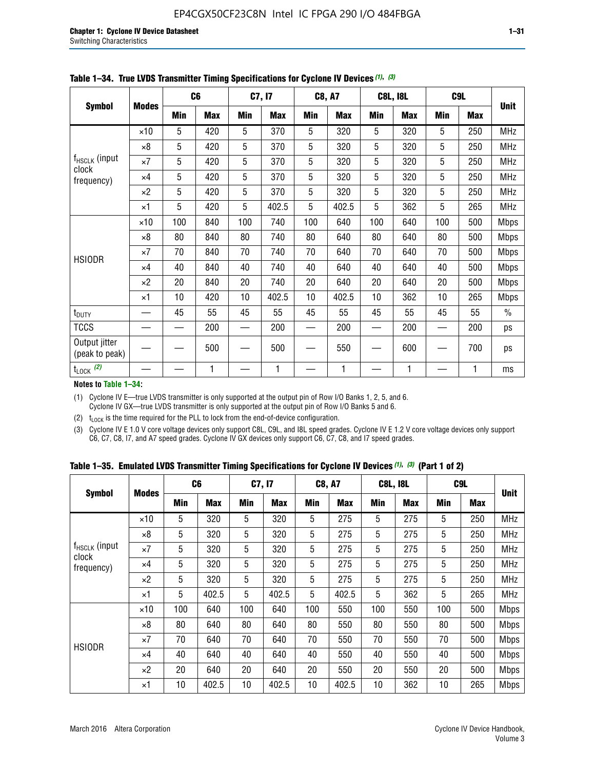|                                    |              |     | C <sub>6</sub> |     | C7, I7     |            | <b>C8, A7</b> |                | <b>C8L, I8L</b> |            | C <sub>9</sub> L | <b>Unit</b>   |
|------------------------------------|--------------|-----|----------------|-----|------------|------------|---------------|----------------|-----------------|------------|------------------|---------------|
| <b>Symbol</b>                      | <b>Modes</b> | Min | <b>Max</b>     | Min | <b>Max</b> | <b>Min</b> | <b>Max</b>    | <b>Min</b>     | <b>Max</b>      | <b>Min</b> | <b>Max</b>       |               |
|                                    | $\times 10$  | 5   | 420            | 5   | 370        | 5          | 320           | 5              | 320             | 5          | 250              | <b>MHz</b>    |
|                                    | $\times 8$   | 5   | 420            | 5   | 370        | 5          | 320           | 5              | 320             | 5          | 250              | <b>MHz</b>    |
| f <sub>HSCLK</sub> (input<br>clock | $\times 7$   | 5   | 420            | 5   | 370        | 5          | 320           | $\mathbf 5$    | 320             | 5          | 250              | MHz           |
| frequency)                         | $\times$ 4   | 5   | 420            | 5   | 370        | 5          | 320           | 5              | 320             | 5          | 250              | MHz           |
|                                    | $\times 2$   | 5   | 420            | 5   | 370        | 5          | 320           | $\overline{5}$ | 320             | 5          | 250              | MHz           |
|                                    | $\times$ 1   | 5   | 420            | 5   | 402.5      | 5          | 402.5         | 5              | 362             | 5          | 265              | <b>MHz</b>    |
|                                    | $\times$ 10  | 100 | 840            | 100 | 740        | 100        | 640           | 100            | 640             | 100        | 500              | Mbps          |
|                                    | ×8           | 80  | 840            | 80  | 740        | 80         | 640           | 80             | 640             | 80         | 500              | <b>Mbps</b>   |
| <b>HSIODR</b>                      | $\times 7$   | 70  | 840            | 70  | 740        | 70         | 640           | 70             | 640             | 70         | 500              | <b>Mbps</b>   |
|                                    | $\times$ 4   | 40  | 840            | 40  | 740        | 40         | 640           | 40             | 640             | 40         | 500              | Mbps          |
|                                    | $\times 2$   | 20  | 840            | 20  | 740        | 20         | 640           | 20             | 640             | 20         | 500              | <b>Mbps</b>   |
|                                    | $\times$ 1   | 10  | 420            | 10  | 402.5      | 10         | 402.5         | 10             | 362             | 10         | 265              | <b>Mbps</b>   |
| t <sub>DUTY</sub>                  |              | 45  | 55             | 45  | 55         | 45         | 55            | 45             | 55              | 45         | 55               | $\frac{0}{0}$ |
| <b>TCCS</b>                        |              |     | 200            |     | 200        |            | 200           |                | 200             |            | 200              | ps            |
| Output jitter<br>(peak to peak)    |              |     | 500            |     | 500        |            | 550           |                | 600             |            | 700              | ps            |
| $t_{\text{LOCK}}$ (2)              |              |     | 1              |     | 1          |            | 1             |                | 1               |            | 1                | ms            |

**Table 1–34. True LVDS Transmitter Timing Specifications for Cyclone IV Devices** *(1)***,** *(3)*

**Notes to Table 1–34:**

(1) Cyclone IV E—true LVDS transmitter is only supported at the output pin of Row I/O Banks 1, 2, 5, and 6. Cyclone IV GX—true LVDS transmitter is only supported at the output pin of Row I/O Banks 5 and 6.

(2)  $t_{\text{LOCK}}$  is the time required for the PLL to lock from the end-of-device configuration.

(3) Cyclone IV E 1.0 V core voltage devices only support C8L, C9L, and I8L speed grades. Cyclone IV E 1.2 V core voltage devices only support C6, C7, C8, I7, and A7 speed grades. Cyclone IV GX devices only support C6, C7, C8, and I7 speed grades.

|  |  |  |  |  |  | Table 1–35. Emulated LVDS Transmitter Timing Specifications for Cyclone IV Devices <sup>(1),</sup> <sup>(3)</sup> (Part 1 of 2) |  |  |
|--|--|--|--|--|--|---------------------------------------------------------------------------------------------------------------------------------|--|--|
|--|--|--|--|--|--|---------------------------------------------------------------------------------------------------------------------------------|--|--|

| <b>Symbol</b>                                    |              | C <sub>6</sub> |            | C7, I7     |            | <b>C8, A7</b> |            | <b>C8L, I8L</b> |            | C <sub>9</sub> L |            |             |
|--------------------------------------------------|--------------|----------------|------------|------------|------------|---------------|------------|-----------------|------------|------------------|------------|-------------|
|                                                  | <b>Modes</b> | Min            | <b>Max</b> | <b>Min</b> | <b>Max</b> | <b>Min</b>    | <b>Max</b> | Min             | <b>Max</b> | <b>Min</b>       | <b>Max</b> | <b>Unit</b> |
|                                                  | $\times$ 10  | 5              | 320        | 5          | 320        | 5             | 275        | 5               | 275        | 5                | 250        | <b>MHz</b>  |
|                                                  | $\times 8$   | 5              | 320        | 5          | 320        | 5             | 275        | 5               | 275        | 5                | 250        | <b>MHz</b>  |
| f <sub>HSCLK</sub> (input<br>clock<br>frequency) | $\times 7$   | 5              | 320        | 5          | 320        | 5             | 275        | 5               | 275        | 5                | 250        | <b>MHz</b>  |
|                                                  | $\times$ 4   | 5              | 320        | 5          | 320        | 5             | 275        | 5               | 275        | 5                | 250        | <b>MHz</b>  |
|                                                  | $\times 2$   | 5              | 320        | 5          | 320        | 5             | 275        | 5               | 275        | 5                | 250        | <b>MHz</b>  |
|                                                  | ×1           | 5              | 402.5      | 5          | 402.5      | 5             | 402.5      | 5               | 362        | 5                | 265        | <b>MHz</b>  |
|                                                  | $\times$ 10  | 100            | 640        | 100        | 640        | 100           | 550        | 100             | 550        | 100              | 500        | <b>Mbps</b> |
|                                                  | $\times 8$   | 80             | 640        | 80         | 640        | 80            | 550        | 80              | 550        | 80               | 500        | <b>Mbps</b> |
|                                                  | $\times 7$   | 70             | 640        | 70         | 640        | 70            | 550        | 70              | 550        | 70               | 500        | <b>Mbps</b> |
| <b>HSIODR</b>                                    | $\times$ 4   | 40             | 640        | 40         | 640        | 40            | 550        | 40              | 550        | 40               | 500        | <b>Mbps</b> |
|                                                  | $\times 2$   | 20             | 640        | 20         | 640        | 20            | 550        | 20              | 550        | 20               | 500        | <b>Mbps</b> |
|                                                  | ×1           | 10             | 402.5      | 10         | 402.5      | 10            | 402.5      | 10              | 362        | 10               | 265        | <b>Mbps</b> |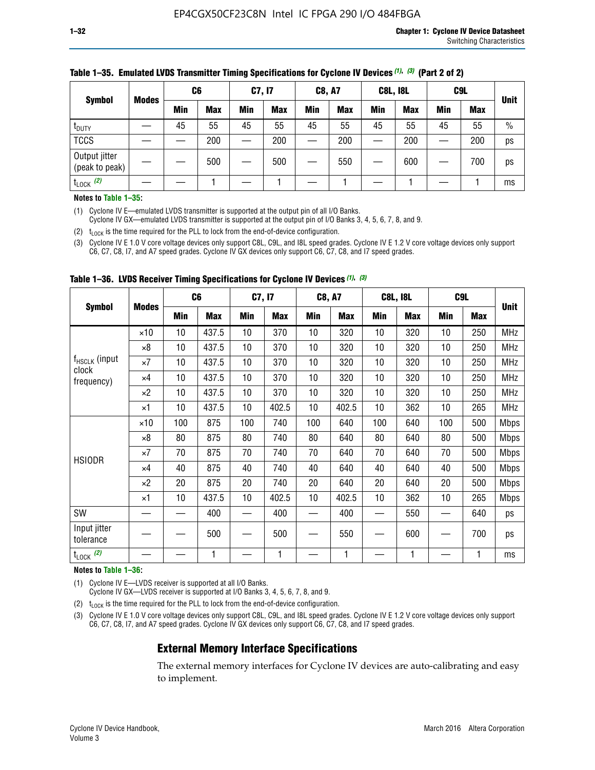| <b>Symbol</b>                   |              | C <sub>6</sub> |            | C7, I7     |            | <b>C8, A7</b> |            | <b>C8L, I8L</b> |            |         | C <sub>9</sub> L |               |
|---------------------------------|--------------|----------------|------------|------------|------------|---------------|------------|-----------------|------------|---------|------------------|---------------|
|                                 | <b>Modes</b> | Min            | <b>Max</b> | <b>Min</b> | <b>Max</b> | <b>Min</b>    | <b>Max</b> | Min             | <b>Max</b> | Min     | <b>Max</b>       | <b>Unit</b>   |
| t <sub>DUTY</sub>               |              | 45             | 55         | 45         | 55         | 45            | 55         | 45              | 55         | 45      | 55               | $\frac{0}{0}$ |
| <b>TCCS</b>                     |              |                | 200        |            | 200        |               | 200        |                 | 200        | —<br>—— | 200              | ps            |
| Output jitter<br>(peak to peak) |              |                | 500        |            | 500        |               | 550        |                 | 600        |         | 700              | ps            |
| $t_{\text{LOCK}}$ (2)           |              |                |            |            |            |               |            |                 |            |         |                  | ms            |

#### **Table 1–35. Emulated LVDS Transmitter Timing Specifications for Cyclone IV Devices** *(1)***,** *(3)* **(Part 2 of 2)**

#### **Notes to Table 1–35:**

(1) Cyclone IV E—emulated LVDS transmitter is supported at the output pin of all I/O Banks.

Cyclone IV GX—emulated LVDS transmitter is supported at the output pin of I/O Banks 3, 4, 5, 6, 7, 8, and 9.

(2)  $t_{\text{LOCK}}$  is the time required for the PLL to lock from the end-of-device configuration.

(3) Cyclone IV E 1.0 V core voltage devices only support C8L, C9L, and I8L speed grades. Cyclone IV E 1.2 V core voltage devices only support C6, C7, C8, I7, and A7 speed grades. Cyclone IV GX devices only support C6, C7, C8, and I7 speed grades.

| <b>Symbol</b>                      |              |     | C6         | C7, I7 |            | <b>C8, A7</b> |            |     | <b>C8L, I8L</b> | C <sub>9</sub> L         |            |             |
|------------------------------------|--------------|-----|------------|--------|------------|---------------|------------|-----|-----------------|--------------------------|------------|-------------|
|                                    | <b>Modes</b> | Min | <b>Max</b> | Min    | <b>Max</b> | Min           | <b>Max</b> | Min | <b>Max</b>      | Min                      | <b>Max</b> | <b>Unit</b> |
|                                    | $\times$ 10  | 10  | 437.5      | 10     | 370        | 10            | 320        | 10  | 320             | 10                       | 250        | <b>MHz</b>  |
|                                    | $\times 8$   | 10  | 437.5      | 10     | 370        | 10            | 320        | 10  | 320             | 10                       | 250        | <b>MHz</b>  |
| f <sub>HSCLK</sub> (input<br>clock | $\times 7$   | 10  | 437.5      | 10     | 370        | 10            | 320        | 10  | 320             | 10                       | 250        | <b>MHz</b>  |
| frequency)                         | $\times 4$   | 10  | 437.5      | 10     | 370        | 10            | 320        | 10  | 320             | 10                       | 250        | <b>MHz</b>  |
|                                    | $\times 2$   | 10  | 437.5      | 10     | 370        | 10            | 320        | 10  | 320             | 10                       | 250        | <b>MHz</b>  |
|                                    | ×1           | 10  | 437.5      | 10     | 402.5      | 10            | 402.5      | 10  | 362             | 10                       | 265        | <b>MHz</b>  |
|                                    | $\times$ 10  | 100 | 875        | 100    | 740        | 100           | 640        | 100 | 640             | 100                      | 500        | <b>Mbps</b> |
|                                    | $\times 8$   | 80  | 875        | 80     | 740        | 80            | 640        | 80  | 640             | 80                       | 500        | <b>Mbps</b> |
| <b>HSIODR</b>                      | ×7           | 70  | 875        | 70     | 740        | 70            | 640        | 70  | 640             | 70                       | 500        | <b>Mbps</b> |
|                                    | $\times 4$   | 40  | 875        | 40     | 740        | 40            | 640        | 40  | 640             | 40                       | 500        | <b>Mbps</b> |
|                                    | $\times 2$   | 20  | 875        | 20     | 740        | 20            | 640        | 20  | 640             | 20                       | 500        | <b>Mbps</b> |
|                                    | ×1           | 10  | 437.5      | 10     | 402.5      | 10            | 402.5      | 10  | 362             | 10                       | 265        | <b>Mbps</b> |
| SW                                 |              |     | 400        |        | 400        |               | 400        |     | 550             | $\overline{\phantom{0}}$ | 640        | ps          |
| Input jitter<br>tolerance          |              |     | 500        |        | 500        |               | 550        |     | 600             |                          | 700        | ps          |
| $t_{\text{LOCK}}$ (2)              |              |     | 1          |        | 1          |               | 1          |     | $\mathbf{1}$    |                          | 1          | ms          |

**Table 1–36. LVDS Receiver Timing Specifications for Cyclone IV Devices** *(1)***,** *(3)*

#### **Notes to Table 1–36:**

(1) Cyclone IV E—LVDS receiver is supported at all I/O Banks.

Cyclone IV GX—LVDS receiver is supported at I/O Banks 3, 4, 5, 6, 7, 8, and 9.

(2)  $t_{\text{LOCK}}$  is the time required for the PLL to lock from the end-of-device configuration.

(3) Cyclone IV E 1.0 V core voltage devices only support C8L, C9L, and I8L speed grades. Cyclone IV E 1.2 V core voltage devices only support C6, C7, C8, I7, and A7 speed grades. Cyclone IV GX devices only support C6, C7, C8, and I7 speed grades.

### **External Memory Interface Specifications**

The external memory interfaces for Cyclone IV devices are auto-calibrating and easy to implement.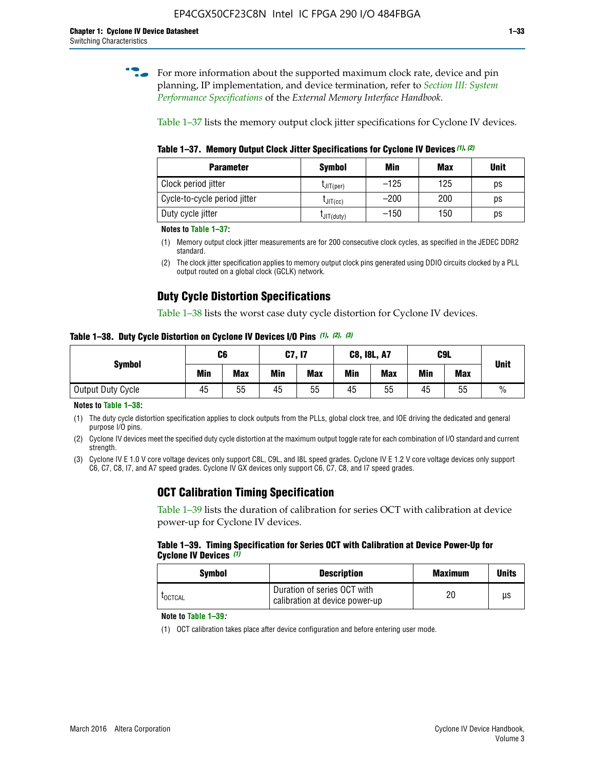**for more information about the supported maximum clock rate, device and pin** planning, IP implementation, and device termination, refer to *[Section III: System](http://www.altera.com/literature/hb/external-memory/emi_intro_specs.pdf)  [Performance Specifications](http://www.altera.com/literature/hb/external-memory/emi_intro_specs.pdf)* of the *External Memory Interface Handbook*.

Table 1–37 lists the memory output clock jitter specifications for Cyclone IV devices.

**Table 1–37. Memory Output Clock Jitter Specifications for Cyclone IV Devices** *(1)***,** *(2)*

| <b>Parameter</b>             | <b>Symbol</b>  | Min    | Max | <b>Unit</b> |
|------------------------------|----------------|--------|-----|-------------|
| Clock period jitter          | $L$ JIT(per)   | $-125$ | 125 | ps          |
| Cycle-to-cycle period jitter | $L$ JIT $(cc)$ | $-200$ | 200 | ps          |
| Duty cycle jitter            | LJIT(duty)     | $-150$ | 150 | рs          |

**Notes to Table 1–37:**

- (1) Memory output clock jitter measurements are for 200 consecutive clock cycles, as specified in the JEDEC DDR2 standard.
- (2) The clock jitter specification applies to memory output clock pins generated using DDIO circuits clocked by a PLL output routed on a global clock (GCLK) network.

## **Duty Cycle Distortion Specifications**

Table 1–38 lists the worst case duty cycle distortion for Cyclone IV devices.

**Table 1–38. Duty Cycle Distortion on Cyclone IV Devices I/O Pins** *(1)***,** *(2), (3)*

| <b>Symbol</b>     | C <sub>6</sub> |            | C7, I7     |            | <b>C8, I8L, A7</b> |            | C9L        |            | <b>Unit</b>   |
|-------------------|----------------|------------|------------|------------|--------------------|------------|------------|------------|---------------|
|                   | Min            | <b>Max</b> | <b>Min</b> | <b>Max</b> | Min                | <b>Max</b> | <b>Min</b> | <b>Max</b> |               |
| Output Duty Cycle | 45             | 55         | 45         | 55         | 45                 | 55         | 45         | 55         | $\frac{0}{0}$ |

**Notes to Table 1–38:**

(1) The duty cycle distortion specification applies to clock outputs from the PLLs, global clock tree, and IOE driving the dedicated and general purpose I/O pins.

(2) Cyclone IV devices meet the specified duty cycle distortion at the maximum output toggle rate for each combination of I/O standard and current strength.

(3) Cyclone IV E 1.0 V core voltage devices only support C8L, C9L, and I8L speed grades. Cyclone IV E 1.2 V core voltage devices only support C6, C7, C8, I7, and A7 speed grades. Cyclone IV GX devices only support C6, C7, C8, and I7 speed grades.

## **OCT Calibration Timing Specification**

Table 1–39 lists the duration of calibration for series OCT with calibration at device power-up for Cyclone IV devices.

#### **Table 1–39. Timing Specification for Series OCT with Calibration at Device Power-Up for Cyclone IV Devices** *(1)*

| Symbol  | <b>Description</b>                                            | <b>Maximum</b> | <b>Units</b> |
|---------|---------------------------------------------------------------|----------------|--------------|
| LOCTCAL | Duration of series OCT with<br>calibration at device power-up | 20             | μs           |

#### **Note to Table 1–39***:*

(1) OCT calibration takes place after device configuration and before entering user mode.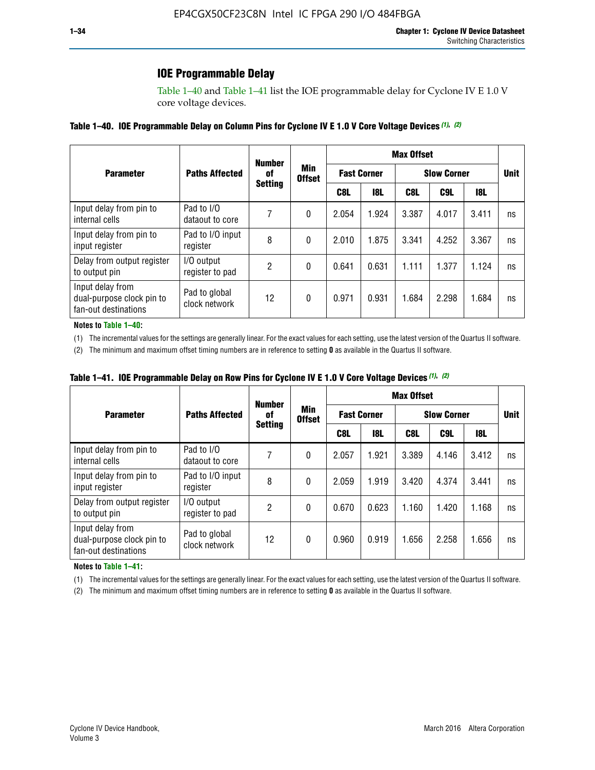## **IOE Programmable Delay**

Table 1–40 and Table 1–41 list the IOE programmable delay for Cyclone IV E 1.0 V core voltage devices.

#### **Table 1–40. IOE Programmable Delay on Column Pins for Cyclone IV E 1.0 V Core Voltage Devices** *(1)***,** *(2)*

|                                                                       |                                | <b>Number</b><br>0f | Min<br><b>Offset</b> | <b>Max Offset</b>  |            |                    |             |       |    |  |
|-----------------------------------------------------------------------|--------------------------------|---------------------|----------------------|--------------------|------------|--------------------|-------------|-------|----|--|
| <b>Parameter</b>                                                      | <b>Paths Affected</b>          |                     |                      | <b>Fast Corner</b> |            | <b>Slow Corner</b> | <b>Unit</b> |       |    |  |
|                                                                       | <b>Setting</b>                 |                     |                      | C8L                | <b>18L</b> | C8L                | C9L         | 18L   |    |  |
| Input delay from pin to<br>internal cells                             | Pad to I/O<br>dataout to core  |                     | 0                    | 2.054              | 1.924      | 3.387              | 4.017       | 3.411 | ns |  |
| Input delay from pin to<br>input register                             | Pad to I/O input<br>register   | 8                   | 0                    | 2.010              | 1.875      | 3.341              | 4.252       | 3.367 | ns |  |
| Delay from output register<br>to output pin                           | I/O output<br>register to pad  | 2                   | 0                    | 0.641              | 0.631      | 1.111              | 1.377       | 1.124 | ns |  |
| Input delay from<br>dual-purpose clock pin to<br>fan-out destinations | Pad to global<br>clock network | 12                  | 0                    | 0.971              | 0.931      | 1.684              | 2.298       | 1.684 | ns |  |

#### **Notes to Table 1–40:**

(1) The incremental values for the settings are generally linear. For the exact values for each setting, use the latest version of the Quartus II software.

(2) The minimum and maximum offset timing numbers are in reference to setting **0** as available in the Quartus II software.

| Table 1–41. IOE Programmable Delay on Row Pins for Cyclone IV E 1.0 V Core Voltage Devices (1), (2) |  |  |
|-----------------------------------------------------------------------------------------------------|--|--|
|-----------------------------------------------------------------------------------------------------|--|--|

|                                                                       | <b>Number</b>                  |                |                      | <b>Max Offset</b>  |            |                    |             |       |    |  |
|-----------------------------------------------------------------------|--------------------------------|----------------|----------------------|--------------------|------------|--------------------|-------------|-------|----|--|
| <b>Parameter</b>                                                      | <b>Paths Affected</b>          | 0f             | Min<br><b>Offset</b> | <b>Fast Corner</b> |            | <b>Slow Corner</b> | <b>Unit</b> |       |    |  |
|                                                                       |                                | <b>Setting</b> |                      | C8L                | <b>18L</b> | C8L                | C9L         | 18L   |    |  |
| Input delay from pin to<br>internal cells                             | Pad to I/O<br>dataout to core  |                | 0                    | 2.057              | 1.921      | 3.389              | 4.146       | 3.412 | ns |  |
| Input delay from pin to<br>input register                             | Pad to I/O input<br>register   | 8              | 0                    | 2.059              | 1.919      | 3.420              | 4.374       | 3.441 | ns |  |
| Delay from output register<br>to output pin                           | I/O output<br>register to pad  | 2              | 0                    | 0.670              | 0.623      | 1.160              | 1.420       | 1.168 | ns |  |
| Input delay from<br>dual-purpose clock pin to<br>fan-out destinations | Pad to global<br>clock network | 12             | 0                    | 0.960              | 0.919      | 1.656              | 2.258       | 1.656 | ns |  |

#### **Notes to Table 1–41:**

(1) The incremental values for the settings are generally linear. For the exact values for each setting, use the latest version of the Quartus II software.

(2) The minimum and maximum offset timing numbers are in reference to setting **0** as available in the Quartus II software.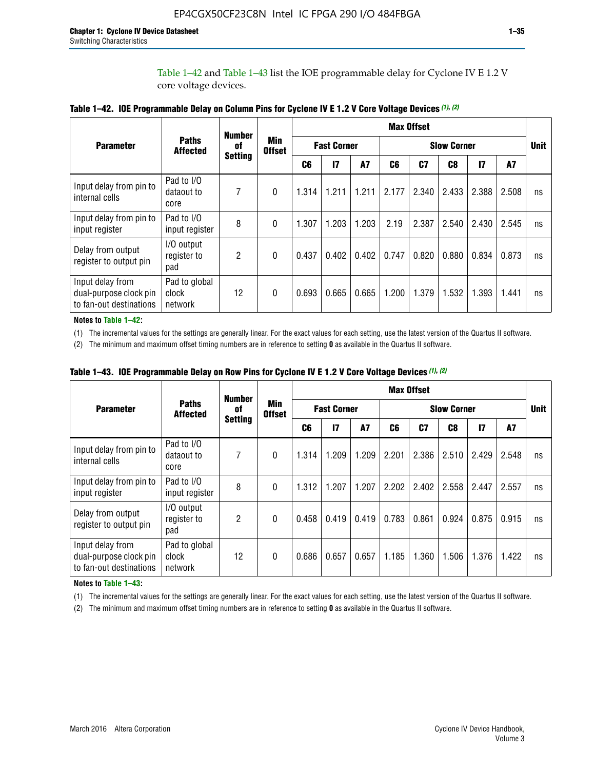Table 1–42 and Table 1–43 list the IOE programmable delay for Cyclone IV E 1.2 V core voltage devices.

|                                                                       |                                   | <b>Number</b>        | <b>Min</b><br><b>Offset</b> | <b>Max Offset</b> |                    |           |                    |       |       |               |       |             |
|-----------------------------------------------------------------------|-----------------------------------|----------------------|-----------------------------|-------------------|--------------------|-----------|--------------------|-------|-------|---------------|-------|-------------|
| <b>Parameter</b>                                                      | <b>Paths</b><br><b>Affected</b>   | of<br><b>Setting</b> |                             |                   | <b>Fast Corner</b> |           | <b>Slow Corner</b> |       |       |               |       | <b>Unit</b> |
|                                                                       |                                   |                      |                             | C <sub>6</sub>    | $\mathbf{I}$       | <b>A7</b> | C6                 | C7    | C8    | $\mathsf{I}7$ | A7    |             |
| Input delay from pin to<br>internal cells                             | Pad to I/O<br>dataout to<br>core  | 7                    | 0                           | 1.314             | 1.211              | 1.211     | 2.177              | 2.340 | 2.433 | 2.388         | 2.508 | ns          |
| Input delay from pin to<br>input register                             | Pad to I/O<br>input register      | 8                    | $\Omega$                    | 1.307             | 1.203              | 1.203     | 2.19               | 2.387 | 2.540 | 2.430         | 2.545 | ns          |
| Delay from output<br>register to output pin                           | I/O output<br>register to<br>pad  | 2                    | 0                           | 0.437             | 0.402              | 0.402     | 0.747              | 0.820 | 0.880 | 0.834         | 0.873 | ns          |
| Input delay from<br>dual-purpose clock pin<br>to fan-out destinations | Pad to global<br>clock<br>network | 12                   | 0                           | 0.693             | 0.665              | 0.665     | 1.200              | 1.379 | 1.532 | 1.393         | 1.441 | ns          |

**Table 1–42. IOE Programmable Delay on Column Pins for Cyclone IV E 1.2 V Core Voltage Devices** *(1)***,** *(2)*

**Notes to Table 1–42:**

(1) The incremental values for the settings are generally linear. For the exact values for each setting, use the latest version of the Quartus II software.

(2) The minimum and maximum offset timing numbers are in reference to setting **0** as available in the Quartus II software.

|                                                                       |                                   | <b>Number</b>        | <b>Min</b><br><b>Offset</b> | <b>Max Offset</b> |                    |           |                    |       |       |               |       |             |
|-----------------------------------------------------------------------|-----------------------------------|----------------------|-----------------------------|-------------------|--------------------|-----------|--------------------|-------|-------|---------------|-------|-------------|
| <b>Parameter</b>                                                      | <b>Paths</b><br><b>Affected</b>   | of<br><b>Setting</b> |                             |                   | <b>Fast Corner</b> |           | <b>Slow Corner</b> |       |       |               |       | <b>Unit</b> |
|                                                                       |                                   |                      |                             | C6                | $\mathbf{I}$       | <b>A7</b> | C6                 | C7    | C8    | $\mathsf{I}7$ | A7    |             |
| Input delay from pin to<br>internal cells                             | Pad to I/O<br>dataout to<br>core  | 7                    | $\Omega$                    | 1.314             | 1.209              | 1.209     | 2.201              | 2.386 | 2.510 | 2.429         | 2.548 | ns          |
| Input delay from pin to<br>input register                             | Pad to I/O<br>input register      | 8                    | $\Omega$                    | 1.312             | 1.207              | 1.207     | 2.202              | 2.402 | 2.558 | 2.447         | 2.557 | ns          |
| Delay from output<br>register to output pin                           | I/O output<br>register to<br>pad  | 2                    | $\Omega$                    | 0.458             | 0.419              | 0.419     | 0.783              | 0.861 | 0.924 | 0.875         | 0.915 | ns          |
| Input delay from<br>dual-purpose clock pin<br>to fan-out destinations | Pad to global<br>clock<br>network | 12                   | $\Omega$                    | 0.686             | 0.657              | 0.657     | 1.185              | 1.360 | 1.506 | 1.376         | 1.422 | ns          |

**Table 1–43. IOE Programmable Delay on Row Pins for Cyclone IV E 1.2 V Core Voltage Devices** *(1)***,** *(2)*

#### **Notes to Table 1–43:**

(1) The incremental values for the settings are generally linear. For the exact values for each setting, use the latest version of the Quartus II software.

(2) The minimum and maximum offset timing numbers are in reference to setting **0** as available in the Quartus II software.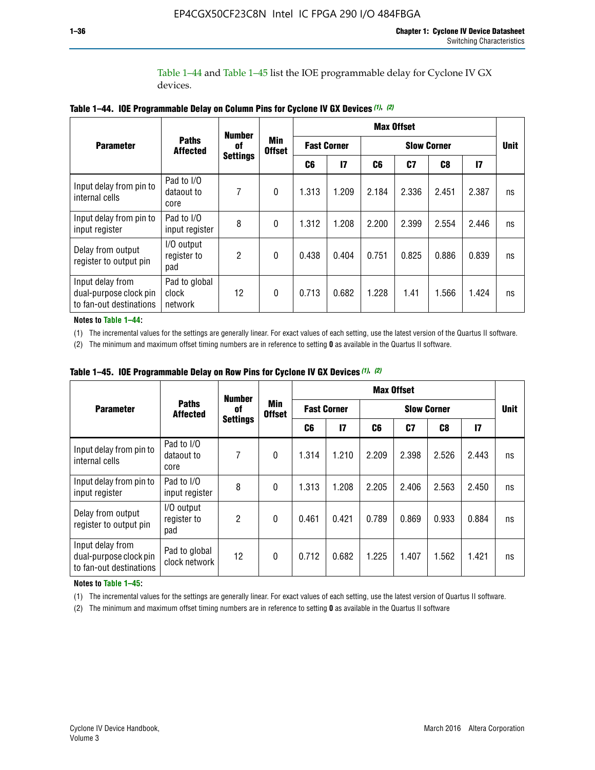Table 1–44 and Table 1–45 list the IOE programmable delay for Cyclone IV GX devices.

|                                                                       |                                   | <b>Number</b>         |                             | <b>Max Offset</b>  |               |                    |       |       |       |             |  |
|-----------------------------------------------------------------------|-----------------------------------|-----------------------|-----------------------------|--------------------|---------------|--------------------|-------|-------|-------|-------------|--|
| <b>Parameter</b>                                                      | <b>Paths</b><br><b>Affected</b>   | 0f<br><b>Settings</b> | <b>Min</b><br><b>Offset</b> | <b>Fast Corner</b> |               | <b>Slow Corner</b> |       |       |       | <b>Unit</b> |  |
|                                                                       |                                   |                       |                             | C6                 | $\mathsf{I}7$ | C6                 | C7    | C8    | 17    |             |  |
| Input delay from pin to<br>internal cells                             | Pad to I/O<br>dataout to<br>core  | 7                     | $\mathbf{0}$                | 1.313              | 1.209         | 2.184              | 2.336 | 2.451 | 2.387 | ns          |  |
| Input delay from pin to<br>input register                             | Pad to I/O<br>input register      | 8                     | $\theta$                    | 1.312              | 1.208         | 2.200              | 2.399 | 2.554 | 2.446 | ns          |  |
| Delay from output<br>register to output pin                           | I/O output<br>register to<br>pad  | 2                     | $\mathbf{0}$                | 0.438              | 0.404         | 0.751              | 0.825 | 0.886 | 0.839 | ns          |  |
| Input delay from<br>dual-purpose clock pin<br>to fan-out destinations | Pad to global<br>clock<br>network | 12                    | $\mathbf{0}$                | 0.713              | 0.682         | 1.228              | 1.41  | 1.566 | 1.424 | ns          |  |

**Table 1–44. IOE Programmable Delay on Column Pins for Cyclone IV GX Devices** *(1)***,** *(2)*

**Notes to Table 1–44:**

(1) The incremental values for the settings are generally linear. For exact values of each setting, use the latest version of the Quartus II software.

(2) The minimum and maximum offset timing numbers are in reference to setting **0** as available in the Quartus II software.

|                                                                       |                                  | <b>Number</b>         | Min<br><b>Offset</b> | <b>Max Offset</b>  |       |                    |       |       |               |             |  |
|-----------------------------------------------------------------------|----------------------------------|-----------------------|----------------------|--------------------|-------|--------------------|-------|-------|---------------|-------------|--|
| <b>Parameter</b>                                                      | <b>Paths</b><br><b>Affected</b>  | 0f<br><b>Settings</b> |                      | <b>Fast Corner</b> |       | <b>Slow Corner</b> |       |       |               | <b>Unit</b> |  |
|                                                                       |                                  |                       |                      | C6                 | 17    | C6                 | C7    | C8    | $\mathsf{I}7$ |             |  |
| Input delay from pin to<br>internal cells                             | Pad to I/O<br>dataout to<br>core | 7                     | $\mathbf{0}$         | 1.314              | 1.210 | 2.209              | 2.398 | 2.526 | 2.443         | ns          |  |
| Input delay from pin to<br>input register                             | Pad to I/O<br>input register     | 8                     | $\mathbf{0}$         | 1.313              | 1.208 | 2.205              | 2.406 | 2.563 | 2.450         | ns          |  |
| Delay from output<br>register to output pin                           | I/O output<br>register to<br>pad | $\overline{2}$        | $\mathbf{0}$         | 0.461              | 0.421 | 0.789              | 0.869 | 0.933 | 0.884         | ns          |  |
| Input delay from<br>dual-purpose clock pin<br>to fan-out destinations | Pad to global<br>clock network   | 12                    | $\mathbf{0}$         | 0.712              | 0.682 | 1.225              | 1.407 | 1.562 | 1.421         | ns          |  |

**Table 1–45. IOE Programmable Delay on Row Pins for Cyclone IV GX Devices** *(1)***,** *(2)*

#### **Notes to Table 1–45:**

(1) The incremental values for the settings are generally linear. For exact values of each setting, use the latest version of Quartus II software.

(2) The minimum and maximum offset timing numbers are in reference to setting **0** as available in the Quartus II software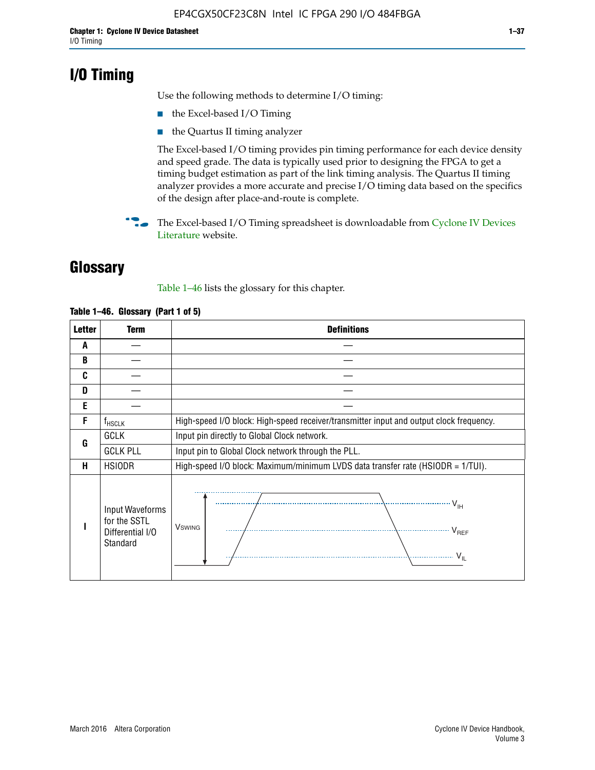## **I/O Timing**

Use the following methods to determine I/O timing:

- the Excel-based I/O Timing
- the Quartus II timing analyzer

The Excel-based I/O timing provides pin timing performance for each device density and speed grade. The data is typically used prior to designing the FPGA to get a timing budget estimation as part of the link timing analysis. The Quartus II timing analyzer provides a more accurate and precise I/O timing data based on the specifics of the design after place-and-route is complete.

**For The Excel-based I/O Timing spreadsheet is downloadable from Cyclone IV Devices** [Literature](http://www.altera.com/literature/lit-cyclone-iv.jsp) website.

## **Glossary**

Table 1–46 lists the glossary for this chapter.

| <b>Letter</b> | <b>Term</b>                                                     | <b>Definitions</b>                                                                                                                               |
|---------------|-----------------------------------------------------------------|--------------------------------------------------------------------------------------------------------------------------------------------------|
| A             |                                                                 |                                                                                                                                                  |
| B             |                                                                 |                                                                                                                                                  |
| C             |                                                                 |                                                                                                                                                  |
| D             |                                                                 |                                                                                                                                                  |
| E             |                                                                 |                                                                                                                                                  |
| F             | $f_{\sf HSCLK}$                                                 | High-speed I/O block: High-speed receiver/transmitter input and output clock frequency.                                                          |
| G             | <b>GCLK</b>                                                     | Input pin directly to Global Clock network.                                                                                                      |
|               | <b>GCLK PLL</b>                                                 | Input pin to Global Clock network through the PLL.                                                                                               |
| н             | <b>HSIODR</b>                                                   | High-speed I/O block: Maximum/minimum LVDS data transfer rate (HSIODR = 1/TUI).                                                                  |
|               | Input Waveforms<br>for the SSTL<br>Differential I/O<br>Standard | $\frac{1}{\sqrt{1+\frac{1}{2}}}\left\{ \frac{1}{\sqrt{1+\frac{1}{2}}}\right\}$<br><b>V</b> swing<br>$\cdots$ $V_{REF}$<br>\<br>$\sim V_{\rm IL}$ |

#### **Table 1–46. Glossary (Part 1 of 5)**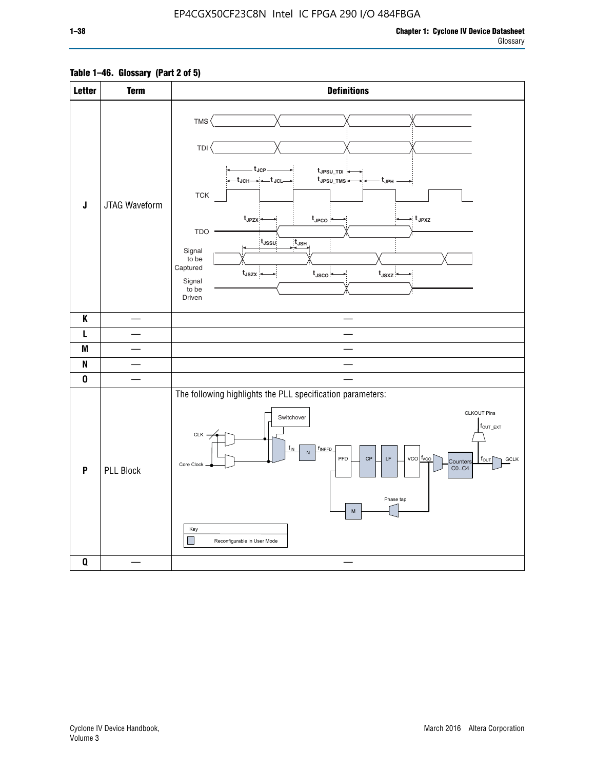### **Table 1–46. Glossary (Part 2 of 5)**

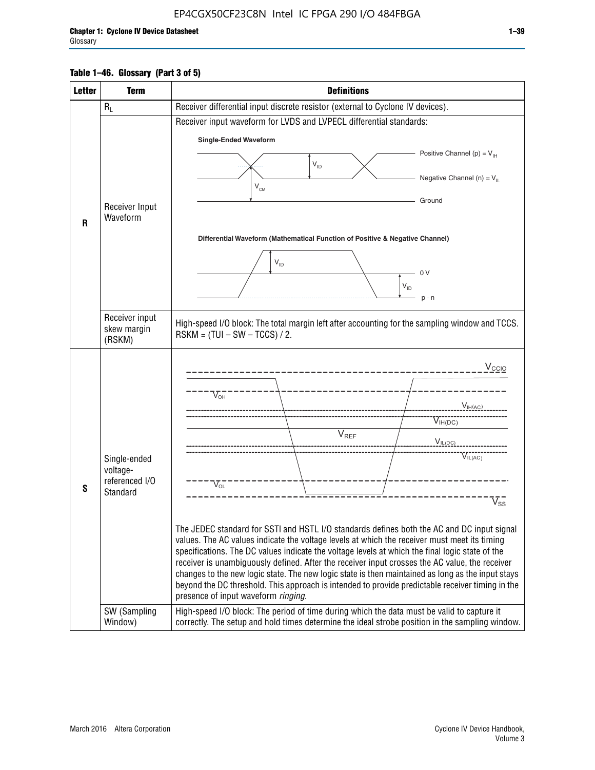#### **Table 1–46. Glossary (Part 3 of 5)**

| <b>Letter</b> | <b>Term</b>                                                            | <b>Definitions</b>                                                                                                                                                                                                                                                                                                                                                                                                                                                                                                                                                                                                                                                                                                                                                                                                                                                                                                                          |
|---------------|------------------------------------------------------------------------|---------------------------------------------------------------------------------------------------------------------------------------------------------------------------------------------------------------------------------------------------------------------------------------------------------------------------------------------------------------------------------------------------------------------------------------------------------------------------------------------------------------------------------------------------------------------------------------------------------------------------------------------------------------------------------------------------------------------------------------------------------------------------------------------------------------------------------------------------------------------------------------------------------------------------------------------|
|               | $R_L$                                                                  | Receiver differential input discrete resistor (external to Cyclone IV devices).                                                                                                                                                                                                                                                                                                                                                                                                                                                                                                                                                                                                                                                                                                                                                                                                                                                             |
|               |                                                                        | Receiver input waveform for LVDS and LVPECL differential standards:                                                                                                                                                                                                                                                                                                                                                                                                                                                                                                                                                                                                                                                                                                                                                                                                                                                                         |
|               |                                                                        | <b>Single-Ended Waveform</b>                                                                                                                                                                                                                                                                                                                                                                                                                                                                                                                                                                                                                                                                                                                                                                                                                                                                                                                |
|               |                                                                        | Positive Channel (p) = $V_{\text{H}}$                                                                                                                                                                                                                                                                                                                                                                                                                                                                                                                                                                                                                                                                                                                                                                                                                                                                                                       |
|               |                                                                        | $\mathsf{V}_{\mathsf{ID}}$                                                                                                                                                                                                                                                                                                                                                                                                                                                                                                                                                                                                                                                                                                                                                                                                                                                                                                                  |
|               |                                                                        | Negative Channel (n) = $V_{\parallel}$<br>$\mathsf{V}_{\scriptscriptstyle \mathsf{CM}}$                                                                                                                                                                                                                                                                                                                                                                                                                                                                                                                                                                                                                                                                                                                                                                                                                                                     |
|               |                                                                        | Ground                                                                                                                                                                                                                                                                                                                                                                                                                                                                                                                                                                                                                                                                                                                                                                                                                                                                                                                                      |
|               | Receiver Input<br>Waveform                                             |                                                                                                                                                                                                                                                                                                                                                                                                                                                                                                                                                                                                                                                                                                                                                                                                                                                                                                                                             |
| $\mathsf{R}$  |                                                                        |                                                                                                                                                                                                                                                                                                                                                                                                                                                                                                                                                                                                                                                                                                                                                                                                                                                                                                                                             |
|               |                                                                        | Differential Waveform (Mathematical Function of Positive & Negative Channel)                                                                                                                                                                                                                                                                                                                                                                                                                                                                                                                                                                                                                                                                                                                                                                                                                                                                |
|               |                                                                        | $V_{ID}$                                                                                                                                                                                                                                                                                                                                                                                                                                                                                                                                                                                                                                                                                                                                                                                                                                                                                                                                    |
|               |                                                                        | - 0 V                                                                                                                                                                                                                                                                                                                                                                                                                                                                                                                                                                                                                                                                                                                                                                                                                                                                                                                                       |
|               |                                                                        | $V_{ID}$                                                                                                                                                                                                                                                                                                                                                                                                                                                                                                                                                                                                                                                                                                                                                                                                                                                                                                                                    |
|               |                                                                        | $p - n$                                                                                                                                                                                                                                                                                                                                                                                                                                                                                                                                                                                                                                                                                                                                                                                                                                                                                                                                     |
|               | Receiver input<br>skew margin                                          | High-speed I/O block: The total margin left after accounting for the sampling window and TCCS.<br>$RSKM = (TUI - SW - TCCS) / 2.$                                                                                                                                                                                                                                                                                                                                                                                                                                                                                                                                                                                                                                                                                                                                                                                                           |
|               | (RSKM)                                                                 |                                                                                                                                                                                                                                                                                                                                                                                                                                                                                                                                                                                                                                                                                                                                                                                                                                                                                                                                             |
| S             | Single-ended<br>voltage-<br>referenced I/O<br>Standard<br>SW (Sampling | V <sub>CCIO</sub><br>$\nabla_{\!\circ\mathsf{H}}^-$<br>V <sub>IH</sub> (AC)<br>$V_{IH(DC)}$<br>$V_{REF}$<br>$V_{I L (DC)}$<br>VIL(AC)<br>$V_{OL}$<br>$\overline{\mathsf{V}}_\mathsf{SS}^-$<br>The JEDEC standard for SSTI and HSTL I/O standards defines both the AC and DC input signal<br>values. The AC values indicate the voltage levels at which the receiver must meet its timing<br>specifications. The DC values indicate the voltage levels at which the final logic state of the<br>receiver is unambiguously defined. After the receiver input crosses the AC value, the receiver<br>changes to the new logic state. The new logic state is then maintained as long as the input stays<br>beyond the DC threshold. This approach is intended to provide predictable receiver timing in the<br>presence of input waveform ringing.<br>High-speed I/O block: The period of time during which the data must be valid to capture it |
|               | Window)                                                                | correctly. The setup and hold times determine the ideal strobe position in the sampling window.                                                                                                                                                                                                                                                                                                                                                                                                                                                                                                                                                                                                                                                                                                                                                                                                                                             |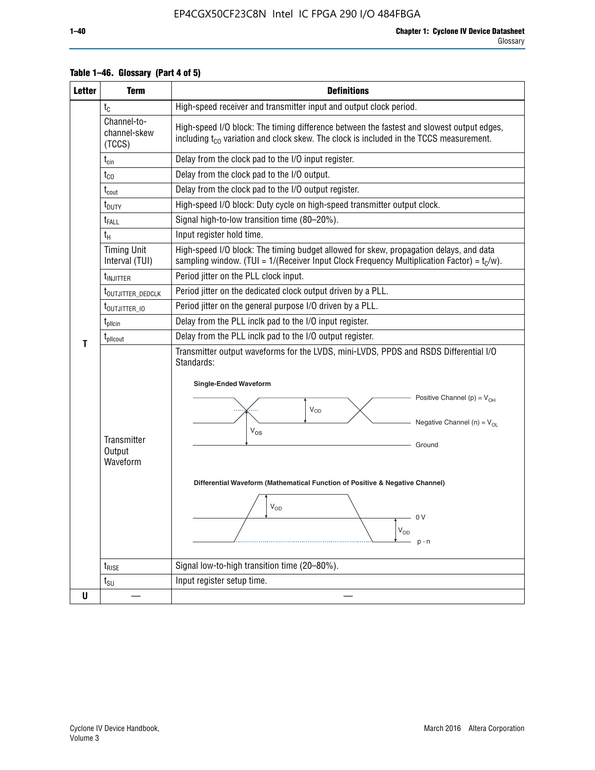| <b>Letter</b> | <b>Term</b>                              | <b>Definitions</b>                                                                                                                                                                                                                                                                                                                                                                                                      |
|---------------|------------------------------------------|-------------------------------------------------------------------------------------------------------------------------------------------------------------------------------------------------------------------------------------------------------------------------------------------------------------------------------------------------------------------------------------------------------------------------|
|               | $t_{\rm C}$                              | High-speed receiver and transmitter input and output clock period.                                                                                                                                                                                                                                                                                                                                                      |
|               | Channel-to-<br>channel-skew<br>(TCCS)    | High-speed I/O block: The timing difference between the fastest and slowest output edges,<br>including t <sub>co</sub> variation and clock skew. The clock is included in the TCCS measurement.                                                                                                                                                                                                                         |
|               | $t_{\text{cin}}$                         | Delay from the clock pad to the I/O input register.                                                                                                                                                                                                                                                                                                                                                                     |
|               | $t_{CO}$                                 | Delay from the clock pad to the I/O output.                                                                                                                                                                                                                                                                                                                                                                             |
|               | $t_{\rm{cout}}$                          | Delay from the clock pad to the I/O output register.                                                                                                                                                                                                                                                                                                                                                                    |
|               | t <sub>DUTY</sub>                        | High-speed I/O block: Duty cycle on high-speed transmitter output clock.                                                                                                                                                                                                                                                                                                                                                |
|               | $t_{\rm FALL}$                           | Signal high-to-low transition time (80-20%).                                                                                                                                                                                                                                                                                                                                                                            |
|               | $t_H$                                    | Input register hold time.                                                                                                                                                                                                                                                                                                                                                                                               |
|               | <b>Timing Unit</b><br>Interval (TUI)     | High-speed I/O block: The timing budget allowed for skew, propagation delays, and data<br>sampling window. (TUI = $1/($ Receiver Input Clock Frequency Multiplication Factor) = $t_c/w$ ).                                                                                                                                                                                                                              |
|               | t <sub>INJITTER</sub>                    | Period jitter on the PLL clock input.                                                                                                                                                                                                                                                                                                                                                                                   |
|               | t <sub>outjitter_dedclk</sub>            | Period jitter on the dedicated clock output driven by a PLL.                                                                                                                                                                                                                                                                                                                                                            |
|               | t <sub>outjitter_io</sub>                | Period jitter on the general purpose I/O driven by a PLL.                                                                                                                                                                                                                                                                                                                                                               |
|               | $\rm t_{pllcin}$                         | Delay from the PLL inclk pad to the I/O input register.                                                                                                                                                                                                                                                                                                                                                                 |
| т             | t <sub>plicout</sub>                     | Delay from the PLL inclk pad to the I/O output register.                                                                                                                                                                                                                                                                                                                                                                |
|               | <b>Transmitter</b><br>Output<br>Waveform | Transmitter output waveforms for the LVDS, mini-LVDS, PPDS and RSDS Differential I/O<br>Standards:<br><b>Single-Ended Waveform</b><br>Positive Channel (p) = $V_{OH}$<br><b>V<sub>OD</sub></b><br>Negative Channel (n) = $V_{OL}$<br>$V_{OS}$<br>Ground<br>Differential Waveform (Mathematical Function of Positive & Negative Channel)<br>$\mathsf{V}_{\mathsf{OD}}$<br>- 0 V<br>$\mathsf{V}_{\mathsf{OD}}$<br>$p - n$ |
|               | $t_{\text{RISE}}$                        | Signal low-to-high transition time (20-80%).                                                                                                                                                                                                                                                                                                                                                                            |
|               | $t_{\scriptstyle\text{SU}}$              | Input register setup time.                                                                                                                                                                                                                                                                                                                                                                                              |
| U             |                                          |                                                                                                                                                                                                                                                                                                                                                                                                                         |

#### **Table 1–46. Glossary (Part 4 of 5)**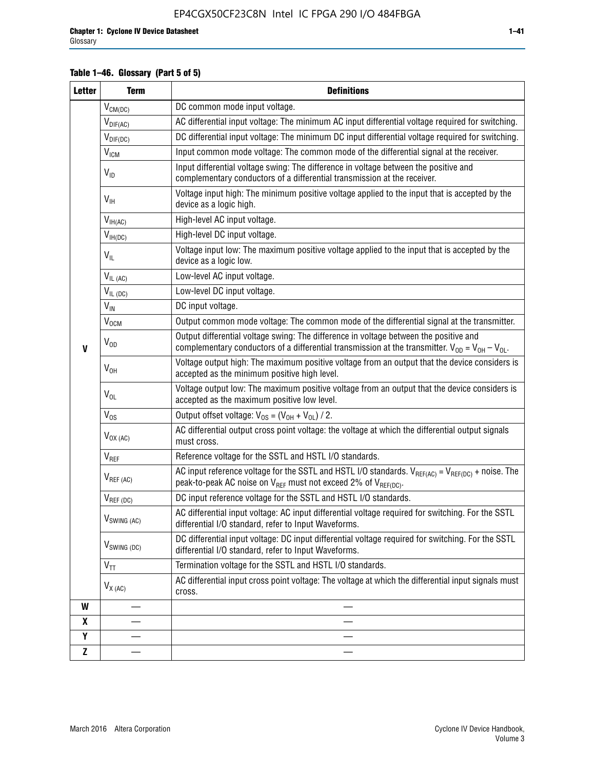### **Table 1–46. Glossary (Part 5 of 5)**

| <b>Letter</b> | <b>Term</b>               | <b>Definitions</b>                                                                                                                                                                                |  |  |
|---------------|---------------------------|---------------------------------------------------------------------------------------------------------------------------------------------------------------------------------------------------|--|--|
|               | $V_{CM(DC)}$              | DC common mode input voltage.                                                                                                                                                                     |  |  |
|               | $V_{DIF(AC)}$             | AC differential input voltage: The minimum AC input differential voltage required for switching.                                                                                                  |  |  |
|               | $V_{DIF(DC)}$             | DC differential input voltage: The minimum DC input differential voltage required for switching.                                                                                                  |  |  |
|               | $\rm V_{IGM}$             | Input common mode voltage: The common mode of the differential signal at the receiver.                                                                                                            |  |  |
|               | $V_{ID}$                  | Input differential voltage swing: The difference in voltage between the positive and<br>complementary conductors of a differential transmission at the receiver.                                  |  |  |
|               | $V_{\text{IH}}$           | Voltage input high: The minimum positive voltage applied to the input that is accepted by the<br>device as a logic high.                                                                          |  |  |
|               | $V_{IH(AC)}$              | High-level AC input voltage.                                                                                                                                                                      |  |  |
|               | $V_{IH(DC)}$              | High-level DC input voltage.                                                                                                                                                                      |  |  |
|               | $V_{IL}$                  | Voltage input low: The maximum positive voltage applied to the input that is accepted by the<br>device as a logic low.                                                                            |  |  |
|               | $V_{IL(AC)}$              | Low-level AC input voltage.                                                                                                                                                                       |  |  |
|               | $V_{IL(DC)}$              | Low-level DC input voltage.                                                                                                                                                                       |  |  |
|               | $V_{\text{IN}}$           | DC input voltage.                                                                                                                                                                                 |  |  |
|               | V <sub>OCM</sub>          | Output common mode voltage: The common mode of the differential signal at the transmitter.                                                                                                        |  |  |
| $\mathbf{V}$  | $V_{OD}$                  | Output differential voltage swing: The difference in voltage between the positive and<br>complementary conductors of a differential transmission at the transmitter. $V_{OD} = V_{OH} - V_{OL}$ . |  |  |
|               | $V_{OH}$                  | Voltage output high: The maximum positive voltage from an output that the device considers is<br>accepted as the minimum positive high level.                                                     |  |  |
|               | $V_{OL}$                  | Voltage output low: The maximum positive voltage from an output that the device considers is<br>accepted as the maximum positive low level.                                                       |  |  |
|               | $V_{OS}$                  | Output offset voltage: $V_{OS} = (V_{OH} + V_{OL}) / 2$ .                                                                                                                                         |  |  |
|               | $V_{OX(AC)}$              | AC differential output cross point voltage: the voltage at which the differential output signals<br>must cross.                                                                                   |  |  |
|               | V <sub>REF</sub>          | Reference voltage for the SSTL and HSTL I/O standards.                                                                                                                                            |  |  |
|               | $V_{REF\,(AC)}$           | AC input reference voltage for the SSTL and HSTL I/O standards. $V_{REF(AC)} = V_{REF(DC)} +$ noise. The<br>peak-to-peak AC noise on $V_{REF}$ must not exceed 2% of $V_{REF(DC)}$ .              |  |  |
|               | $V_{REF(DC)}$             | DC input reference voltage for the SSTL and HSTL I/O standards.                                                                                                                                   |  |  |
|               | $V_{\textrm{SWING (AC)}}$ | AC differential input voltage: AC input differential voltage required for switching. For the SSTL<br>differential I/O standard, refer to Input Waveforms.                                         |  |  |
|               | $V_{SWING (DC)}$          | DC differential input voltage: DC input differential voltage required for switching. For the SSTL<br>differential I/O standard, refer to Input Waveforms.                                         |  |  |
|               | $V_{TT}$                  | Termination voltage for the SSTL and HSTL I/O standards.                                                                                                                                          |  |  |
|               | $V_{X(AC)}$               | AC differential input cross point voltage: The voltage at which the differential input signals must<br>cross.                                                                                     |  |  |
| W             |                           |                                                                                                                                                                                                   |  |  |
| X             |                           |                                                                                                                                                                                                   |  |  |
| Y             |                           |                                                                                                                                                                                                   |  |  |
| $\mathbf{Z}$  |                           |                                                                                                                                                                                                   |  |  |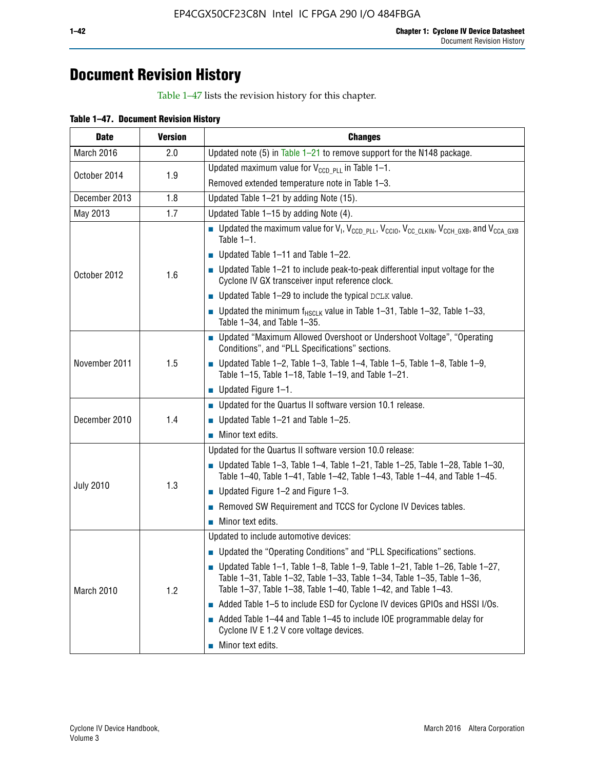## **Document Revision History**

Table 1–47 lists the revision history for this chapter.

| <b>Date</b>      | <b>Version</b> | <b>Changes</b>                                                                                                                                                                                                                            |
|------------------|----------------|-------------------------------------------------------------------------------------------------------------------------------------------------------------------------------------------------------------------------------------------|
| March 2016       | 2.0            | Updated note (5) in Table $1-21$ to remove support for the N148 package.                                                                                                                                                                  |
|                  | 1.9            | Updated maximum value for $V_{CCD, PL}$ in Table 1-1.                                                                                                                                                                                     |
| October 2014     |                | Removed extended temperature note in Table 1-3.                                                                                                                                                                                           |
| December 2013    | 1.8            | Updated Table 1-21 by adding Note (15).                                                                                                                                                                                                   |
| May 2013         | 1.7            | Updated Table 1-15 by adding Note (4).                                                                                                                                                                                                    |
|                  | 1.6            | Dpdated the maximum value for $V_1$ , $V_{CCD\_PLL}$ , $V_{CC10}$ , $V_{CC\_CLKIN}$ , $V_{CCH\_GXB}$ , and $V_{CCA\_GXB}$<br>Table $1-1$ .                                                                                                |
|                  |                | $\blacksquare$ Updated Table 1-11 and Table 1-22.                                                                                                                                                                                         |
| October 2012     |                | $\blacksquare$ Updated Table 1-21 to include peak-to-peak differential input voltage for the<br>Cyclone IV GX transceiver input reference clock.                                                                                          |
|                  |                | $\blacksquare$ Updated Table 1-29 to include the typical DCLK value.                                                                                                                                                                      |
|                  |                | <b>Updated the minimum f<sub>HSCLK</sub></b> value in Table 1-31, Table 1-32, Table 1-33,<br>Table 1-34, and Table 1-35.                                                                                                                  |
|                  | 1.5            | • Updated "Maximum Allowed Overshoot or Undershoot Voltage", "Operating<br>Conditions", and "PLL Specifications" sections.                                                                                                                |
| November 2011    |                | Updated Table 1-2, Table 1-3, Table 1-4, Table 1-5, Table 1-8, Table 1-9,<br>Table 1-15, Table 1-18, Table 1-19, and Table 1-21.                                                                                                          |
|                  |                | ■ Updated Figure $1-1$ .                                                                                                                                                                                                                  |
|                  | 1.4            | • Updated for the Quartus II software version 10.1 release.                                                                                                                                                                               |
| December 2010    |                | $\blacksquare$ Updated Table 1-21 and Table 1-25.                                                                                                                                                                                         |
|                  |                | $\blacksquare$ Minor text edits.                                                                                                                                                                                                          |
|                  | 1.3            | Updated for the Quartus II software version 10.0 release:                                                                                                                                                                                 |
|                  |                | Updated Table 1-3, Table 1-4, Table 1-21, Table 1-25, Table 1-28, Table 1-30,<br>Table 1-40, Table 1-41, Table 1-42, Table 1-43, Table 1-44, and Table 1-45.                                                                              |
| <b>July 2010</b> |                | ■ Updated Figure $1-2$ and Figure $1-3$ .                                                                                                                                                                                                 |
|                  |                | Removed SW Requirement and TCCS for Cyclone IV Devices tables.                                                                                                                                                                            |
|                  |                | $\blacksquare$ Minor text edits.                                                                                                                                                                                                          |
|                  | 1.2            | Updated to include automotive devices:                                                                                                                                                                                                    |
|                  |                | • Updated the "Operating Conditions" and "PLL Specifications" sections.                                                                                                                                                                   |
| March 2010       |                | $\blacksquare$ Updated Table 1-1, Table 1-8, Table 1-9, Table 1-21, Table 1-26, Table 1-27,<br>Table 1-31, Table 1-32, Table 1-33, Table 1-34, Table 1-35, Table 1-36,<br>Table 1-37, Table 1-38, Table 1-40, Table 1-42, and Table 1-43. |
|                  |                | Added Table 1-5 to include ESD for Cyclone IV devices GPIOs and HSSI I/Os.                                                                                                                                                                |
|                  |                | Added Table 1-44 and Table 1-45 to include IOE programmable delay for<br>Cyclone IV E 1.2 V core voltage devices.                                                                                                                         |
|                  |                | Minor text edits.                                                                                                                                                                                                                         |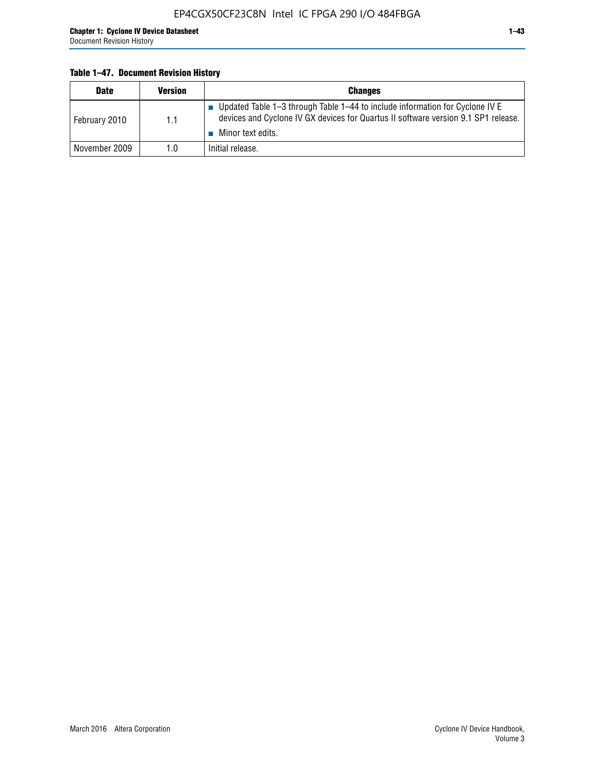#### **Table 1–47. Document Revision History**

| <b>Date</b>   | <b>Version</b> | <b>Changes</b>                                                                                                                                                                          |
|---------------|----------------|-----------------------------------------------------------------------------------------------------------------------------------------------------------------------------------------|
| February 2010 | 1.1            | Updated Table 1–3 through Table 1–44 to include information for Cyclone IV E<br>devices and Cyclone IV GX devices for Quartus II software version 9.1 SP1 release.<br>Minor text edits. |
| November 2009 | 1.0            | Initial release.                                                                                                                                                                        |